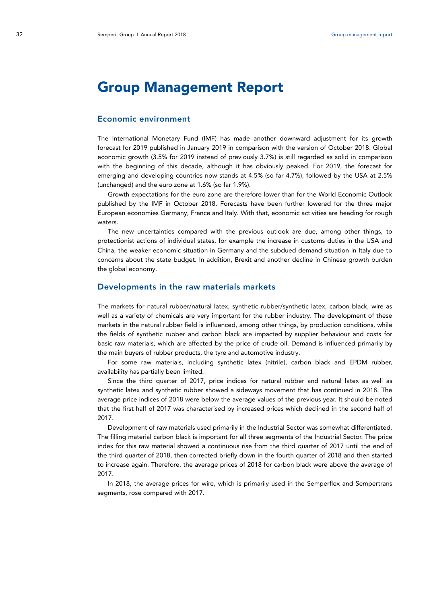# Group Management Report

## Economic environment

The International Monetary Fund (IMF) has made another downward adjustment for its growth forecast for 2019 published in January 2019 in comparison with the version of October 2018. Global economic growth (3.5% for 2019 instead of previously 3.7%) is still regarded as solid in comparison with the beginning of this decade, although it has obviously peaked. For 2019, the forecast for emerging and developing countries now stands at 4.5% (so far 4.7%), followed by the USA at 2.5% (unchanged) and the euro zone at 1.6% (so far 1.9%).

Growth expectations for the euro zone are therefore lower than for the World Economic Outlook published by the IMF in October 2018. Forecasts have been further lowered for the three major European economies Germany, France and Italy. With that, economic activities are heading for rough waters.

The new uncertainties compared with the previous outlook are due, among other things, to protectionist actions of individual states, for example the increase in customs duties in the USA and China, the weaker economic situation in Germany and the subdued demand situation in Italy due to concerns about the state budget. In addition, Brexit and another decline in Chinese growth burden the global economy.

# Developments in the raw materials markets

The markets for natural rubber/natural latex, synthetic rubber/synthetic latex, carbon black, wire as well as a variety of chemicals are very important for the rubber industry. The development of these markets in the natural rubber field is influenced, among other things, by production conditions, while the fields of synthetic rubber and carbon black are impacted by supplier behaviour and costs for basic raw materials, which are affected by the price of crude oil. Demand is influenced primarily by the main buyers of rubber products, the tyre and automotive industry.

For some raw materials, including synthetic latex (nitrile), carbon black and EPDM rubber, availability has partially been limited.

Since the third quarter of 2017, price indices for natural rubber and natural latex as well as synthetic latex and synthetic rubber showed a sideways movement that has continued in 2018. The average price indices of 2018 were below the average values of the previous year. It should be noted that the first half of 2017 was characterised by increased prices which declined in the second half of 2017.

Development of raw materials used primarily in the Industrial Sector was somewhat differentiated. The filling material carbon black is important for all three segments of the Industrial Sector. The price index for this raw material showed a continuous rise from the third quarter of 2017 until the end of the third quarter of 2018, then corrected briefly down in the fourth quarter of 2018 and then started to increase again. Therefore, the average prices of 2018 for carbon black were above the average of 2017.

In 2018, the average prices for wire, which is primarily used in the Semperflex and Sempertrans segments, rose compared with 2017.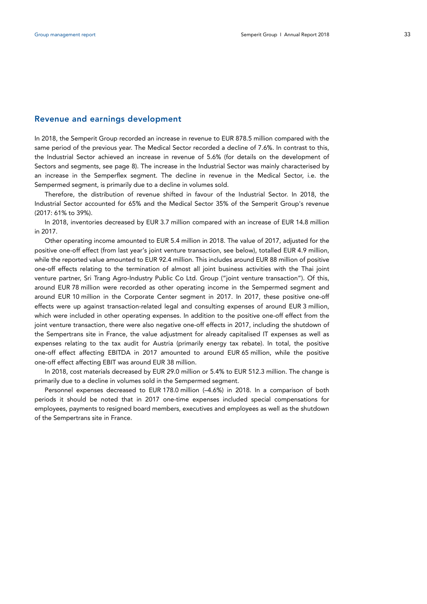# Revenue and earnings development

In 2018, the Semperit Group recorded an increase in revenue to EUR 878.5 million compared with the same period of the previous year. The Medical Sector recorded a decline of 7.6%. In contrast to this, the Industrial Sector achieved an increase in revenue of 5.6% (for details on the development of Sectors and segments, see page 8). The increase in the Industrial Sector was mainly characterised by an increase in the Semperflex segment. The decline in revenue in the Medical Sector, i.e. the Sempermed segment, is primarily due to a decline in volumes sold.

Therefore, the distribution of revenue shifted in favour of the Industrial Sector. In 2018, the Industrial Sector accounted for 65% and the Medical Sector 35% of the Semperit Group's revenue (2017: 61% to 39%).

In 2018, inventories decreased by EUR 3.7 million compared with an increase of EUR 14.8 million in 2017.

Other operating income amounted to EUR 5.4 million in 2018. The value of 2017, adjusted for the positive one-off effect (from last year's joint venture transaction, see below), totalled EUR 4.9 million, while the reported value amounted to EUR 92.4 million. This includes around EUR 88 million of positive one-off effects relating to the termination of almost all joint business activities with the Thai joint venture partner, Sri Trang Agro-Industry Public Co Ltd. Group ("joint venture transaction"). Of this, around EUR 78 million were recorded as other operating income in the Sempermed segment and around EUR 10 million in the Corporate Center segment in 2017. In 2017, these positive one-off effects were up against transaction-related legal and consulting expenses of around EUR 3 million, which were included in other operating expenses. In addition to the positive one-off effect from the joint venture transaction, there were also negative one-off effects in 2017, including the shutdown of the Sempertrans site in France, the value adjustment for already capitalised IT expenses as well as expenses relating to the tax audit for Austria (primarily energy tax rebate). In total, the positive one-off effect affecting EBITDA in 2017 amounted to around EUR 65 million, while the positive one-off effect affecting EBIT was around EUR 38 million.

In 2018, cost materials decreased by EUR 29.0 million or 5.4% to EUR 512.3 million. The change is primarily due to a decline in volumes sold in the Sempermed segment.

Personnel expenses decreased to EUR 178.0 million (-4.6%) in 2018. In a comparison of both periods it should be noted that in 2017 one-time expenses included special compensations for employees, payments to resigned board members, executives and employees as well as the shutdown of the Sempertrans site in France.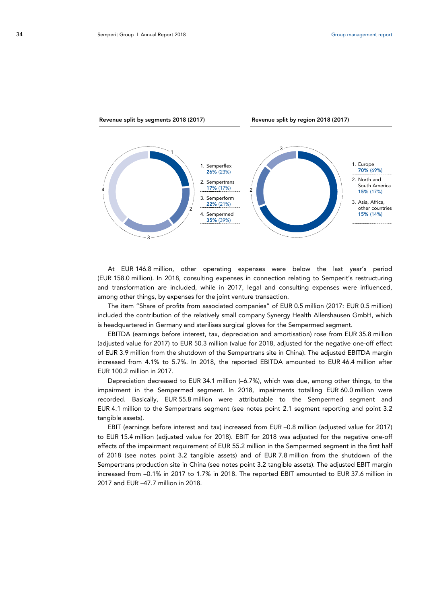

# Revenue split by segments 2018 (2017) Revenue split by region 2018 (2017)

At EUR 146.8 million, other operating expenses were below the last year's period (EUR 158.0 million). In 2018, consulting expenses in connection relating to Semperit's restructuring and transformation are included, while in 2017, legal and consulting expenses were influenced, among other things, by expenses for the joint venture transaction.

The item "Share of profits from associated companies" of EUR 0.5 million (2017: EUR 0.5 million) included the contribution of the relatively small company Synergy Health Allershausen GmbH, which is headquartered in Germany and sterilises surgical gloves for the Sempermed segment.

EBITDA (earnings before interest, tax, depreciation and amortisation) rose from EUR 35.8 million (adjusted value for 2017) to EUR 50.3 million (value for 2018, adjusted for the negative one-off effect of EUR 3.9 million from the shutdown of the Sempertrans site in China). The adjusted EBITDA margin increased from 4.1% to 5.7%. In 2018, the reported EBITDA amounted to EUR 46.4 million after EUR 100.2 million in 2017.

Depreciation decreased to EUR 34.1 million (–6.7%), which was due, among other things, to the impairment in the Sempermed segment. In 2018, impairments totalling EUR 60.0 million were recorded. Basically, EUR 55.8 million were attributable to the Sempermed segment and EUR 4.1 million to the Sempertrans segment (see notes point 2.1 segment reporting and point 3.2 tangible assets).

EBIT (earnings before interest and tax) increased from EUR –0.8 million (adjusted value for 2017) to EUR 15.4 million (adjusted value for 2018). EBIT for 2018 was adjusted for the negative one-off effects of the impairment requirement of EUR 55.2 million in the Sempermed segment in the first half of 2018 (see notes point 3.2 tangible assets) and of EUR 7.8 million from the shutdown of the Sempertrans production site in China (see notes point 3.2 tangible assets). The adjusted EBIT margin increased from –0.1% in 2017 to 1.7% in 2018. The reported EBIT amounted to EUR 37.6 million in 2017 and EUR –47.7 million in 2018.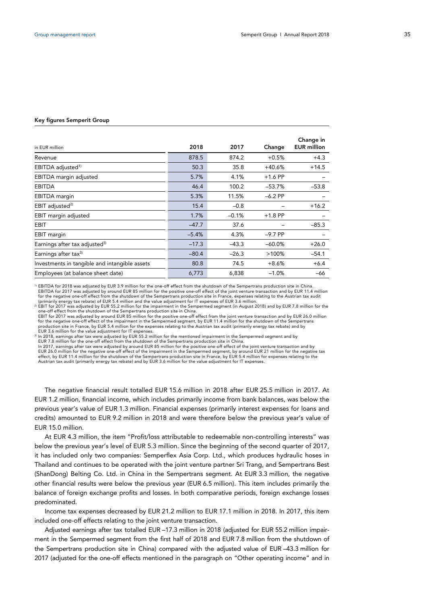#### Key figures Semperit Group

| in EUR million                                | 2018    | 2017    | Change    | Change in<br><b>EUR</b> million |
|-----------------------------------------------|---------|---------|-----------|---------------------------------|
| Revenue                                       | 878.5   | 874.2   | $+0.5%$   | $+4.3$                          |
| EBITDA adjusted <sup>1)</sup>                 | 50.3    | 35.8    | $+40.6%$  | $+14.5$                         |
| EBITDA margin adjusted                        | 5.7%    | 4.1%    | $+1.6$ PP |                                 |
| <b>EBITDA</b>                                 | 46.4    | 100.2   | $-53.7%$  | $-53.8$                         |
| EBITDA margin                                 | 5.3%    | 11.5%   | $-6.2$ PP |                                 |
| EBIT adjusted <sup>2)</sup>                   | 15.4    | $-0.8$  |           | $+16.2$                         |
| EBIT margin adjusted                          | 1.7%    | $-0.1%$ | $+1.8$ PP |                                 |
| <b>EBIT</b>                                   | $-47.7$ | 37.6    |           | $-85.3$                         |
| EBIT margin                                   | $-5.4%$ | 4.3%    | $-9.7$ PP |                                 |
| Earnings after tax adjusted <sup>3)</sup>     | $-17.3$ | $-43.3$ | $-60.0%$  | $+26.0$                         |
| Earnings after tax <sup>3)</sup>              | $-80.4$ | $-26.3$ | >100%     | $-54.1$                         |
| Investments in tangible and intangible assets | 80.8    | 74.5    | $+8.6%$   | $+6.4$                          |
| Employees (at balance sheet date)             | 6,773   | 6,838   | $-1.0%$   | -66                             |

1) EBITDA for 2018 was adjusted by EUR 3.9 million for the one-off effect from the shutdown of the Sempertrans production site in China EBITDA for 2017 was adjusted by around EUR 85 million for the positive one-off effect of the joint venture transaction and by EUR 11.4 million<br>for the negative one-off effect from the shutdown of the Sempertrans productio

one-off effect from the shutdown of the Sempertrans production site in China.<br>EBIT for 2017 was adjusted by around EUR 85 million for the positive one-off effect from the joint venture transaction and by EUR 26.0 million

for the negative one-off effect of the impairment in the Sempermed segment, by EUR 11.4 million for the shutdown of the S production site in France, by EUR 5.4 million for the expenses relating to the Austrian tax audit (primarily energy tax rebate) and by

EUR 3.6 million for the value adjustment for IT expenses.<br><sup>3)</sup> In 2018, earnings after tax were adjusted by EUR 55.2 million for the mentioned impairment in the Sempermed segment and by

EUR 7.8 million for the one-off effect from the shutdown of the Sempertrans production site in China.<br>In 2017, earnings after tax were adjusted by around EUR 85 million for the positive one-off effect of the joint venture EUR 26.0 million for the negative one-off effect of the impairment in the Sempermed segment, by around EUR 21 million for the negative tax effect, by EUR 11.4 million for the shutdown of the Sempertrans production site in France, by EUR 5.4 million for expenses relating to the Austrian tax audit (primarily energy tax rebate) and by EUR 3.6 million for the value adjustment for IT expenses.

The negative financial result totalled EUR 15.6 million in 2018 after EUR 25.5 million in 2017. At EUR 1.2 million, financial income, which includes primarily income from bank balances, was below the previous year's value of EUR 1.3 million. Financial expenses (primarily interest expenses for loans and credits) amounted to EUR 9.2 million in 2018 and were therefore below the previous year's value of EUR 15.0 million.

At EUR 4.3 million, the item "Profit/loss attributable to redeemable non-controlling interests" was below the previous year's level of EUR 5.3 million. Since the beginning of the second quarter of 2017, it has included only two companies: Semperflex Asia Corp. Ltd., which produces hydraulic hoses in Thailand and continues to be operated with the joint venture partner Sri Trang, and Sempertrans Best (ShanDong) Belting Co. Ltd. in China in the Sempertrans segment. At EUR 3.3 million, the negative other financial results were below the previous year (EUR 6.5 million). This item includes primarily the balance of foreign exchange profits and losses. In both comparative periods, foreign exchange losses predominated.

Income tax expenses decreased by EUR 21.2 million to EUR 17.1 million in 2018. In 2017, this item included one-off effects relating to the joint venture transaction.

Adjusted earnings after tax totalled EUR –17.3 million in 2018 (adjusted for EUR 55.2 million impairment in the Sempermed segment from the first half of 2018 and EUR 7.8 million from the shutdown of the Sempertrans production site in China) compared with the adjusted value of EUR –43.3 million for 2017 (adjusted for the one-off effects mentioned in the paragraph on "Other operating income" and in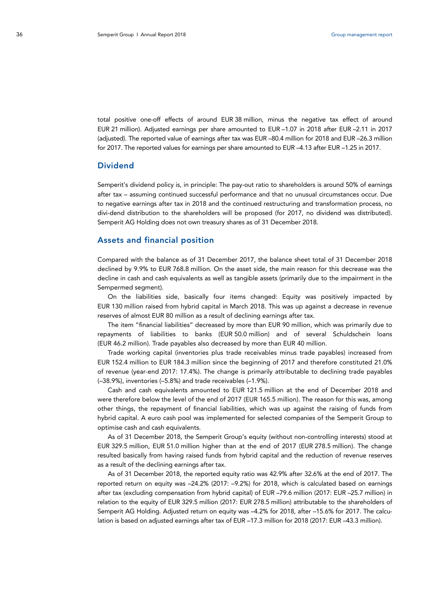total positive one-off effects of around EUR 38 million, minus the negative tax effect of around EUR 21 million). Adjusted earnings per share amounted to EUR –1.07 in 2018 after EUR –2.11 in 2017 (adjusted). The reported value of earnings after tax was EUR –80.4 million for 2018 and EUR –26.3 million for 2017. The reported values for earnings per share amounted to EUR –4.13 after EUR –1.25 in 2017.

# Dividend

Semperit's dividend policy is, in principle: The pay-out ratio to shareholders is around 50% of earnings after tax – assuming continued successful performance and that no unusual circumstances occur. Due to negative earnings after tax in 2018 and the continued restructuring and transformation process, no divi-dend distribution to the shareholders will be proposed (for 2017, no dividend was distributed). Semperit AG Holding does not own treasury shares as of 31 December 2018.

# Assets and financial position

Compared with the balance as of 31 December 2017, the balance sheet total of 31 December 2018 declined by 9.9% to EUR 768.8 million. On the asset side, the main reason for this decrease was the decline in cash and cash equivalents as well as tangible assets (primarily due to the impairment in the Sempermed segment).

On the liabilities side, basically four items changed: Equity was positively impacted by EUR 130 million raised from hybrid capital in March 2018. This was up against a decrease in revenue reserves of almost EUR 80 million as a result of declining earnings after tax.

The item "financial liabilities" decreased by more than EUR 90 million, which was primarily due to repayments of liabilities to banks (EUR 50.0 million) and of several Schuldschein loans (EUR 46.2 million). Trade payables also decreased by more than EUR 40 million.

Trade working capital (inventories plus trade receivables minus trade payables) increased from EUR 152.4 million to EUR 184.3 million since the beginning of 2017 and therefore constituted 21.0% of revenue (year-end 2017: 17.4%). The change is primarily attributable to declining trade payables (–38.9%), inventories (–5.8%) and trade receivables (–1.9%).

Cash and cash equivalents amounted to EUR 121.5 million at the end of December 2018 and were therefore below the level of the end of 2017 (EUR 165.5 million). The reason for this was, among other things, the repayment of financial liabilities, which was up against the raising of funds from hybrid capital. A euro cash pool was implemented for selected companies of the Semperit Group to optimise cash and cash equivalents.

As of 31 December 2018, the Semperit Group's equity (without non-controlling interests) stood at EUR 329.5 million, EUR 51.0 million higher than at the end of 2017 (EUR 278.5 million). The change resulted basically from having raised funds from hybrid capital and the reduction of revenue reserves as a result of the declining earnings after tax.

As of 31 December 2018, the reported equity ratio was 42.9% after 32.6% at the end of 2017. The reported return on equity was –24.2% (2017: –9.2%) for 2018, which is calculated based on earnings after tax (excluding compensation from hybrid capital) of EUR –79.6 million (2017: EUR –25.7 million) in relation to the equity of EUR 329.5 million (2017: EUR 278.5 million) attributable to the shareholders of Semperit AG Holding. Adjusted return on equity was –4.2% for 2018, after –15.6% for 2017. The calculation is based on adjusted earnings after tax of EUR –17.3 million for 2018 (2017: EUR –43.3 million).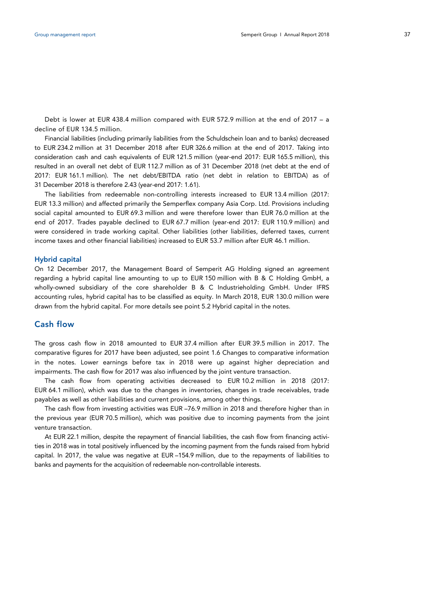Debt is lower at EUR 438.4 million compared with EUR 572.9 million at the end of 2017 – a decline of EUR 134.5 million.

Financial liabilities (including primarily liabilities from the Schuldschein loan and to banks) decreased to EUR 234.2 million at 31 December 2018 after EUR 326.6 million at the end of 2017. Taking into consideration cash and cash equivalents of EUR 121.5 million (year-end 2017: EUR 165.5 million), this resulted in an overall net debt of EUR 112.7 million as of 31 December 2018 (net debt at the end of 2017: EUR 161.1 million). The net debt/EBITDA ratio (net debt in relation to EBITDA) as of 31 December 2018 is therefore 2.43 (year-end 2017: 1.61).

The liabilities from redeemable non-controlling interests increased to EUR 13.4 million (2017: EUR 13.3 million) and affected primarily the Semperflex company Asia Corp. Ltd. Provisions including social capital amounted to EUR 69.3 million and were therefore lower than EUR 76.0 million at the end of 2017. Trades payable declined to EUR 67.7 million (year-end 2017: EUR 110.9 million) and were considered in trade working capital. Other liabilities (other liabilities, deferred taxes, current income taxes and other financial liabilities) increased to EUR 53.7 million after EUR 46.1 million.

#### Hybrid capital

On 12 December 2017, the Management Board of Semperit AG Holding signed an agreement regarding a hybrid capital line amounting to up to EUR 150 million with B & C Holding GmbH, a wholly-owned subsidiary of the core shareholder B & C Industrieholding GmbH. Under IFRS accounting rules, hybrid capital has to be classified as equity. In March 2018, EUR 130.0 million were drawn from the hybrid capital. For more details see point 5.2 Hybrid capital in the notes.

### Cash flow

The gross cash flow in 2018 amounted to EUR 37.4 million after EUR 39.5 million in 2017. The comparative figures for 2017 have been adjusted, see point 1.6 Changes to comparative information in the notes. Lower earnings before tax in 2018 were up against higher depreciation and impairments. The cash flow for 2017 was also influenced by the joint venture transaction.

The cash flow from operating activities decreased to EUR 10.2 million in 2018 (2017: EUR 64.1 million), which was due to the changes in inventories, changes in trade receivables, trade payables as well as other liabilities and current provisions, among other things.

The cash flow from investing activities was EUR –76.9 million in 2018 and therefore higher than in the previous year (EUR 70.5 million), which was positive due to incoming payments from the joint venture transaction.

At EUR 22.1 million, despite the repayment of financial liabilities, the cash flow from financing activities in 2018 was in total positively influenced by the incoming payment from the funds raised from hybrid capital. In 2017, the value was negative at EUR –154.9 million, due to the repayments of liabilities to banks and payments for the acquisition of redeemable non-controllable interests.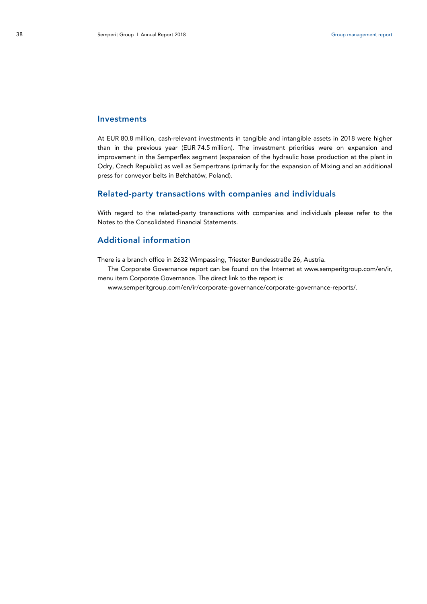# Investments

At EUR 80.8 million, cash-relevant investments in tangible and intangible assets in 2018 were higher than in the previous year (EUR 74.5 million). The investment priorities were on expansion and improvement in the Semperflex segment (expansion of the hydraulic hose production at the plant in Odry, Czech Republic) as well as Sempertrans (primarily for the expansion of Mixing and an additional press for conveyor belts in Bełchatów, Poland).

# Related-party transactions with companies and individuals

With regard to the related-party transactions with companies and individuals please refer to the Notes to the Consolidated Financial Statements.

# Additional information

There is a branch office in 2632 Wimpassing, Triester Bundesstraße 26, Austria.

The Corporate Governance report can be found on the Internet at www.semperitgroup.com/en/ir, menu item Corporate Governance. The direct link to the report is:

www.semperitgroup.com/en/ir/corporate-governance/corporate-governance-reports/.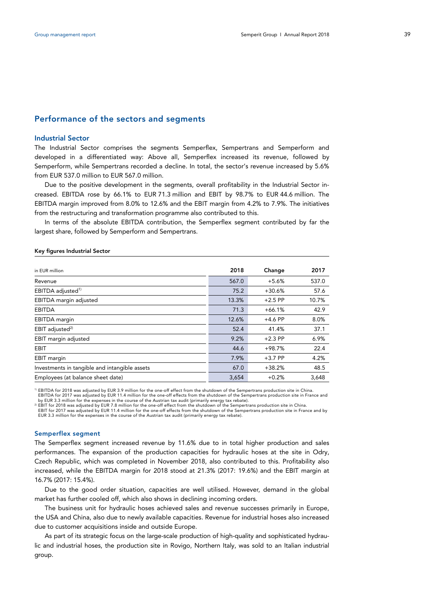# Performance of the sectors and segments

# Industrial Sector

The Industrial Sector comprises the segments Semperflex, Sempertrans and Semperform and developed in a differentiated way: Above all, Semperflex increased its revenue, followed by Semperform, while Sempertrans recorded a decline. In total, the sector's revenue increased by 5.6% from EUR 537.0 million to EUR 567.0 million.

Due to the positive development in the segments, overall profitability in the Industrial Sector increased. EBITDA rose by 66.1% to EUR 71.3 million and EBIT by 98.7% to EUR 44.6 million. The EBITDA margin improved from 8.0% to 12.6% and the EBIT margin from 4.2% to 7.9%. The initiatives from the restructuring and transformation programme also contributed to this.

In terms of the absolute EBITDA contribution, the Semperflex segment contributed by far the largest share, followed by Semperform and Sempertrans.

#### Key figures Industrial Sector

| in EUR million                                | 2018  | Change    | 2017  |
|-----------------------------------------------|-------|-----------|-------|
| Revenue                                       | 567.0 | $+5.6%$   | 537.0 |
| EBITDA adjusted <sup>1)</sup>                 | 75.2  | $+30.6%$  | 57.6  |
| EBITDA margin adjusted                        | 13.3% | $+2.5$ PP | 10.7% |
| <b>EBITDA</b>                                 | 71.3  | $+66.1%$  | 42.9  |
| <b>EBITDA</b> margin                          | 12.6% | $+4.6$ PP | 8.0%  |
| EBIT adjusted <sup>2)</sup>                   | 52.4  | 41.4%     | 37.1  |
| EBIT margin adjusted                          | 9.2%  | $+2.3$ PP | 6.9%  |
| EBIT                                          | 44.6  | $+98.7%$  | 22.4  |
| EBIT margin                                   | 7.9%  | $+3.7$ PP | 4.2%  |
| Investments in tangible and intangible assets | 67.0  | $+38.2%$  | 48.5  |
| Employees (at balance sheet date)             | 3,654 | $+0.2%$   | 3,648 |

1) EBITDA for 2018 was adjusted by EUR 3.9 million for the one-off effect from the shutdown of the Sempertrans production site in China

EBITDA for 2017 was adjusted by EUR 11.4 million for the one-off effects from the shutdown of the Sempertrans production site in France and<br>by EUR 3.3 million for the expenses in the course of the Austrian tax audit (prim EUR 3.3 million for the expenses in the course of the Austrian tax audit (primarily energy tax rebate).

#### Semperflex segment

The Semperflex segment increased revenue by 11.6% due to in total higher production and sales performances. The expansion of the production capacities for hydraulic hoses at the site in Odry, Czech Republic, which was completed in November 2018, also contributed to this. Profitability also increased, while the EBITDA margin for 2018 stood at 21.3% (2017: 19.6%) and the EBIT margin at 16.7% (2017: 15.4%).

Due to the good order situation, capacities are well utilised. However, demand in the global market has further cooled off, which also shows in declining incoming orders.

The business unit for hydraulic hoses achieved sales and revenue successes primarily in Europe, the USA and China, also due to newly available capacities. Revenue for industrial hoses also increased due to customer acquisitions inside and outside Europe.

As part of its strategic focus on the large-scale production of high-quality and sophisticated hydraulic and industrial hoses, the production site in Rovigo, Northern Italy, was sold to an Italian industrial group.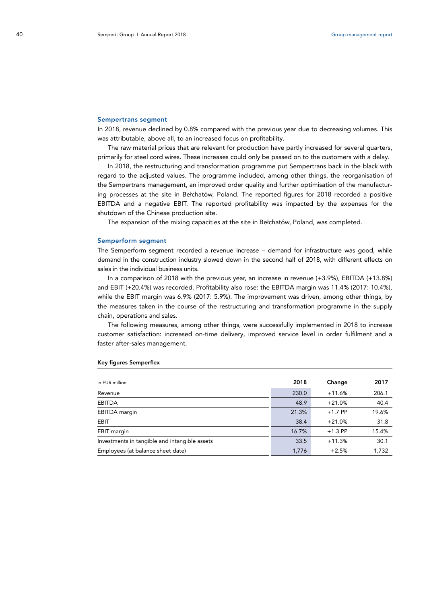#### Sempertrans segment

In 2018, revenue declined by 0.8% compared with the previous year due to decreasing volumes. This was attributable, above all, to an increased focus on profitability.

The raw material prices that are relevant for production have partly increased for several quarters, primarily for steel cord wires. These increases could only be passed on to the customers with a delay.

In 2018, the restructuring and transformation programme put Sempertrans back in the black with regard to the adjusted values. The programme included, among other things, the reorganisation of the Sempertrans management, an improved order quality and further optimisation of the manufacturing processes at the site in Bełchatów, Poland. The reported figures for 2018 recorded a positive EBITDA and a negative EBIT. The reported profitability was impacted by the expenses for the shutdown of the Chinese production site.

The expansion of the mixing capacities at the site in Bełchatów, Poland, was completed.

#### Semperform segment

The Semperform segment recorded a revenue increase – demand for infrastructure was good, while demand in the construction industry slowed down in the second half of 2018, with different effects on sales in the individual business units.

In a comparison of 2018 with the previous year, an increase in revenue (+3.9%), EBITDA (+13.8%) and EBIT (+20.4%) was recorded. Profitability also rose: the EBITDA margin was 11.4% (2017: 10.4%), while the EBIT margin was 6.9% (2017: 5.9%). The improvement was driven, among other things, by the measures taken in the course of the restructuring and transformation programme in the supply chain, operations and sales.

The following measures, among other things, were successfully implemented in 2018 to increase customer satisfaction: increased on-time delivery, improved service level in order fulfilment and a faster after-sales management.

| in EUR million                                | 2018  | Change    | 2017  |
|-----------------------------------------------|-------|-----------|-------|
| Revenue                                       | 230.0 | $+11.6%$  | 206.1 |
| <b>EBITDA</b>                                 | 48.9  | $+21.0%$  | 40.4  |
| EBITDA margin                                 | 21.3% | $+1.7$ PP | 19.6% |
| <b>EBIT</b>                                   | 38.4  | $+21.0%$  | 31.8  |
| EBIT margin                                   | 16.7% | $+1.3$ PP | 15.4% |
| Investments in tangible and intangible assets | 33.5  | $+11.3%$  | 30.1  |
| Employees (at balance sheet date)             | 1,776 | $+2.5%$   | 1,732 |
|                                               |       |           |       |

#### Key figures Semperflex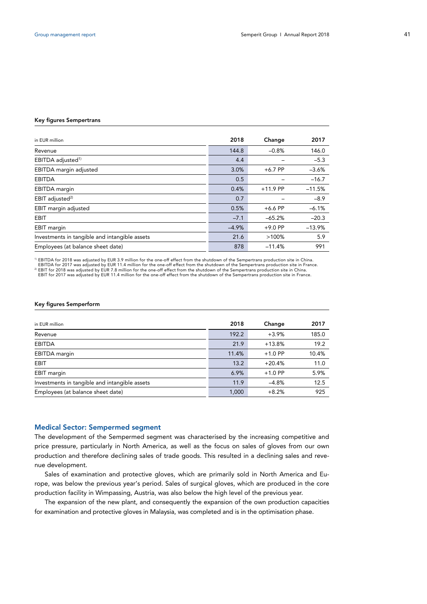#### Key figures Sempertrans

| 2018    | Change     | 2017     |
|---------|------------|----------|
| 144.8   | $-0.8%$    | 146.0    |
| 4.4     |            | $-5.3$   |
| 3.0%    | $+6.7$ PP  | $-3.6%$  |
| 0.5     |            | $-16.7$  |
| 0.4%    | $+11.9$ PP | $-11.5%$ |
| 0.7     |            | $-8.9$   |
| 0.5%    | $+6.6$ PP  | $-6.1%$  |
| $-7.1$  | $-65.2%$   | $-20.3$  |
| $-4.9%$ | $+9.0$ PP  | $-13.9%$ |
| 21.6    | >100%      | 5.9      |
| 878     | $-11.4%$   | 991      |
|         |            |          |

<sup>1</sup> EBITDA for 2018 was adjusted by EUR 3.9 million for the one-off effect from the shutdown of the Sempertrans production site in China.<br>■ EBITDA for 2017 was adjusted by EUR 11.4 million for the one-off effect from the

EBIT for 2017 was adjusted by EUR 11.4 million for the one-off effect from the shutdown of the Sempertrans production site in France.

#### Key figures Semperform

| in EUR million                                | 2018  | Change    | 2017  |
|-----------------------------------------------|-------|-----------|-------|
| Revenue                                       | 192.2 | $+3.9%$   | 185.0 |
| <b>EBITDA</b>                                 | 21.9  | $+13.8%$  | 19.2  |
| EBITDA margin                                 | 11.4% | $+1.0$ PP | 10.4% |
| EBIT                                          | 13.2  | $+20.4%$  | 11.0  |
| EBIT margin                                   | 6.9%  | $+1.0$ PP | 5.9%  |
| Investments in tangible and intangible assets | 11.9  | $-4.8%$   | 12.5  |
| Employees (at balance sheet date)             | 1,000 | $+8.2%$   | 925   |

i

# Medical Sector: Sempermed segment

The development of the Sempermed segment was characterised by the increasing competitive and price pressure, particularly in North America, as well as the focus on sales of gloves from our own production and therefore declining sales of trade goods. This resulted in a declining sales and revenue development.

Sales of examination and protective gloves, which are primarily sold in North America and Europe, was below the previous year's period. Sales of surgical gloves, which are produced in the core production facility in Wimpassing, Austria, was also below the high level of the previous year.

The expansion of the new plant, and consequently the expansion of the own production capacities for examination and protective gloves in Malaysia, was completed and is in the optimisation phase.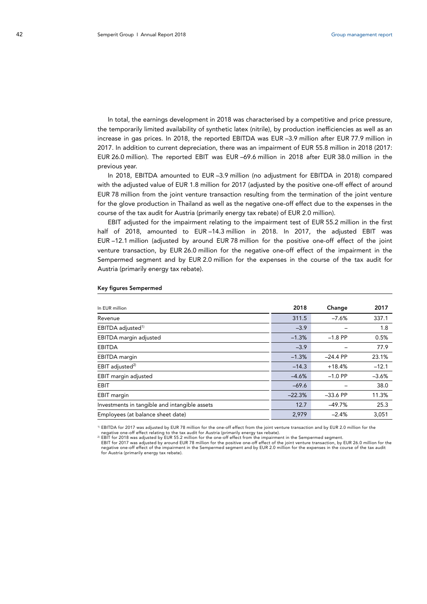In total, the earnings development in 2018 was characterised by a competitive and price pressure, the temporarily limited availability of synthetic latex (nitrile), by production inefficiencies as well as an increase in gas prices. In 2018, the reported EBITDA was EUR –3.9 million after EUR 77.9 million in 2017. In addition to current depreciation, there was an impairment of EUR 55.8 million in 2018 (2017: EUR 26.0 million). The reported EBIT was EUR –69.6 million in 2018 after EUR 38.0 million in the previous year.

In 2018, EBITDA amounted to EUR –3.9 million (no adjustment for EBITDA in 2018) compared with the adjusted value of EUR 1.8 million for 2017 (adjusted by the positive one-off effect of around EUR 78 million from the joint venture transaction resulting from the termination of the joint venture for the glove production in Thailand as well as the negative one-off effect due to the expenses in the course of the tax audit for Austria (primarily energy tax rebate) of EUR 2.0 million).

EBIT adjusted for the impairment relating to the impairment test of EUR 55.2 million in the first half of 2018, amounted to EUR –14.3 million in 2018. In 2017, the adjusted EBIT was EUR –12.1 million (adjusted by around EUR 78 million for the positive one-off effect of the joint venture transaction, by EUR 26.0 million for the negative one-off effect of the impairment in the Sempermed segment and by EUR 2.0 million for the expenses in the course of the tax audit for Austria (primarily energy tax rebate).

÷

| In EUR million                                | 2018     | Change     | 2017    |
|-----------------------------------------------|----------|------------|---------|
| Revenue                                       | 311.5    | $-7.6%$    | 337.1   |
| EBITDA adjusted <sup>1)</sup>                 | $-3.9$   |            | 1.8     |
| EBITDA margin adjusted                        | $-1.3%$  | $-1.8$ PP  | 0.5%    |
| <b>EBITDA</b>                                 | $-3.9$   |            | 77.9    |
| <b>EBITDA</b> margin                          | $-1.3%$  | $-24.4$ PP | 23.1%   |
| EBIT adjusted <sup>2)</sup>                   | $-14.3$  | $+18.4%$   | $-12.1$ |
| EBIT margin adjusted                          | $-4.6%$  | $-1.0$ PP  | $-3.6%$ |
| EBIT                                          | $-69.6$  |            | 38.0    |
| <b>EBIT</b> margin                            | $-22.3%$ | $-33.6$ PP | 11.3%   |
| Investments in tangible and intangible assets | 12.7     | $-49.7%$   | 25.3    |
| Employees (at balance sheet date)             | 2,979    | $-2.4%$    | 3,051   |

#### Key figures Sempermed

1) EBITDA for 2017 was adjusted by EUR 78 million for the one-off effect from the joint venture transaction and by EUR 2.0 million for the

negative one-off effect relating to the tax audit for Austria (primarily energy tax rebate).<br>© EBIT for 2018 was adjusted by EUR 55.2 million for the one-off effect from the impairment in the Sempermed segment.<br>EBIT for 20 negative one-off effect of the impairment in the Sempermed segment and by EUR 2.0 million for the expenses in the course of the tax audit for Austria (primarily energy tax rebate).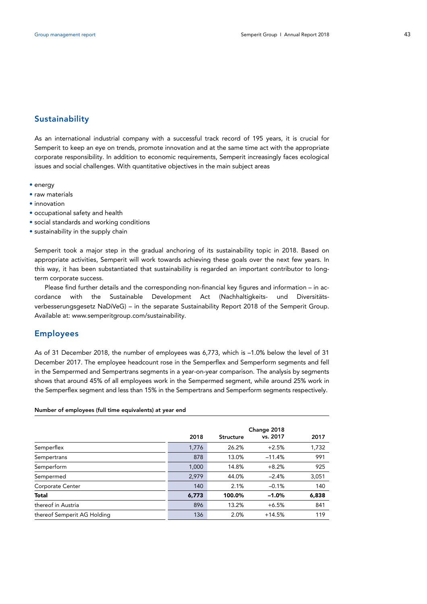# Sustainability

As an international industrial company with a successful track record of 195 years, it is crucial for Semperit to keep an eye on trends, promote innovation and at the same time act with the appropriate corporate responsibility. In addition to economic requirements, Semperit increasingly faces ecological issues and social challenges. With quantitative objectives in the main subject areas

- energy
- raw materials
- innovation
- occupational safety and health
- social standards and working conditions
- sustainability in the supply chain

Semperit took a major step in the gradual anchoring of its sustainability topic in 2018. Based on appropriate activities, Semperit will work towards achieving these goals over the next few years. In this way, it has been substantiated that sustainability is regarded an important contributor to longterm corporate success.

Please find further details and the corresponding non-financial key figures and information – in accordance with the Sustainable Development Act (Nachhaltigkeits- und Diversitätsverbesserungsgesetz NaDiVeG) – in the separate Sustainability Report 2018 of the Semperit Group. Available at: www.semperitgroup.com/sustainability.

# Employees

As of 31 December 2018, the number of employees was 6,773, which is –1.0% below the level of 31 December 2017. The employee headcount rose in the Semperflex and Semperform segments and fell in the Sempermed and Sempertrans segments in a year-on-year comparison. The analysis by segments shows that around 45% of all employees work in the Sempermed segment, while around 25% work in the Semperflex segment and less than 15% in the Sempertrans and Semperform segments respectively.

|                             |       | Change 2018      |          |       |
|-----------------------------|-------|------------------|----------|-------|
|                             | 2018  | <b>Structure</b> | vs. 2017 | 2017  |
| Semperflex                  | 1,776 | 26.2%            | $+2.5%$  | 1,732 |
| Sempertrans                 | 878   | 13.0%            | $-11.4%$ | 991   |
| Semperform                  | 1,000 | 14.8%            | $+8.2%$  | 925   |
| Sempermed                   | 2,979 | 44.0%            | $-2.4%$  | 3,051 |
| Corporate Center            | 140   | 2.1%             | $-0.1%$  | 140   |
| <b>Total</b>                | 6,773 | 100.0%           | $-1.0%$  | 6,838 |
| thereof in Austria          | 896   | 13.2%            | $+6.5%$  | 841   |
| thereof Semperit AG Holding | 136   | 2.0%             | $+14.5%$ | 119   |
|                             |       |                  |          |       |

#### Number of employees (full time equivalents) at year end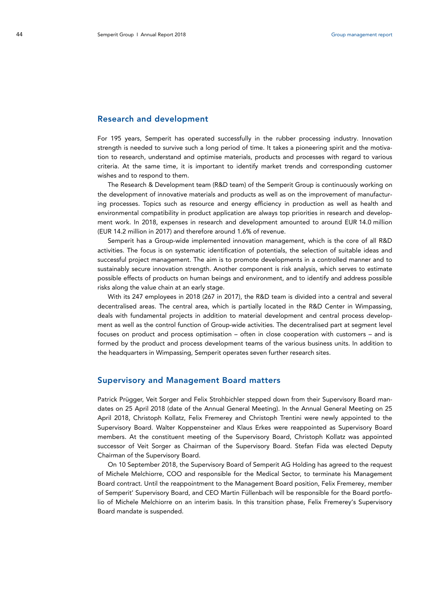# Research and development

For 195 years, Semperit has operated successfully in the rubber processing industry. Innovation strength is needed to survive such a long period of time. It takes a pioneering spirit and the motivation to research, understand and optimise materials, products and processes with regard to various criteria. At the same time, it is important to identify market trends and corresponding customer wishes and to respond to them.

The Research & Development team (R&D team) of the Semperit Group is continuously working on the development of innovative materials and products as well as on the improvement of manufacturing processes. Topics such as resource and energy efficiency in production as well as health and environmental compatibility in product application are always top priorities in research and development work. In 2018, expenses in research and development amounted to around EUR 14.0 million (EUR 14.2 million in 2017) and therefore around 1.6% of revenue.

Semperit has a Group-wide implemented innovation management, which is the core of all R&D activities. The focus is on systematic identification of potentials, the selection of suitable ideas and successful project management. The aim is to promote developments in a controlled manner and to sustainably secure innovation strength. Another component is risk analysis, which serves to estimate possible effects of products on human beings and environment, and to identify and address possible risks along the value chain at an early stage.

With its 247 employees in 2018 (267 in 2017), the R&D team is divided into a central and several decentralised areas. The central area, which is partially located in the R&D Center in Wimpassing, deals with fundamental projects in addition to material development and central process development as well as the control function of Group-wide activities. The decentralised part at segment level focuses on product and process optimisation – often in close cooperation with customers – and is formed by the product and process development teams of the various business units. In addition to the headquarters in Wimpassing, Semperit operates seven further research sites.

# Supervisory and Management Board matters

Patrick Prügger, Veit Sorger and Felix Strohbichler stepped down from their Supervisory Board mandates on 25 April 2018 (date of the Annual General Meeting). In the Annual General Meeting on 25 April 2018, Christoph Kollatz, Felix Fremerey and Christoph Trentini were newly appointed to the Supervisory Board. Walter Koppensteiner and Klaus Erkes were reappointed as Supervisory Board members. At the constituent meeting of the Supervisory Board, Christoph Kollatz was appointed successor of Veit Sorger as Chairman of the Supervisory Board. Stefan Fida was elected Deputy Chairman of the Supervisory Board.

On 10 September 2018, the Supervisory Board of Semperit AG Holding has agreed to the request of Michele Melchiorre, COO and responsible for the Medical Sector, to terminate his Management Board contract. Until the reappointment to the Management Board position, Felix Fremerey, member of Semperit' Supervisory Board, and CEO Martin Füllenbach will be responsible for the Board portfolio of Michele Melchiorre on an interim basis. In this transition phase, Felix Fremerey's Supervisory Board mandate is suspended.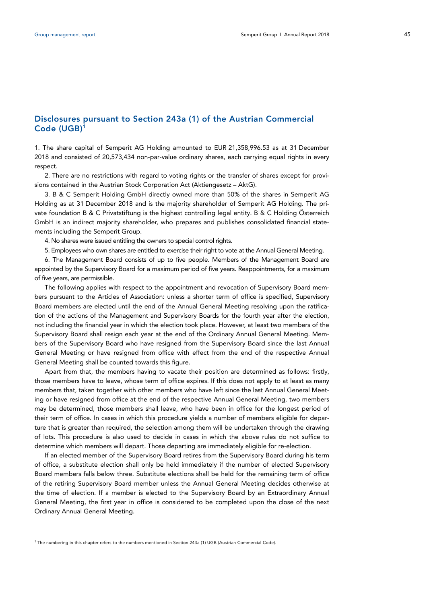# Disclosures pursuant to Section 243a (1) of the Austrian Commercial Code (UGB)1

1. The share capital of Semperit AG Holding amounted to EUR 21,358,996.53 as at 31 December 2018 and consisted of 20,573,434 non-par-value ordinary shares, each carrying equal rights in every respect.

2. There are no restrictions with regard to voting rights or the transfer of shares except for provisions contained in the Austrian Stock Corporation Act (Aktiengesetz – AktG).

3. B & C Semperit Holding GmbH directly owned more than 50% of the shares in Semperit AG Holding as at 31 December 2018 and is the majority shareholder of Semperit AG Holding. The private foundation B & C Privatstiftung is the highest controlling legal entity. B & C Holding Österreich GmbH is an indirect majority shareholder, who prepares and publishes consolidated financial statements including the Semperit Group.

4. No shares were issued entitling the owners to special control rights.

5. Employees who own shares are entitled to exercise their right to vote at the Annual General Meeting.

6. The Management Board consists of up to five people. Members of the Management Board are appointed by the Supervisory Board for a maximum period of five years. Reappointments, for a maximum of five years, are permissible.

The following applies with respect to the appointment and revocation of Supervisory Board members pursuant to the Articles of Association: unless a shorter term of office is specified, Supervisory Board members are elected until the end of the Annual General Meeting resolving upon the ratification of the actions of the Management and Supervisory Boards for the fourth year after the election, not including the financial year in which the election took place. However, at least two members of the Supervisory Board shall resign each year at the end of the Ordinary Annual General Meeting. Members of the Supervisory Board who have resigned from the Supervisory Board since the last Annual General Meeting or have resigned from office with effect from the end of the respective Annual General Meeting shall be counted towards this figure.

Apart from that, the members having to vacate their position are determined as follows: firstly, those members have to leave, whose term of office expires. If this does not apply to at least as many members that, taken together with other members who have left since the last Annual General Meeting or have resigned from office at the end of the respective Annual General Meeting, two members may be determined, those members shall leave, who have been in office for the longest period of their term of office. In cases in which this procedure yields a number of members eligible for departure that is greater than required, the selection among them will be undertaken through the drawing of lots. This procedure is also used to decide in cases in which the above rules do not suffice to determine which members will depart. Those departing are immediately eligible for re-election.

If an elected member of the Supervisory Board retires from the Supervisory Board during his term of office, a substitute election shall only be held immediately if the number of elected Supervisory Board members falls below three. Substitute elections shall be held for the remaining term of office of the retiring Supervisory Board member unless the Annual General Meeting decides otherwise at the time of election. If a member is elected to the Supervisory Board by an Extraordinary Annual General Meeting, the first year in office is considered to be completed upon the close of the next Ordinary Annual General Meeting.

<sup>1</sup> The numbering in this chapter refers to the numbers mentioned in Section 243a (1) UGB (Austrian Commercial Code).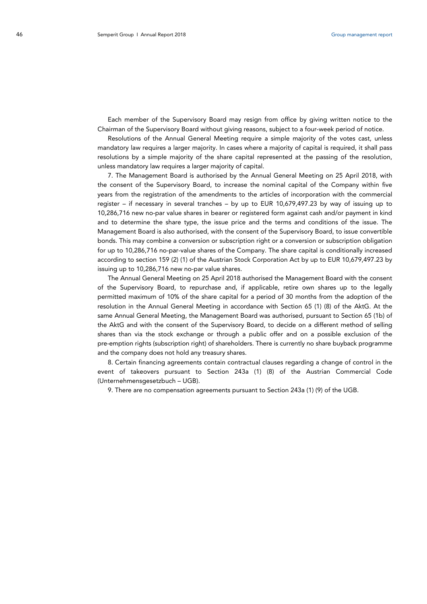Each member of the Supervisory Board may resign from office by giving written notice to the Chairman of the Supervisory Board without giving reasons, subject to a four-week period of notice.

Resolutions of the Annual General Meeting require a simple majority of the votes cast, unless mandatory law requires a larger majority. In cases where a majority of capital is required, it shall pass resolutions by a simple majority of the share capital represented at the passing of the resolution, unless mandatory law requires a larger majority of capital.

7. The Management Board is authorised by the Annual General Meeting on 25 April 2018, with the consent of the Supervisory Board, to increase the nominal capital of the Company within five years from the registration of the amendments to the articles of incorporation with the commercial register – if necessary in several tranches – by up to EUR 10,679,497.23 by way of issuing up to 10,286,716 new no-par value shares in bearer or registered form against cash and/or payment in kind and to determine the share type, the issue price and the terms and conditions of the issue. The Management Board is also authorised, with the consent of the Supervisory Board, to issue convertible bonds. This may combine a conversion or subscription right or a conversion or subscription obligation for up to 10,286,716 no-par-value shares of the Company. The share capital is conditionally increased according to section 159 (2) (1) of the Austrian Stock Corporation Act by up to EUR 10,679,497.23 by issuing up to 10,286,716 new no-par value shares.

The Annual General Meeting on 25 April 2018 authorised the Management Board with the consent of the Supervisory Board, to repurchase and, if applicable, retire own shares up to the legally permitted maximum of 10% of the share capital for a period of 30 months from the adoption of the resolution in the Annual General Meeting in accordance with Section 65 (1) (8) of the AktG. At the same Annual General Meeting, the Management Board was authorised, pursuant to Section 65 (1b) of the AktG and with the consent of the Supervisory Board, to decide on a different method of selling shares than via the stock exchange or through a public offer and on a possible exclusion of the pre-emption rights (subscription right) of shareholders. There is currently no share buyback programme and the company does not hold any treasury shares.

8. Certain financing agreements contain contractual clauses regarding a change of control in the event of takeovers pursuant to Section 243a (1) (8) of the Austrian Commercial Code (Unternehmensgesetzbuch – UGB).

9. There are no compensation agreements pursuant to Section 243a (1) (9) of the UGB.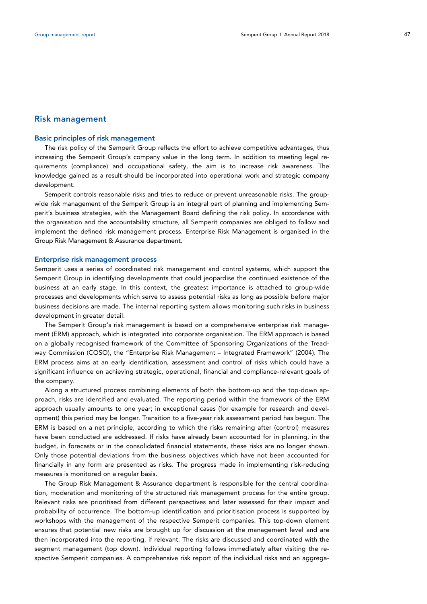# Risk management

#### Basic principles of risk management

The risk policy of the Semperit Group reflects the effort to achieve competitive advantages, thus increasing the Semperit Group's company value in the long term. In addition to meeting legal requirements (compliance) and occupational safety, the aim is to increase risk awareness. The knowledge gained as a result should be incorporated into operational work and strategic company development.

Semperit controls reasonable risks and tries to reduce or prevent unreasonable risks. The groupwide risk management of the Semperit Group is an integral part of planning and implementing Semperit's business strategies, with the Management Board defining the risk policy. In accordance with the organisation and the accountability structure, all Semperit companies are obliged to follow and implement the defined risk management process. Enterprise Risk Management is organised in the Group Risk Management & Assurance department.

#### Enterprise risk management process

Semperit uses a series of coordinated risk management and control systems, which support the Semperit Group in identifying developments that could jeopardise the continued existence of the business at an early stage. In this context, the greatest importance is attached to group-wide processes and developments which serve to assess potential risks as long as possible before major business decisions are made. The internal reporting system allows monitoring such risks in business development in greater detail.

The Semperit Group's risk management is based on a comprehensive enterprise risk management (ERM) approach, which is integrated into corporate organisation. The ERM approach is based on a globally recognised framework of the Committee of Sponsoring Organizations of the Treadway Commission (COSO), the "Enterprise Risk Management – Integrated Framework" (2004). The ERM process aims at an early identification, assessment and control of risks which could have a significant influence on achieving strategic, operational, financial and compliance-relevant goals of the company.

Along a structured process combining elements of both the bottom-up and the top-down approach, risks are identified and evaluated. The reporting period within the framework of the ERM approach usually amounts to one year; in exceptional cases (for example for research and development) this period may be longer. Transition to a five-year risk assessment period has begun. The ERM is based on a net principle, according to which the risks remaining after (control) measures have been conducted are addressed. If risks have already been accounted for in planning, in the budget, in forecasts or in the consolidated financial statements, these risks are no longer shown. Only those potential deviations from the business objectives which have not been accounted for financially in any form are presented as risks. The progress made in implementing risk-reducing measures is monitored on a regular basis.

The Group Risk Management & Assurance department is responsible for the central coordination, moderation and monitoring of the structured risk management process for the entire group. Relevant risks are prioritised from different perspectives and later assessed for their impact and probability of occurrence. The bottom-up identification and prioritisation process is supported by workshops with the management of the respective Semperit companies. This top-down element ensures that potential new risks are brought up for discussion at the management level and are then incorporated into the reporting, if relevant. The risks are discussed and coordinated with the segment management (top down). Individual reporting follows immediately after visiting the respective Semperit companies. A comprehensive risk report of the individual risks and an aggrega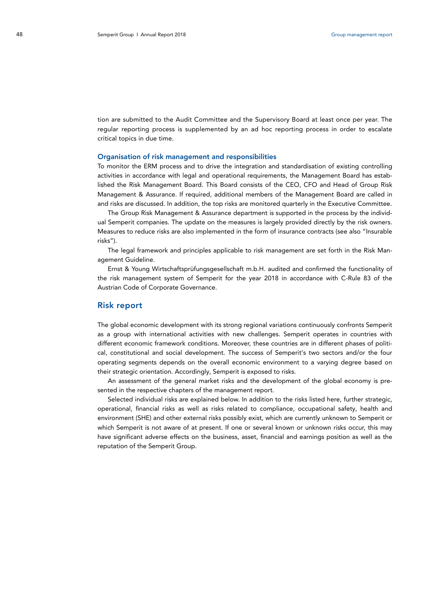tion are submitted to the Audit Committee and the Supervisory Board at least once per year. The regular reporting process is supplemented by an ad hoc reporting process in order to escalate critical topics in due time.

#### Organisation of risk management and responsibilities

To monitor the ERM process and to drive the integration and standardisation of existing controlling activities in accordance with legal and operational requirements, the Management Board has established the Risk Management Board. This Board consists of the CEO, CFO and Head of Group Risk Management & Assurance. If required, additional members of the Management Board are called in and risks are discussed. In addition, the top risks are monitored quarterly in the Executive Committee.

The Group Risk Management & Assurance department is supported in the process by the individual Semperit companies. The update on the measures is largely provided directly by the risk owners. Measures to reduce risks are also implemented in the form of insurance contracts (see also "Insurable risks").

The legal framework and principles applicable to risk management are set forth in the Risk Management Guideline.

Ernst & Young Wirtschaftsprüfungsgesellschaft m.b.H. audited and confirmed the functionality of the risk management system of Semperit for the year 2018 in accordance with C-Rule 83 of the Austrian Code of Corporate Governance.

### Risk report

The global economic development with its strong regional variations continuously confronts Semperit as a group with international activities with new challenges. Semperit operates in countries with different economic framework conditions. Moreover, these countries are in different phases of political, constitutional and social development. The success of Semperit's two sectors and/or the four operating segments depends on the overall economic environment to a varying degree based on their strategic orientation. Accordingly, Semperit is exposed to risks.

An assessment of the general market risks and the development of the global economy is presented in the respective chapters of the management report.

Selected individual risks are explained below. In addition to the risks listed here, further strategic, operational, financial risks as well as risks related to compliance, occupational safety, health and environment (SHE) and other external risks possibly exist, which are currently unknown to Semperit or which Semperit is not aware of at present. If one or several known or unknown risks occur, this may have significant adverse effects on the business, asset, financial and earnings position as well as the reputation of the Semperit Group.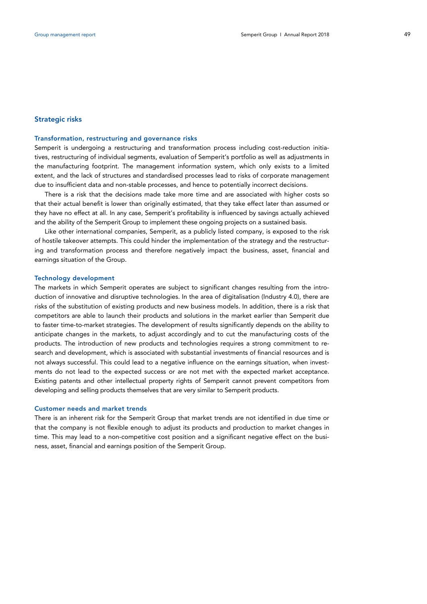#### Strategic risks

#### Transformation, restructuring and governance risks

Semperit is undergoing a restructuring and transformation process including cost-reduction initiatives, restructuring of individual segments, evaluation of Semperit's portfolio as well as adjustments in the manufacturing footprint. The management information system, which only exists to a limited extent, and the lack of structures and standardised processes lead to risks of corporate management due to insufficient data and non-stable processes, and hence to potentially incorrect decisions.

There is a risk that the decisions made take more time and are associated with higher costs so that their actual benefit is lower than originally estimated, that they take effect later than assumed or they have no effect at all. In any case, Semperit's profitability is influenced by savings actually achieved and the ability of the Semperit Group to implement these ongoing projects on a sustained basis.

Like other international companies, Semperit, as a publicly listed company, is exposed to the risk of hostile takeover attempts. This could hinder the implementation of the strategy and the restructuring and transformation process and therefore negatively impact the business, asset, financial and earnings situation of the Group.

#### Technology development

The markets in which Semperit operates are subject to significant changes resulting from the introduction of innovative and disruptive technologies. In the area of digitalisation (Industry 4.0), there are risks of the substitution of existing products and new business models. In addition, there is a risk that competitors are able to launch their products and solutions in the market earlier than Semperit due to faster time-to-market strategies. The development of results significantly depends on the ability to anticipate changes in the markets, to adjust accordingly and to cut the manufacturing costs of the products. The introduction of new products and technologies requires a strong commitment to research and development, which is associated with substantial investments of financial resources and is not always successful. This could lead to a negative influence on the earnings situation, when investments do not lead to the expected success or are not met with the expected market acceptance. Existing patents and other intellectual property rights of Semperit cannot prevent competitors from developing and selling products themselves that are very similar to Semperit products.

#### Customer needs and market trends

There is an inherent risk for the Semperit Group that market trends are not identified in due time or that the company is not flexible enough to adjust its products and production to market changes in time. This may lead to a non-competitive cost position and a significant negative effect on the business, asset, financial and earnings position of the Semperit Group.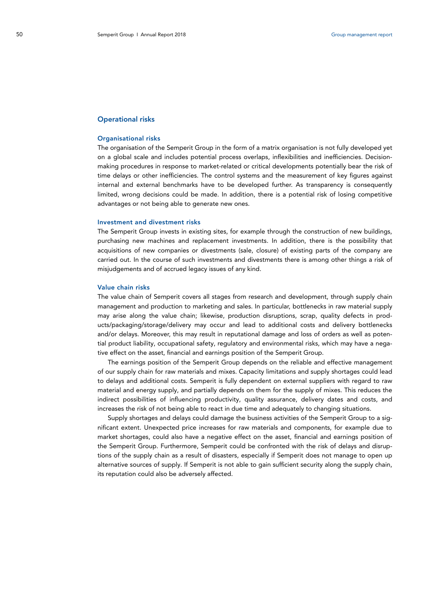#### Operational risks

#### Organisational risks

The organisation of the Semperit Group in the form of a matrix organisation is not fully developed yet on a global scale and includes potential process overlaps, inflexibilities and inefficiencies. Decisionmaking procedures in response to market-related or critical developments potentially bear the risk of time delays or other inefficiencies. The control systems and the measurement of key figures against internal and external benchmarks have to be developed further. As transparency is consequently limited, wrong decisions could be made. In addition, there is a potential risk of losing competitive advantages or not being able to generate new ones.

#### Investment and divestment risks

The Semperit Group invests in existing sites, for example through the construction of new buildings, purchasing new machines and replacement investments. In addition, there is the possibility that acquisitions of new companies or divestments (sale, closure) of existing parts of the company are carried out. In the course of such investments and divestments there is among other things a risk of misjudgements and of accrued legacy issues of any kind.

#### Value chain risks

The value chain of Semperit covers all stages from research and development, through supply chain management and production to marketing and sales. In particular, bottlenecks in raw material supply may arise along the value chain; likewise, production disruptions, scrap, quality defects in products/packaging/storage/delivery may occur and lead to additional costs and delivery bottlenecks and/or delays. Moreover, this may result in reputational damage and loss of orders as well as potential product liability, occupational safety, regulatory and environmental risks, which may have a negative effect on the asset, financial and earnings position of the Semperit Group.

The earnings position of the Semperit Group depends on the reliable and effective management of our supply chain for raw materials and mixes. Capacity limitations and supply shortages could lead to delays and additional costs. Semperit is fully dependent on external suppliers with regard to raw material and energy supply, and partially depends on them for the supply of mixes. This reduces the indirect possibilities of influencing productivity, quality assurance, delivery dates and costs, and increases the risk of not being able to react in due time and adequately to changing situations.

Supply shortages and delays could damage the business activities of the Semperit Group to a significant extent. Unexpected price increases for raw materials and components, for example due to market shortages, could also have a negative effect on the asset, financial and earnings position of the Semperit Group. Furthermore, Semperit could be confronted with the risk of delays and disruptions of the supply chain as a result of disasters, especially if Semperit does not manage to open up alternative sources of supply. If Semperit is not able to gain sufficient security along the supply chain, its reputation could also be adversely affected.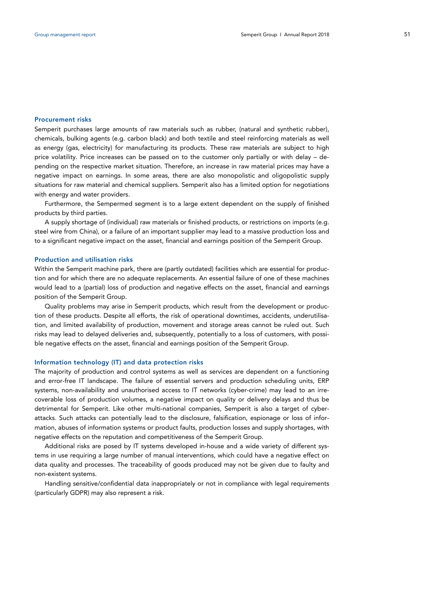#### Procurement risks

Semperit purchases large amounts of raw materials such as rubber, (natural and synthetic rubber), chemicals, bulking agents (e.g. carbon black) and both textile and steel reinforcing materials as well as energy (gas, electricity) for manufacturing its products. These raw materials are subject to high price volatility. Price increases can be passed on to the customer only partially or with delay – depending on the respective market situation. Therefore, an increase in raw material prices may have a negative impact on earnings. In some areas, there are also monopolistic and oligopolistic supply situations for raw material and chemical suppliers. Semperit also has a limited option for negotiations with energy and water providers.

Furthermore, the Sempermed segment is to a large extent dependent on the supply of finished products by third parties.

A supply shortage of (individual) raw materials or finished products, or restrictions on imports (e.g. steel wire from China), or a failure of an important supplier may lead to a massive production loss and to a significant negative impact on the asset, financial and earnings position of the Semperit Group.

#### Production and utilisation risks

Within the Semperit machine park, there are (partly outdated) facilities which are essential for production and for which there are no adequate replacements. An essential failure of one of these machines would lead to a (partial) loss of production and negative effects on the asset, financial and earnings position of the Semperit Group.

Quality problems may arise in Semperit products, which result from the development or production of these products. Despite all efforts, the risk of operational downtimes, accidents, underutilisation, and limited availability of production, movement and storage areas cannot be ruled out. Such risks may lead to delayed deliveries and, subsequently, potentially to a loss of customers, with possible negative effects on the asset, financial and earnings position of the Semperit Group.

#### Information technology (IT) and data protection risks

The majority of production and control systems as well as services are dependent on a functioning and error-free IT landscape. The failure of essential servers and production scheduling units, ERP systems, non-availability and unauthorised access to IT networks (cyber-crime) may lead to an irrecoverable loss of production volumes, a negative impact on quality or delivery delays and thus be detrimental for Semperit. Like other multi-national companies, Semperit is also a target of cyberattacks. Such attacks can potentially lead to the disclosure, falsification, espionage or loss of information, abuses of information systems or product faults, production losses and supply shortages, with negative effects on the reputation and competitiveness of the Semperit Group.

Additional risks are posed by IT systems developed in-house and a wide variety of different systems in use requiring a large number of manual interventions, which could have a negative effect on data quality and processes. The traceability of goods produced may not be given due to faulty and non-existent systems.

Handling sensitive/confidential data inappropriately or not in compliance with legal requirements (particularly GDPR) may also represent a risk.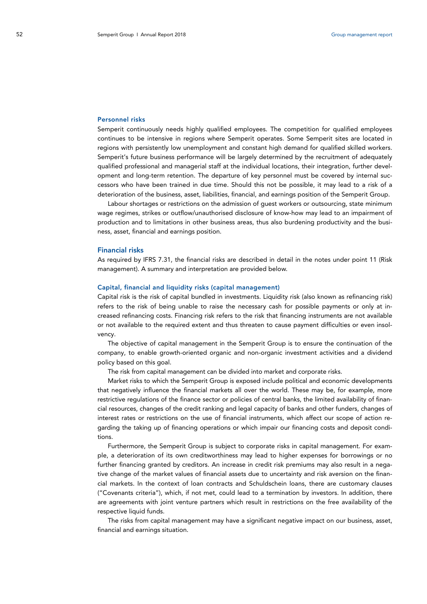#### Personnel risks

Semperit continuously needs highly qualified employees. The competition for qualified employees continues to be intensive in regions where Semperit operates. Some Semperit sites are located in regions with persistently low unemployment and constant high demand for qualified skilled workers. Semperit's future business performance will be largely determined by the recruitment of adequately qualified professional and managerial staff at the individual locations, their integration, further development and long-term retention. The departure of key personnel must be covered by internal successors who have been trained in due time. Should this not be possible, it may lead to a risk of a deterioration of the business, asset, liabilities, financial, and earnings position of the Semperit Group.

Labour shortages or restrictions on the admission of guest workers or outsourcing, state minimum wage regimes, strikes or outflow/unauthorised disclosure of know-how may lead to an impairment of production and to limitations in other business areas, thus also burdening productivity and the business, asset, financial and earnings position.

#### Financial risks

As required by IFRS 7.31, the financial risks are described in detail in the notes under point 11 (Risk management). A summary and interpretation are provided below.

#### Capital, financial and liquidity risks (capital management)

Capital risk is the risk of capital bundled in investments. Liquidity risk (also known as refinancing risk) refers to the risk of being unable to raise the necessary cash for possible payments or only at increased refinancing costs. Financing risk refers to the risk that financing instruments are not available or not available to the required extent and thus threaten to cause payment difficulties or even insolvency.

The objective of capital management in the Semperit Group is to ensure the continuation of the company, to enable growth-oriented organic and non-organic investment activities and a dividend policy based on this goal.

The risk from capital management can be divided into market and corporate risks.

Market risks to which the Semperit Group is exposed include political and economic developments that negatively influence the financial markets all over the world. These may be, for example, more restrictive regulations of the finance sector or policies of central banks, the limited availability of financial resources, changes of the credit ranking and legal capacity of banks and other funders, changes of interest rates or restrictions on the use of financial instruments, which affect our scope of action regarding the taking up of financing operations or which impair our financing costs and deposit conditions.

Furthermore, the Semperit Group is subject to corporate risks in capital management. For example, a deterioration of its own creditworthiness may lead to higher expenses for borrowings or no further financing granted by creditors. An increase in credit risk premiums may also result in a negative change of the market values of financial assets due to uncertainty and risk aversion on the financial markets. In the context of loan contracts and Schuldschein loans, there are customary clauses ("Covenants criteria"), which, if not met, could lead to a termination by investors. In addition, there are agreements with joint venture partners which result in restrictions on the free availability of the respective liquid funds.

The risks from capital management may have a significant negative impact on our business, asset, financial and earnings situation.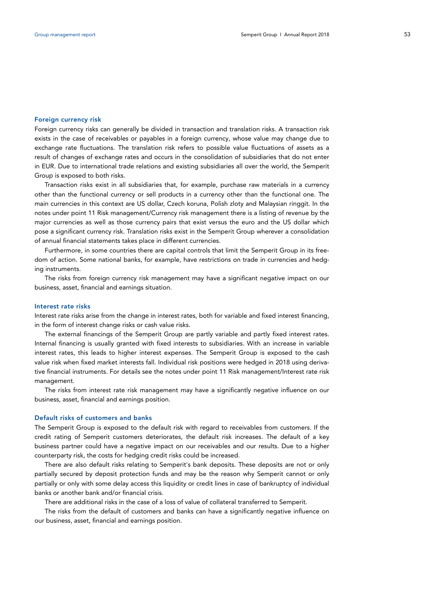#### Foreign currency risk

Foreign currency risks can generally be divided in transaction and translation risks. A transaction risk exists in the case of receivables or payables in a foreign currency, whose value may change due to exchange rate fluctuations. The translation risk refers to possible value fluctuations of assets as a result of changes of exchange rates and occurs in the consolidation of subsidiaries that do not enter in EUR. Due to international trade relations and existing subsidiaries all over the world, the Semperit Group is exposed to both risks.

Transaction risks exist in all subsidiaries that, for example, purchase raw materials in a currency other than the functional currency or sell products in a currency other than the functional one. The main currencies in this context are US dollar, Czech koruna, Polish zloty and Malaysian ringgit. In the notes under point 11 Risk management/Currency risk management there is a listing of revenue by the major currencies as well as those currency pairs that exist versus the euro and the US dollar which pose a significant currency risk. Translation risks exist in the Semperit Group wherever a consolidation of annual financial statements takes place in different currencies.

Furthermore, in some countries there are capital controls that limit the Semperit Group in its freedom of action. Some national banks, for example, have restrictions on trade in currencies and hedging instruments.

The risks from foreign currency risk management may have a significant negative impact on our business, asset, financial and earnings situation.

#### Interest rate risks

Interest rate risks arise from the change in interest rates, both for variable and fixed interest financing, in the form of interest change risks or cash value risks.

The external financings of the Semperit Group are partly variable and partly fixed interest rates. Internal financing is usually granted with fixed interests to subsidiaries. With an increase in variable interest rates, this leads to higher interest expenses. The Semperit Group is exposed to the cash value risk when fixed market interests fall. Individual risk positions were hedged in 2018 using derivative financial instruments. For details see the notes under point 11 Risk management/Interest rate risk management.

The risks from interest rate risk management may have a significantly negative influence on our business, asset, financial and earnings position.

#### Default risks of customers and banks

The Semperit Group is exposed to the default risk with regard to receivables from customers. If the credit rating of Semperit customers deteriorates, the default risk increases. The default of a key business partner could have a negative impact on our receivables and our results. Due to a higher counterparty risk, the costs for hedging credit risks could be increased.

There are also default risks relating to Semperit's bank deposits. These deposits are not or only partially secured by deposit protection funds and may be the reason why Semperit cannot or only partially or only with some delay access this liquidity or credit lines in case of bankruptcy of individual banks or another bank and/or financial crisis.

There are additional risks in the case of a loss of value of collateral transferred to Semperit.

The risks from the default of customers and banks can have a significantly negative influence on our business, asset, financial and earnings position.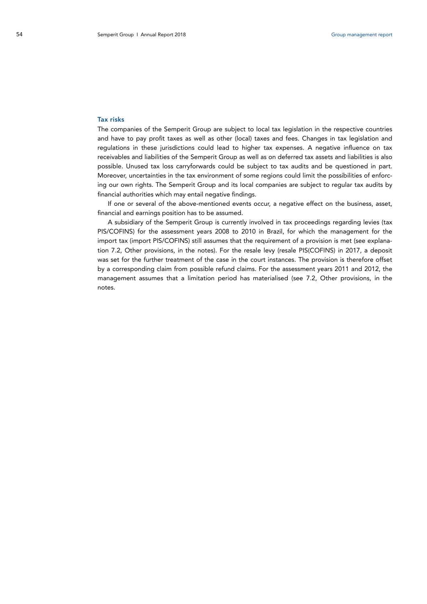#### Tax risks

The companies of the Semperit Group are subject to local tax legislation in the respective countries and have to pay profit taxes as well as other (local) taxes and fees. Changes in tax legislation and regulations in these jurisdictions could lead to higher tax expenses. A negative influence on tax receivables and liabilities of the Semperit Group as well as on deferred tax assets and liabilities is also possible. Unused tax loss carryforwards could be subject to tax audits and be questioned in part. Moreover, uncertainties in the tax environment of some regions could limit the possibilities of enforcing our own rights. The Semperit Group and its local companies are subject to regular tax audits by financial authorities which may entail negative findings.

If one or several of the above-mentioned events occur, a negative effect on the business, asset, financial and earnings position has to be assumed.

A subsidiary of the Semperit Group is currently involved in tax proceedings regarding levies (tax PIS/COFINS) for the assessment years 2008 to 2010 in Brazil, for which the management for the import tax (import PIS/COFINS) still assumes that the requirement of a provision is met (see explanation 7.2, Other provisions, in the notes). For the resale levy (resale PIS(COFINS) in 2017, a deposit was set for the further treatment of the case in the court instances. The provision is therefore offset by a corresponding claim from possible refund claims. For the assessment years 2011 and 2012, the management assumes that a limitation period has materialised (see 7.2, Other provisions, in the notes.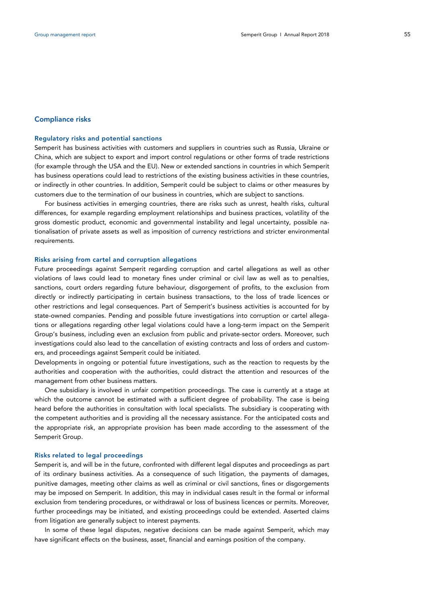#### Compliance risks

#### Regulatory risks and potential sanctions

Semperit has business activities with customers and suppliers in countries such as Russia, Ukraine or China, which are subject to export and import control regulations or other forms of trade restrictions (for example through the USA and the EU). New or extended sanctions in countries in which Semperit has business operations could lead to restrictions of the existing business activities in these countries, or indirectly in other countries. In addition, Semperit could be subject to claims or other measures by customers due to the termination of our business in countries, which are subject to sanctions.

For business activities in emerging countries, there are risks such as unrest, health risks, cultural differences, for example regarding employment relationships and business practices, volatility of the gross domestic product, economic and governmental instability and legal uncertainty, possible nationalisation of private assets as well as imposition of currency restrictions and stricter environmental requirements.

#### Risks arising from cartel and corruption allegations

Future proceedings against Semperit regarding corruption and cartel allegations as well as other violations of laws could lead to monetary fines under criminal or civil law as well as to penalties, sanctions, court orders regarding future behaviour, disgorgement of profits, to the exclusion from directly or indirectly participating in certain business transactions, to the loss of trade licences or other restrictions and legal consequences. Part of Semperit's business activities is accounted for by state-owned companies. Pending and possible future investigations into corruption or cartel allegations or allegations regarding other legal violations could have a long-term impact on the Semperit Group's business, including even an exclusion from public and private-sector orders. Moreover, such investigations could also lead to the cancellation of existing contracts and loss of orders and customers, and proceedings against Semperit could be initiated.

Developments in ongoing or potential future investigations, such as the reaction to requests by the authorities and cooperation with the authorities, could distract the attention and resources of the management from other business matters.

One subsidiary is involved in unfair competition proceedings. The case is currently at a stage at which the outcome cannot be estimated with a sufficient degree of probability. The case is being heard before the authorities in consultation with local specialists. The subsidiary is cooperating with the competent authorities and is providing all the necessary assistance. For the anticipated costs and the appropriate risk, an appropriate provision has been made according to the assessment of the Semperit Group.

#### Risks related to legal proceedings

Semperit is, and will be in the future, confronted with different legal disputes and proceedings as part of its ordinary business activities. As a consequence of such litigation, the payments of damages, punitive damages, meeting other claims as well as criminal or civil sanctions, fines or disgorgements may be imposed on Semperit. In addition, this may in individual cases result in the formal or informal exclusion from tendering procedures, or withdrawal or loss of business licences or permits. Moreover, further proceedings may be initiated, and existing proceedings could be extended. Asserted claims from litigation are generally subject to interest payments.

In some of these legal disputes, negative decisions can be made against Semperit, which may have significant effects on the business, asset, financial and earnings position of the company.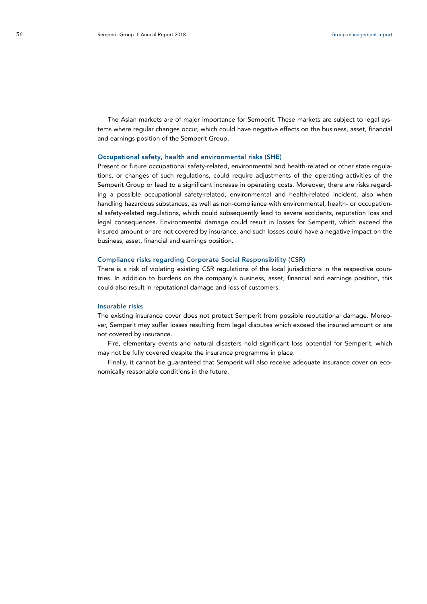The Asian markets are of major importance for Semperit. These markets are subject to legal systems where regular changes occur, which could have negative effects on the business, asset, financial and earnings position of the Semperit Group.

### Occupational safety, health and environmental risks (SHE)

Present or future occupational safety-related, environmental and health-related or other state regulations, or changes of such regulations, could require adjustments of the operating activities of the Semperit Group or lead to a significant increase in operating costs. Moreover, there are risks regarding a possible occupational safety-related, environmental and health-related incident, also when handling hazardous substances, as well as non-compliance with environmental, health- or occupational safety-related regulations, which could subsequently lead to severe accidents, reputation loss and legal consequences. Environmental damage could result in losses for Semperit, which exceed the insured amount or are not covered by insurance, and such losses could have a negative impact on the business, asset, financial and earnings position.

#### Compliance risks regarding Corporate Social Responsibility (CSR)

There is a risk of violating existing CSR regulations of the local jurisdictions in the respective countries. In addition to burdens on the company's business, asset, financial and earnings position, this could also result in reputational damage and loss of customers.

#### Insurable risks

The existing insurance cover does not protect Semperit from possible reputational damage. Moreover, Semperit may suffer losses resulting from legal disputes which exceed the insured amount or are not covered by insurance.

Fire, elementary events and natural disasters hold significant loss potential for Semperit, which may not be fully covered despite the insurance programme in place.

Finally, it cannot be guaranteed that Semperit will also receive adequate insurance cover on economically reasonable conditions in the future.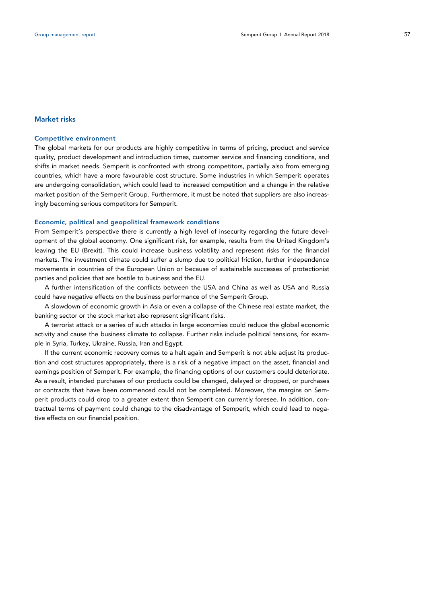#### Market risks

#### Competitive environment

The global markets for our products are highly competitive in terms of pricing, product and service quality, product development and introduction times, customer service and financing conditions, and shifts in market needs. Semperit is confronted with strong competitors, partially also from emerging countries, which have a more favourable cost structure. Some industries in which Semperit operates are undergoing consolidation, which could lead to increased competition and a change in the relative market position of the Semperit Group. Furthermore, it must be noted that suppliers are also increasingly becoming serious competitors for Semperit.

#### Economic, political and geopolitical framework conditions

From Semperit's perspective there is currently a high level of insecurity regarding the future development of the global economy. One significant risk, for example, results from the United Kingdom's leaving the EU (Brexit). This could increase business volatility and represent risks for the financial markets. The investment climate could suffer a slump due to political friction, further independence movements in countries of the European Union or because of sustainable successes of protectionist parties and policies that are hostile to business and the EU.

A further intensification of the conflicts between the USA and China as well as USA and Russia could have negative effects on the business performance of the Semperit Group.

A slowdown of economic growth in Asia or even a collapse of the Chinese real estate market, the banking sector or the stock market also represent significant risks.

A terrorist attack or a series of such attacks in large economies could reduce the global economic activity and cause the business climate to collapse. Further risks include political tensions, for example in Syria, Turkey, Ukraine, Russia, Iran and Egypt.

If the current economic recovery comes to a halt again and Semperit is not able adjust its production and cost structures appropriately, there is a risk of a negative impact on the asset, financial and earnings position of Semperit. For example, the financing options of our customers could deteriorate. As a result, intended purchases of our products could be changed, delayed or dropped, or purchases or contracts that have been commenced could not be completed. Moreover, the margins on Semperit products could drop to a greater extent than Semperit can currently foresee. In addition, contractual terms of payment could change to the disadvantage of Semperit, which could lead to negative effects on our financial position.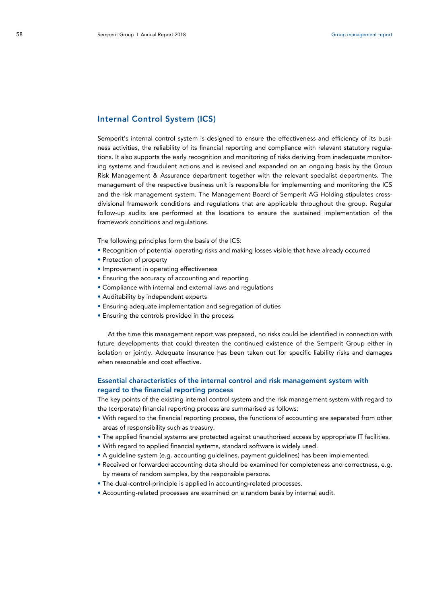# Internal Control System (ICS)

Semperit's internal control system is designed to ensure the effectiveness and efficiency of its business activities, the reliability of its financial reporting and compliance with relevant statutory regulations. It also supports the early recognition and monitoring of risks deriving from inadequate monitoring systems and fraudulent actions and is revised and expanded on an ongoing basis by the Group Risk Management & Assurance department together with the relevant specialist departments. The management of the respective business unit is responsible for implementing and monitoring the ICS and the risk management system. The Management Board of Semperit AG Holding stipulates crossdivisional framework conditions and regulations that are applicable throughout the group. Regular follow-up audits are performed at the locations to ensure the sustained implementation of the framework conditions and regulations.

The following principles form the basis of the ICS:

- Recognition of potential operating risks and making losses visible that have already occurred
- Protection of property
- Improvement in operating effectiveness
- Ensuring the accuracy of accounting and reporting
- Compliance with internal and external laws and regulations
- Auditability by independent experts
- Ensuring adequate implementation and segregation of duties
- Ensuring the controls provided in the process

At the time this management report was prepared, no risks could be identified in connection with future developments that could threaten the continued existence of the Semperit Group either in isolation or jointly. Adequate insurance has been taken out for specific liability risks and damages when reasonable and cost effective.

# Essential characteristics of the internal control and risk management system with regard to the financial reporting process

The key points of the existing internal control system and the risk management system with regard to the (corporate) financial reporting process are summarised as follows:

- With regard to the financial reporting process, the functions of accounting are separated from other areas of responsibility such as treasury.
- The applied financial systems are protected against unauthorised access by appropriate IT facilities.
- With regard to applied financial systems, standard software is widely used.
- A guideline system (e.g. accounting guidelines, payment guidelines) has been implemented.
- Received or forwarded accounting data should be examined for completeness and correctness, e.g. by means of random samples, by the responsible persons.
- The dual-control-principle is applied in accounting-related processes.
- Accounting-related processes are examined on a random basis by internal audit.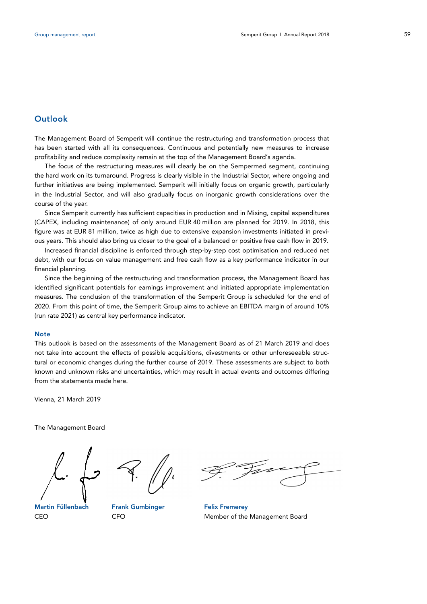# **Outlook**

The Management Board of Semperit will continue the restructuring and transformation process that has been started with all its consequences. Continuous and potentially new measures to increase profitability and reduce complexity remain at the top of the Management Board's agenda.

The focus of the restructuring measures will clearly be on the Sempermed segment, continuing the hard work on its turnaround. Progress is clearly visible in the Industrial Sector, where ongoing and further initiatives are being implemented. Semperit will initially focus on organic growth, particularly in the Industrial Sector, and will also gradually focus on inorganic growth considerations over the course of the year.

Since Semperit currently has sufficient capacities in production and in Mixing, capital expenditures (CAPEX, including maintenance) of only around EUR 40 million are planned for 2019. In 2018, this figure was at EUR 81 million, twice as high due to extensive expansion investments initiated in previous years. This should also bring us closer to the goal of a balanced or positive free cash flow in 2019.

Increased financial discipline is enforced through step-by-step cost optimisation and reduced net debt, with our focus on value management and free cash flow as a key performance indicator in our financial planning.

Since the beginning of the restructuring and transformation process, the Management Board has identified significant potentials for earnings improvement and initiated appropriate implementation measures. The conclusion of the transformation of the Semperit Group is scheduled for the end of 2020. From this point of time, the Semperit Group aims to achieve an EBITDA margin of around 10% (run rate 2021) as central key performance indicator.

#### **Note**

This outlook is based on the assessments of the Management Board as of 21 March 2019 and does not take into account the effects of possible acquisitions, divestments or other unforeseeable structural or economic changes during the further course of 2019. These assessments are subject to both known and unknown risks and uncertainties, which may result in actual events and outcomes differing from the statements made here.

Vienna, 21 March 2019

The Management Board

Martin Füllenbach C<sub>EO</sub>

Frank Gumbinger CFO

Felix Fremerey Member of the Management Board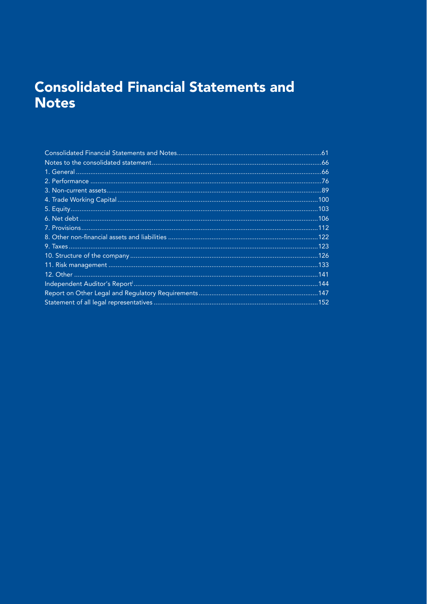# **Consolidated Financial Statements and Notes**

| .66  |
|------|
| .66  |
| .76  |
|      |
| .100 |
| 103  |
| .106 |
| .112 |
|      |
| 123  |
|      |
| .133 |
| .141 |
| 144  |
| .147 |
|      |
|      |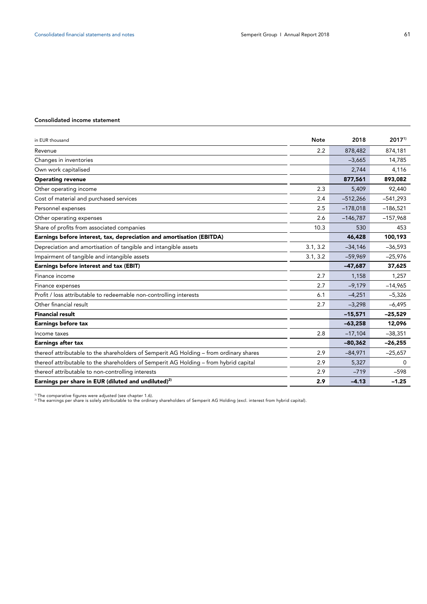#### Consolidated income statement

| in EUR thousand                                                                        | Note     | 2018       | $2017^{1}$   |
|----------------------------------------------------------------------------------------|----------|------------|--------------|
| Revenue                                                                                | 2.2      | 878,482    | 874,181      |
| Changes in inventories                                                                 |          | $-3,665$   | 14,785       |
| Own work capitalised                                                                   |          | 2,744      | 4,116        |
| <b>Operating revenue</b>                                                               |          | 877,561    | 893,082      |
| Other operating income                                                                 | 2.3      | 5,409      | 92,440       |
| Cost of material and purchased services                                                | 2.4      | $-512,266$ | $-541,293$   |
| Personnel expenses                                                                     | 2.5      | $-178,018$ | $-186,521$   |
| Other operating expenses                                                               | 2.6      | $-146,787$ | $-157,968$   |
| Share of profits from associated companies                                             | 10.3     | 530        | 453          |
| Earnings before interest, tax, depreciation and amortisation (EBITDA)                  |          | 46,428     | 100,193      |
| Depreciation and amortisation of tangible and intangible assets                        | 3.1, 3.2 | $-34,146$  | $-36,593$    |
| Impairment of tangible and intangible assets                                           | 3.1, 3.2 | $-59,969$  | $-25,976$    |
| Earnings before interest and tax (EBIT)                                                |          | $-47,687$  | 37,625       |
| Finance income                                                                         | 2.7      | 1,158      | 1,257        |
| Finance expenses                                                                       | 2.7      | $-9,179$   | $-14,965$    |
| Profit / loss attributable to redeemable non-controlling interests                     | 6.1      | $-4,251$   | $-5,326$     |
| Other financial result                                                                 | 2.7      | $-3,298$   | $-6,495$     |
| <b>Financial result</b>                                                                |          | $-15,571$  | $-25,529$    |
| Earnings before tax                                                                    |          | $-63,258$  | 12,096       |
| Income taxes                                                                           | 2.8      | $-17,104$  | $-38,351$    |
| <b>Earnings after tax</b>                                                              |          | $-80,362$  | $-26,255$    |
| thereof attributable to the shareholders of Semperit AG Holding – from ordinary shares | 2.9      | $-84,971$  | $-25,657$    |
| thereof attributable to the shareholders of Semperit AG Holding - from hybrid capital  | 2.9      | 5,327      | $\mathbf{0}$ |
| thereof attributable to non-controlling interests                                      | 2.9      | $-719$     | $-598$       |
| Earnings per share in EUR (diluted and undiluted) <sup>2)</sup>                        | 2.9      | $-4.13$    | $-1.25$      |

<sup>1)</sup> The comparative figures were adjusted (see chapter 1.6).<br><sup>2)</sup> The earnings per share is solely attributable to the ordinary shareholders of Semperit AG Holding (excl. interest from hybrid capital).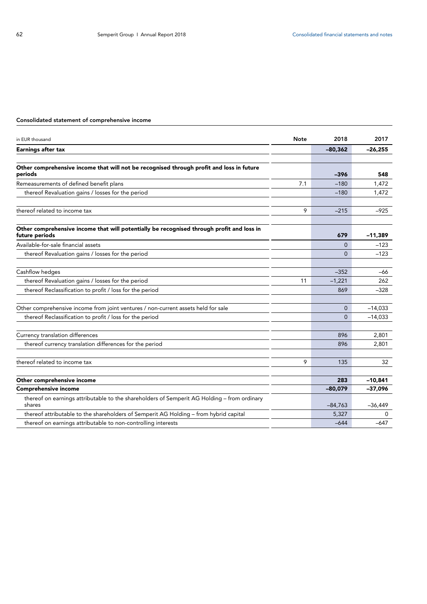# Consolidated statement of comprehensive income

| in EUR thousand                                                                                             | <b>Note</b> | 2018           | 2017      |
|-------------------------------------------------------------------------------------------------------------|-------------|----------------|-----------|
| <b>Earnings after tax</b>                                                                                   |             | $-80,362$      | $-26,255$ |
|                                                                                                             |             |                |           |
| Other comprehensive income that will not be recognised through profit and loss in future<br>periods         |             | -396           | 548       |
| Remeasurements of defined benefit plans                                                                     | 7.1         | $-180$         | 1,472     |
| thereof Revaluation gains / losses for the period                                                           |             | $-180$         | 1,472     |
|                                                                                                             |             |                |           |
| thereof related to income tax                                                                               | 9           | $-215$         | $-925$    |
| Other comprehensive income that will potentially be recognised through profit and loss in<br>future periods |             | 679            | $-11,389$ |
| Available-for-sale financial assets                                                                         |             | $\overline{0}$ | $-123$    |
| thereof Revaluation gains / losses for the period                                                           |             | $\overline{0}$ | $-123$    |
|                                                                                                             |             |                |           |
| Cashflow hedges                                                                                             |             | $-352$         | -66       |
| thereof Revaluation gains / losses for the period                                                           | 11          | $-1,221$       | 262       |
| thereof Reclassification to profit / loss for the period                                                    |             | 869            | $-328$    |
| Other comprehensive income from joint ventures / non-current assets held for sale                           |             | $\overline{0}$ | $-14,033$ |
| thereof Reclassification to profit / loss for the period                                                    |             | $\overline{0}$ | $-14,033$ |
|                                                                                                             |             |                |           |
| Currency translation differences                                                                            |             | 896            | 2,801     |
| thereof currency translation differences for the period                                                     |             | 896            | 2,801     |
| thereof related to income tax                                                                               | 9           | 135            | 32        |
|                                                                                                             |             |                |           |
| Other comprehensive income                                                                                  |             | 283            | $-10,841$ |
| Comprehensive income                                                                                        |             | $-80,079$      | $-37,096$ |
| thereof on earnings attributable to the shareholders of Semperit AG Holding - from ordinary<br>shares       |             | $-84,763$      | $-36,449$ |
| thereof attributable to the shareholders of Semperit AG Holding - from hybrid capital                       |             | 5,327          | $\Omega$  |
| thereof on earnings attributable to non-controlling interests                                               |             | $-644$         | $-647$    |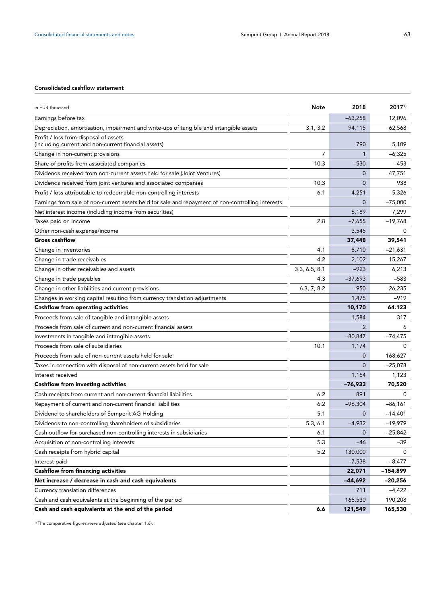# Consolidated cashflow statement

| in EUR thousand                                                                                   | Note          | 2018           | $2017^{1}$ |
|---------------------------------------------------------------------------------------------------|---------------|----------------|------------|
| Earnings before tax                                                                               |               | $-63,258$      | 12,096     |
| Depreciation, amortisation, impairment and write-ups of tangible and intangible assets            | 3.1, 3.2      | 94,115         | 62,568     |
| Profit / loss from disposal of assets                                                             |               |                |            |
| (including current and non-current financial assets)                                              |               | 790            | 5,109      |
| Change in non-current provisions                                                                  | 7             | $\mathbf{1}$   | $-6,325$   |
| Share of profits from associated companies                                                        | 10.3          | $-530$         | $-453$     |
| Dividends received from non-current assets held for sale (Joint Ventures)                         |               | $\overline{0}$ | 47,751     |
| Dividends received from joint ventures and associated companies                                   | 10.3          | $\overline{0}$ | 938        |
| Profit / loss attributable to redeemable non-controlling interests                                | 6.1           | 4,251          | 5,326      |
| Earnings from sale of non-current assets held for sale and repayment of non-controlling interests |               | $\mathbf{0}$   | $-75,000$  |
| Net interest income (including income from securities)                                            |               | 6,189          | 7,299      |
| Taxes paid on income                                                                              | 2.8           | $-7,655$       | $-19,768$  |
| Other non-cash expense/income                                                                     |               | 3,545          | $\Omega$   |
| <b>Gross cashflow</b>                                                                             |               | 37,448         | 39,541     |
| Change in inventories                                                                             | 4.1           | 8,710          | $-21,631$  |
| Change in trade receivables                                                                       | 4.2           | 2,102          | 15,267     |
| Change in other receivables and assets                                                            | 3.3, 6.5, 8.1 | $-923$         | 6,213      |
| Change in trade payables                                                                          | 4.3           | $-37,693$      | $-583$     |
| Change in other liabilities and current provisions                                                | 6.3, 7, 8.2   | -950           | 26,235     |
| Changes in working capital resulting from currency translation adjustments                        |               | 1,475          | -919       |
| <b>Cashflow from operating activities</b>                                                         |               | 10,170         | 64.123     |
| Proceeds from sale of tangible and intangible assets                                              |               | 1,584          | 317        |
| Proceeds from sale of current and non-current financial assets                                    |               | $\overline{2}$ | 6          |
| Investments in tangible and intangible assets                                                     |               | $-80,847$      | $-74,475$  |
| Proceeds from sale of subsidiaries                                                                | 10.1          | 1,174          | $\Omega$   |
| Proceeds from sale of non-current assets held for sale                                            |               | $\overline{0}$ | 168,627    |
| Taxes in connection with disposal of non-current assets held for sale                             |               | $\overline{0}$ | $-25,078$  |
| Interest received                                                                                 |               | 1,154          | 1,123      |
| <b>Cashflow from investing activities</b>                                                         |               | $-76,933$      | 70,520     |
| Cash receipts from current and non-current financial liabilities                                  | 6.2           | 891            | $\Omega$   |
| Repayment of current and non-current financial liabilities                                        | 6.2           | $-96,304$      | $-86,161$  |
| Dividend to shareholders of Semperit AG Holding                                                   | 5.1           | $\mathbf 0$    | $-14,401$  |
| Dividends to non-controlling shareholders of subsidiaries                                         | 5.3, 6.1      | $-4,932$       | $-19,979$  |
| Cash outflow for purchased non-controlling interests in subsidiaries                              | 6.1           | $\mathbf{0}$   | $-25,842$  |
| Acquisition of non-controlling interests                                                          | 5.3           | -46            | $-39$      |
| Cash receipts from hybrid capital                                                                 | 5.2           | 130.000        | 0          |
| Interest paid                                                                                     |               | $-7,538$       | $-8,477$   |
| <b>Cashflow from financing activities</b>                                                         |               | 22,071         | $-154,899$ |
| Net increase / decrease in cash and cash equivalents                                              |               | $-44,692$      | $-20,256$  |
| Currency translation differences                                                                  |               | 711            | -4,422     |
| Cash and cash equivalents at the beginning of the period                                          |               | 165,530        | 190,208    |
| Cash and cash equivalents at the end of the period                                                | 6.6           | 121,549        | 165,530    |

1) The comparative figures were adjusted (see chapter 1.6).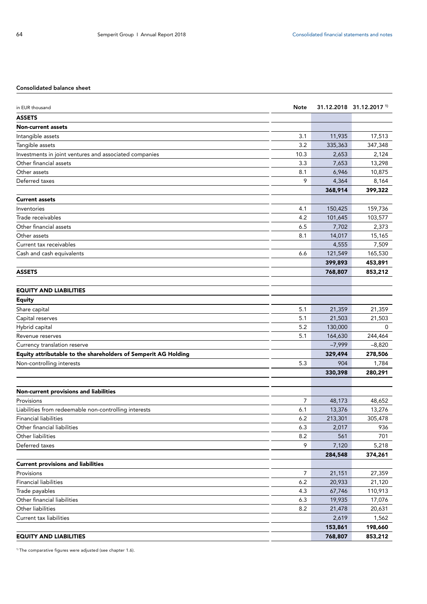#### Consolidated balance sheet

| in EUR thousand                                                | <b>Note</b> |          | $31.12.2018$ $31.12.2017$ <sup>1)</sup> |
|----------------------------------------------------------------|-------------|----------|-----------------------------------------|
| <b>ASSETS</b>                                                  |             |          |                                         |
| <b>Non-current assets</b>                                      |             |          |                                         |
| Intangible assets                                              | 3.1         | 11,935   | 17,513                                  |
| Tangible assets                                                | 3.2         | 335,363  | 347,348                                 |
| Investments in joint ventures and associated companies         | 10.3        | 2,653    | 2,124                                   |
| Other financial assets                                         | 3.3         | 7,653    | 13,298                                  |
| Other assets                                                   | 8.1         | 6,946    | 10,875                                  |
| Deferred taxes                                                 | 9           | 4,364    | 8,164                                   |
|                                                                |             | 368,914  | 399,322                                 |
| <b>Current assets</b>                                          |             |          |                                         |
| Inventories                                                    | 4.1         | 150,425  | 159,736                                 |
| Trade receivables                                              | 4.2         | 101,645  | 103,577                                 |
| Other financial assets                                         | 6.5         | 7,702    | 2,373                                   |
| Other assets                                                   | 8.1         | 14,017   | 15,165                                  |
| Current tax receivables                                        |             | 4,555    | 7,509                                   |
| Cash and cash equivalents                                      | 6.6         | 121,549  | 165,530                                 |
|                                                                |             | 399,893  | 453,891                                 |
| <b>ASSETS</b>                                                  |             | 768,807  | 853,212                                 |
|                                                                |             |          |                                         |
| <b>EQUITY AND LIABILITIES</b>                                  |             |          |                                         |
| <b>Equity</b>                                                  |             |          |                                         |
| Share capital                                                  | 5.1         | 21,359   | 21,359                                  |
| Capital reserves                                               | 5.1         | 21,503   | 21,503                                  |
| Hybrid capital                                                 | 5.2         | 130,000  | $\Omega$                                |
| Revenue reserves                                               | 5.1         | 164,630  | 244,464                                 |
| Currency translation reserve                                   |             | $-7,999$ | $-8,820$                                |
| Equity attributable to the shareholders of Semperit AG Holding |             | 329,494  | 278,506                                 |
| Non-controlling interests                                      | 5.3         | 904      | 1,784                                   |
|                                                                |             | 330,398  | 280,291                                 |
|                                                                |             |          |                                         |
| Non-current provisions and liabilities                         |             |          |                                         |
| Provisions                                                     | 7           | 48,173   | 48,652                                  |
| Liabilities from redeemable non-controlling interests          | 6.1         | 13,376   | 13,276                                  |
| <b>Financial liabilities</b>                                   | 6.2         | 213,301  | 305,478                                 |
| Other financial liabilities                                    | 6.3         | 2,017    | 936                                     |
| Other liabilities                                              | 8.2         | 561      | 701                                     |
| Deferred taxes                                                 | 9           | 7,120    | 5,218                                   |
|                                                                |             | 284,548  | 374,261                                 |
| <b>Current provisions and liabilities</b>                      |             |          |                                         |
| Provisions                                                     | 7           | 21,151   | 27,359                                  |
| <b>Financial liabilities</b>                                   | 6.2         | 20,933   | 21,120                                  |
| Trade payables                                                 | 4.3         | 67,746   | 110,913                                 |
| Other financial liabilities                                    | 6.3         | 19,935   | 17,076                                  |
| Other liabilities                                              | 8.2         | 21,478   | 20,631                                  |
| Current tax liabilities                                        |             | 2,619    | 1,562                                   |
|                                                                |             | 153,861  | 198,660                                 |
| <b>EQUITY AND LIABILITIES</b>                                  |             | 768,807  | 853,212                                 |

 $1)$  The comparative figures were adjusted (see chapter 1.6).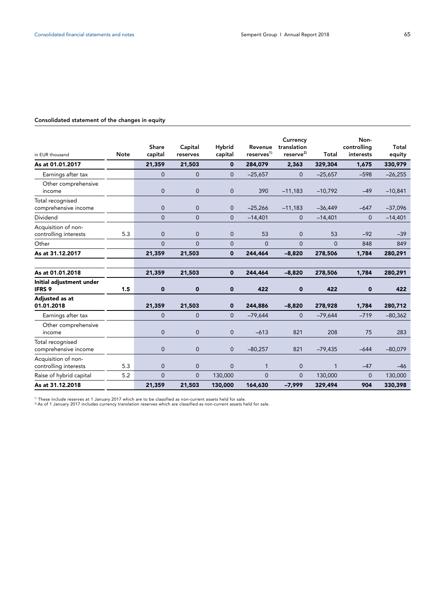# Consolidated statement of the changes in equity

| in EUR thousand                              | <b>Note</b> | <b>Share</b><br>capital | Capital<br>reserves | Hybrid<br>capital | Revenue<br>reserves <sup>1)</sup> | Currency<br>translation<br>$reserve^{2)}$ | Total          | Non-<br>controlling<br>interests | Total<br>equity |
|----------------------------------------------|-------------|-------------------------|---------------------|-------------------|-----------------------------------|-------------------------------------------|----------------|----------------------------------|-----------------|
| As at 01.01.2017                             |             | 21,359                  | 21,503              | $\mathbf 0$       | 284,079                           | 2,363                                     | 329,304        | 1,675                            | 330,979         |
| Earnings after tax                           |             | $\overline{0}$          | $\overline{0}$      | $\overline{0}$    | $-25,657$                         | $\overline{0}$                            | $-25,657$      | $-598$                           | $-26,255$       |
| Other comprehensive<br>income                |             | $\mathbf 0$             | $\mathbf 0$         | $\mathbf{0}$      | 390                               | $-11,183$                                 | $-10,792$      | $-49$                            | $-10,841$       |
| Total recognised<br>comprehensive income     |             | $\mathbf{0}$            | $\mathbf 0$         | $\mathbf{0}$      | $-25,266$                         | $-11,183$                                 | $-36,449$      | $-647$                           | $-37,096$       |
| Dividend                                     |             | $\overline{0}$          | $\overline{0}$      | $\overline{0}$    | $-14,401$                         | $\overline{0}$                            | $-14,401$      | $\overline{0}$                   | $-14,401$       |
| Acquisition of non-<br>controlling interests | 5.3         | $\mathbf{0}$            | $\mathbf 0$         | $\mathbf{0}$      | 53                                | $\overline{0}$                            | 53             | $-92$                            | $-39$           |
| Other                                        |             | $\overline{0}$          | $\overline{0}$      | $\overline{0}$    | $\overline{0}$                    | $\overline{0}$                            | $\overline{0}$ | 848                              | 849             |
| As at 31.12.2017                             |             | 21,359                  | 21,503              | $\mathbf 0$       | 244,464                           | $-8,820$                                  | 278,506        | 1,784                            | 280,291         |
|                                              |             |                         |                     |                   |                                   |                                           |                |                                  |                 |
| As at 01.01.2018                             |             | 21,359                  | 21,503              | $\mathbf 0$       | 244,464                           | $-8,820$                                  | 278,506        | 1,784                            | 280,291         |
| Initial adjustment under<br><b>IFRS 9</b>    | 1.5         | $\mathbf 0$             | $\bf{0}$            | $\mathbf 0$       | 422                               | $\mathbf 0$                               | 422            | $\mathbf 0$                      | 422             |
| Adjusted as at<br>01.01.2018                 |             | 21,359                  | 21,503              | $\mathbf 0$       | 244,886                           | $-8,820$                                  | 278,928        | 1,784                            | 280,712         |
| Earnings after tax                           |             | $\overline{0}$          | $\overline{0}$      | $\overline{0}$    | $-79,644$                         | $\overline{0}$                            | $-79,644$      | $-719$                           | $-80,362$       |
| Other comprehensive<br>income                |             | $\mathbf 0$             | $\mathbf 0$         | $\mathbf{0}$      | $-613$                            | 821                                       | 208            | 75                               | 283             |
| Total recognised<br>comprehensive income     |             | $\overline{0}$          | $\overline{0}$      | $\mathbf{0}$      | $-80,257$                         | 821                                       | $-79,435$      | $-644$                           | $-80,079$       |
| Acquisition of non-<br>controlling interests | 5.3         | $\mathbf 0$             | $\mathbf{0}$        | $\mathbf{0}$      | $\mathbf{1}$                      | $\mathbf{0}$                              | $\mathbf{1}$   | $-47$                            | $-46$           |
| Raise of hybrid capital                      | 5.2         | $\overline{0}$          | $\overline{0}$      | 130,000           | $\overline{0}$                    | $\overline{0}$                            | 130,000        | $\overline{0}$                   | 130,000         |
| As at 31.12.2018                             |             | 21,359                  | 21,503              | 130,000           | 164,630                           | $-7,999$                                  | 329,494        | 904                              | 330,398         |

<sup>1)</sup> These include reserves at 1 January 2017 which are to be classified as non-current assets held for sale.<br><sup>2)</sup> As of 1 January 2017 includes currency translation reserves which are classified as non-current assets held

÷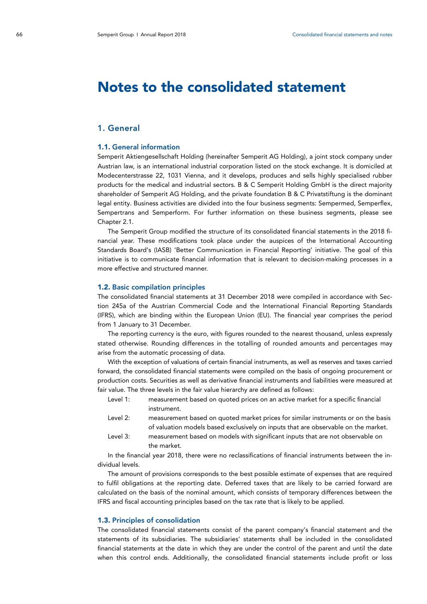# Notes to the consolidated statement

# 1. General

## 1.1. General information

Semperit Aktiengesellschaft Holding (hereinafter Semperit AG Holding), a joint stock company under Austrian law, is an international industrial corporation listed on the stock exchange. It is domiciled at Modecenterstrasse 22, 1031 Vienna, and it develops, produces and sells highly specialised rubber products for the medical and industrial sectors. B & C Semperit Holding GmbH is the direct majority shareholder of Semperit AG Holding, and the private foundation B & C Privatstiftung is the dominant legal entity. Business activities are divided into the four business segments: Sempermed, Semperflex, Sempertrans and Semperform. For further information on these business segments, please see Chapter 2.1.

The Semperit Group modified the structure of its consolidated financial statements in the 2018 financial year. These modifications took place under the auspices of the International Accounting Standards Board's (IASB) 'Better Communication in Financial Reporting' initiative. The goal of this initiative is to communicate financial information that is relevant to decision-making processes in a more effective and structured manner.

## 1.2. Basic compilation principles

The consolidated financial statements at 31 December 2018 were compiled in accordance with Section 245a of the Austrian Commercial Code and the International Financial Reporting Standards (IFRS), which are binding within the European Union (EU). The financial year comprises the period from 1 January to 31 December.

The reporting currency is the euro, with figures rounded to the nearest thousand, unless expressly stated otherwise. Rounding differences in the totalling of rounded amounts and percentages may arise from the automatic processing of data.

With the exception of valuations of certain financial instruments, as well as reserves and taxes carried forward, the consolidated financial statements were compiled on the basis of ongoing procurement or production costs. Securities as well as derivative financial instruments and liabilities were measured at fair value. The three levels in the fair value hierarchy are defined as follows:

- Level 1: measurement based on quoted prices on an active market for a specific financial instrument.
- Level 2: measurement based on quoted market prices for similar instruments or on the basis of valuation models based exclusively on inputs that are observable on the market.
- Level 3: measurement based on models with significant inputs that are not observable on the market.

In the financial year 2018, there were no reclassifications of financial instruments between the individual levels.

The amount of provisions corresponds to the best possible estimate of expenses that are required to fulfil obligations at the reporting date. Deferred taxes that are likely to be carried forward are calculated on the basis of the nominal amount, which consists of temporary differences between the IFRS and fiscal accounting principles based on the tax rate that is likely to be applied.

#### 1.3. Principles of consolidation

The consolidated financial statements consist of the parent company's financial statement and the statements of its subsidiaries. The subsidiaries' statements shall be included in the consolidated financial statements at the date in which they are under the control of the parent and until the date when this control ends. Additionally, the consolidated financial statements include profit or loss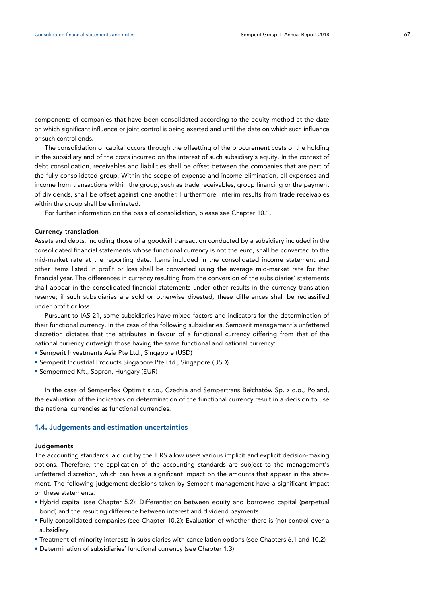components of companies that have been consolidated according to the equity method at the date on which significant influence or joint control is being exerted and until the date on which such influence or such control ends.

The consolidation of capital occurs through the offsetting of the procurement costs of the holding in the subsidiary and of the costs incurred on the interest of such subsidiary's equity. In the context of debt consolidation, receivables and liabilities shall be offset between the companies that are part of the fully consolidated group. Within the scope of expense and income elimination, all expenses and income from transactions within the group, such as trade receivables, group financing or the payment of dividends, shall be offset against one another. Furthermore, interim results from trade receivables within the group shall be eliminated.

For further information on the basis of consolidation, please see Chapter 10.1.

#### Currency translation

Assets and debts, including those of a goodwill transaction conducted by a subsidiary included in the consolidated financial statements whose functional currency is not the euro, shall be converted to the mid-market rate at the reporting date. Items included in the consolidated income statement and other items listed in profit or loss shall be converted using the average mid-market rate for that financial year. The differences in currency resulting from the conversion of the subsidiaries' statements shall appear in the consolidated financial statements under other results in the currency translation reserve; if such subsidiaries are sold or otherwise divested, these differences shall be reclassified under profit or loss.

Pursuant to IAS 21, some subsidiaries have mixed factors and indicators for the determination of their functional currency. In the case of the following subsidiaries, Semperit management's unfettered discretion dictates that the attributes in favour of a functional currency differing from that of the national currency outweigh those having the same functional and national currency:

- Semperit Investments Asia Pte Ltd., Singapore (USD)
- Semperit Industrial Products Singapore Pte Ltd., Singapore (USD)
- Sempermed Kft., Sopron, Hungary (EUR)

In the case of Semperflex Optimit s.r.o., Czechia and Sempertrans Bełchatów Sp. z o.o., Poland, the evaluation of the indicators on determination of the functional currency result in a decision to use the national currencies as functional currencies.

# 1.4. Judgements and estimation uncertainties

#### Judgements

The accounting standards laid out by the IFRS allow users various implicit and explicit decision-making options. Therefore, the application of the accounting standards are subject to the management's unfettered discretion, which can have a significant impact on the amounts that appear in the statement. The following judgement decisions taken by Semperit management have a significant impact on these statements:

- Hybrid capital (see Chapter 5.2): Differentiation between equity and borrowed capital (perpetual bond) and the resulting difference between interest and dividend payments
- Fully consolidated companies (see Chapter 10.2): Evaluation of whether there is (no) control over a subsidiary
- Treatment of minority interests in subsidiaries with cancellation options (see Chapters 6.1 and 10.2)
- Determination of subsidiaries' functional currency (see Chapter 1.3)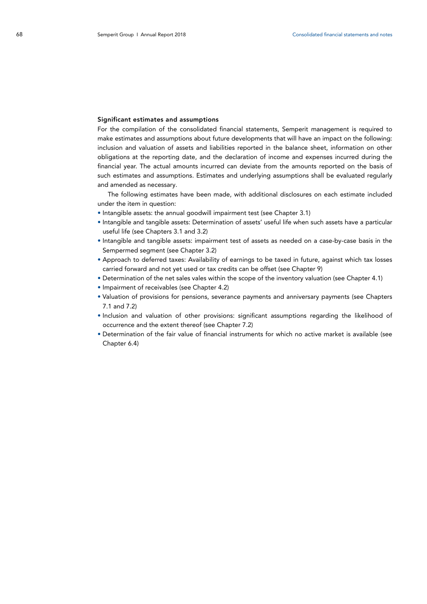#### Significant estimates and assumptions

For the compilation of the consolidated financial statements, Semperit management is required to make estimates and assumptions about future developments that will have an impact on the following: inclusion and valuation of assets and liabilities reported in the balance sheet, information on other obligations at the reporting date, and the declaration of income and expenses incurred during the financial year. The actual amounts incurred can deviate from the amounts reported on the basis of such estimates and assumptions. Estimates and underlying assumptions shall be evaluated regularly and amended as necessary.

The following estimates have been made, with additional disclosures on each estimate included under the item in question:

- Intangible assets: the annual goodwill impairment test (see Chapter 3.1)
- Intangible and tangible assets: Determination of assets' useful life when such assets have a particular useful life (see Chapters 3.1 and 3.2)
- Intangible and tangible assets: impairment test of assets as needed on a case-by-case basis in the Sempermed segment (see Chapter 3.2)
- Approach to deferred taxes: Availability of earnings to be taxed in future, against which tax losses carried forward and not yet used or tax credits can be offset (see Chapter 9)
- Determination of the net sales vales within the scope of the inventory valuation (see Chapter 4.1)
- Impairment of receivables (see Chapter 4.2)
- Valuation of provisions for pensions, severance payments and anniversary payments (see Chapters 7.1 and 7.2)
- Inclusion and valuation of other provisions: significant assumptions regarding the likelihood of occurrence and the extent thereof (see Chapter 7.2)
- Determination of the fair value of financial instruments for which no active market is available (see Chapter 6.4)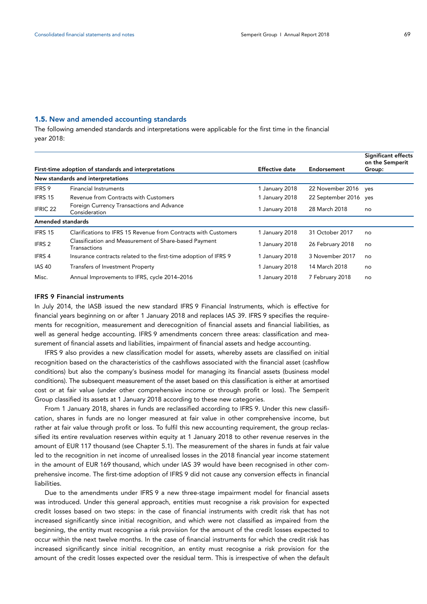#### 1.5. New and amended accounting standards

The following amended standards and interpretations were applicable for the first time in the financial year 2018:

|                   | First-time adoption of standards and interpretations                  | <b>Effective date</b> | Endorsement           | <b>Significant effects</b><br>on the Semperit<br>Group: |
|-------------------|-----------------------------------------------------------------------|-----------------------|-----------------------|---------------------------------------------------------|
|                   | New standards and interpretations                                     |                       |                       |                                                         |
| IFRS 9            | <b>Financial Instruments</b>                                          | 1 January 2018        | 22 November 2016      | yes                                                     |
| IFRS 15           | Revenue from Contracts with Customers                                 | 1 January 2018        | 22 September 2016 yes |                                                         |
| <b>IFRIC 22</b>   | Foreign Currency Transactions and Advance<br>Consideration            | 1 January 2018        | 28 March 2018         | no                                                      |
| Amended standards |                                                                       |                       |                       |                                                         |
| IFRS 15           | Clarifications to IFRS 15 Revenue from Contracts with Customers       | 1 January 2018        | 31 October 2017       | no                                                      |
| IFRS <sub>2</sub> | Classification and Measurement of Share-based Payment<br>Transactions | 1 January 2018        | 26 February 2018      | no                                                      |
| IFRS 4            | Insurance contracts related to the first-time adoption of IFRS 9      | 1 January 2018        | 3 November 2017       | no                                                      |
| <b>IAS 40</b>     | Transfers of Investment Property                                      | 1 January 2018        | 14 March 2018         | no                                                      |
| Misc.             | Annual Improvements to IFRS, cycle 2014-2016                          | 1 January 2018        | 7 February 2018       | no                                                      |

### IFRS 9 Financial instruments

In July 2014, the IASB issued the new standard IFRS 9 Financial Instruments, which is effective for financial years beginning on or after 1 January 2018 and replaces IAS 39. IFRS 9 specifies the requirements for recognition, measurement and derecognition of financial assets and financial liabilities, as well as general hedge accounting. IFRS 9 amendments concern three areas: classification and measurement of financial assets and liabilities, impairment of financial assets and hedge accounting.

IFRS 9 also provides a new classification model for assets, whereby assets are classified on initial recognition based on the characteristics of the cashflows associated with the financial asset (cashflow conditions) but also the company's business model for managing its financial assets (business model conditions). The subsequent measurement of the asset based on this classification is either at amortised cost or at fair value (under other comprehensive income or through profit or loss). The Semperit Group classified its assets at 1 January 2018 according to these new categories.

From 1 January 2018, shares in funds are reclassified according to IFRS 9. Under this new classification, shares in funds are no longer measured at fair value in other comprehensive income, but rather at fair value through profit or loss. To fulfil this new accounting requirement, the group reclassified its entire revaluation reserves within equity at 1 January 2018 to other revenue reserves in the amount of EUR 117 thousand (see Chapter 5.1). The measurement of the shares in funds at fair value led to the recognition in net income of unrealised losses in the 2018 financial year income statement in the amount of EUR 169 thousand, which under IAS 39 would have been recognised in other comprehensive income. The first-time adoption of IFRS 9 did not cause any conversion effects in financial liabilities.

Due to the amendments under IFRS 9 a new three-stage impairment model for financial assets was introduced. Under this general approach, entities must recognise a risk provision for expected credit losses based on two steps: in the case of financial instruments with credit risk that has not increased significantly since initial recognition, and which were not classified as impaired from the beginning, the entity must recognise a risk provision for the amount of the credit losses expected to occur within the next twelve months. In the case of financial instruments for which the credit risk has increased significantly since initial recognition, an entity must recognise a risk provision for the amount of the credit losses expected over the residual term. This is irrespective of when the default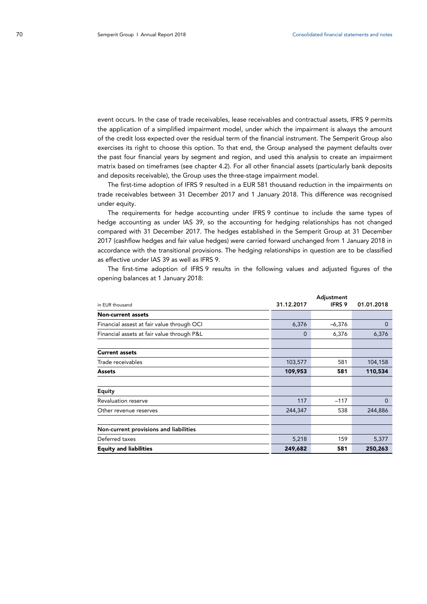event occurs. In the case of trade receivables, lease receivables and contractual assets, IFRS 9 permits the application of a simplified impairment model, under which the impairment is always the amount of the credit loss expected over the residual term of the financial instrument. The Semperit Group also exercises its right to choose this option. To that end, the Group analysed the payment defaults over the past four financial years by segment and region, and used this analysis to create an impairment matrix based on timeframes (see chapter 4.2). For all other financial assets (particularly bank deposits and deposits receivable), the Group uses the three-stage impairment model.

The first-time adoption of IFRS 9 resulted in a EUR 581 thousand reduction in the impairments on trade receivables between 31 December 2017 and 1 January 2018. This difference was recognised under equity.

The requirements for hedge accounting under IFRS 9 continue to include the same types of hedge accounting as under IAS 39, so the accounting for hedging relationships has not changed compared with 31 December 2017. The hedges established in the Semperit Group at 31 December 2017 (cashflow hedges and fair value hedges) were carried forward unchanged from 1 January 2018 in accordance with the transitional provisions. The hedging relationships in question are to be classified as effective under IAS 39 as well as IFRS 9.

The first-time adoption of IFRS 9 results in the following values and adjusted figures of the opening balances at 1 January 2018:

| Adjustment     |               |                |  |  |
|----------------|---------------|----------------|--|--|
| 31.12.2017     | <b>IFRS 9</b> | 01.01.2018     |  |  |
|                |               |                |  |  |
| 6,376          | $-6,376$      | 0              |  |  |
| $\overline{0}$ | 6,376         | 6,376          |  |  |
|                |               |                |  |  |
|                |               |                |  |  |
| 103,577        | 581           | 104,158        |  |  |
| 109,953        | 581           | 110,534        |  |  |
|                |               |                |  |  |
|                |               |                |  |  |
| 117            | $-117$        | $\overline{0}$ |  |  |
| 244,347        | 538           | 244,886        |  |  |
|                |               |                |  |  |
|                |               |                |  |  |
| 5,218          | 159           | 5,377          |  |  |
| 249,682        | 581           | 250,263        |  |  |
|                |               |                |  |  |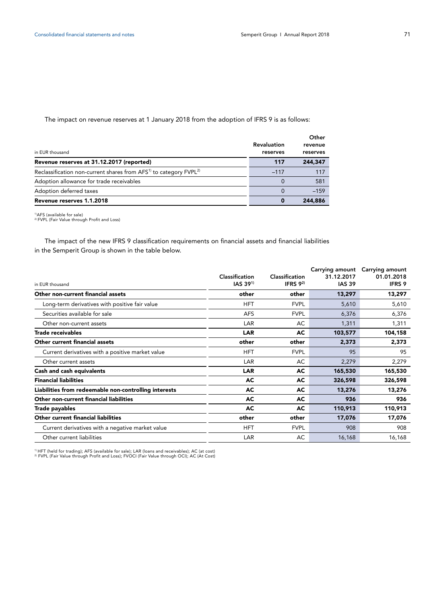The impact on revenue reserves at 1 January 2018 from the adoption of IFRS 9 is as follows:

| in EUR thousand                                                                           | <b>Revaluation</b><br>reserves | Other<br>revenue<br>reserves |
|-------------------------------------------------------------------------------------------|--------------------------------|------------------------------|
| Revenue reserves at 31.12.2017 (reported)                                                 | 117                            | 244,347                      |
| Reclassification non-current shares from AFS <sup>1)</sup> to category FVPL <sup>2)</sup> | $-117$                         | 117                          |
| Adoption allowance for trade receivables                                                  | 0                              | 581                          |
| Adoption deferred taxes                                                                   | 0                              | $-159$                       |
| Revenue reserves 1.1.2018                                                                 |                                | 244,886                      |

<sup>1)</sup>AFS (available for sale)<br><sup>2)</sup> FVPL (Fair Value through Profit and Loss)

The impact of the new IFRS 9 classification requirements on financial assets and financial liabilities in the Semperit Group is shown in the table below.

| in EUR thousand                                       | Classification<br>IAS 39 <sup>1</sup> | Classification<br>IFRS $9^{2}$ | <b>Carrying amount</b><br>31.12.2017<br><b>IAS 39</b> | <b>Carrying amount</b><br>01.01.2018<br><b>IFRS 9</b> |
|-------------------------------------------------------|---------------------------------------|--------------------------------|-------------------------------------------------------|-------------------------------------------------------|
| Other non-current financial assets                    | other                                 | other                          | 13,297                                                | 13,297                                                |
| Long-term derivatives with positive fair value        | <b>HFT</b>                            | <b>FVPL</b>                    | 5,610                                                 | 5,610                                                 |
| Securities available for sale                         | <b>AFS</b>                            | <b>FVPL</b>                    | 6,376                                                 | 6,376                                                 |
| Other non-current assets                              | LAR                                   | AC                             | 1,311                                                 | 1,311                                                 |
| <b>Trade receivables</b>                              | LAR                                   | AC                             | 103,577                                               | 104,158                                               |
| <b>Other current financial assets</b>                 | other                                 | other                          | 2,373                                                 | 2,373                                                 |
| Current derivatives with a positive market value      | <b>HFT</b>                            | <b>FVPL</b>                    | 95                                                    | 95                                                    |
| Other current assets                                  | LAR                                   | AC                             | 2,279                                                 | 2,279                                                 |
| Cash and cash equivalents                             | <b>LAR</b>                            | AC                             | 165,530                                               | 165,530                                               |
| <b>Financial liabilities</b>                          | <b>AC</b>                             | AC                             | 326,598                                               | 326,598                                               |
| Liabilities from redeemable non-controlling interests | <b>AC</b>                             | AC                             | 13,276                                                | 13,276                                                |
| Other non-current financial liabilities               | AC                                    | AC                             | 936                                                   | 936                                                   |
| Trade payables                                        | <b>AC</b>                             | AC                             | 110,913                                               | 110,913                                               |
| <b>Other current financial liabilities</b>            | other                                 | other                          | 17,076                                                | 17,076                                                |
| Current derivatives with a negative market value      | <b>HFT</b>                            | <b>FVPL</b>                    | 908                                                   | 908                                                   |
| Other current liabilities                             | LAR                                   | AC                             | 16,168                                                | 16,168                                                |

<sup>1)</sup> HFT (held for trading); AFS (available for sale); LAR (loans and receivables); AC (at cost)<br><sup>2)</sup> FVPL (Fair Value through Profit and Loss); FVOCI (Fair Value through OCI); AC (At Cost)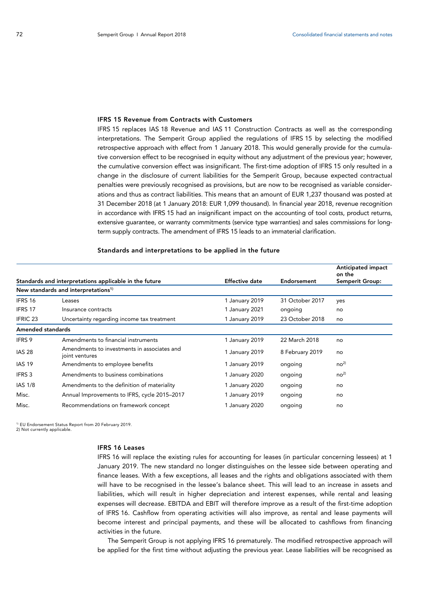#### IFRS 15 Revenue from Contracts with Customers

IFRS 15 replaces IAS 18 Revenue and IAS 11 Construction Contracts as well as the corresponding interpretations. The Semperit Group applied the regulations of IFRS 15 by selecting the modified retrospective approach with effect from 1 January 2018. This would generally provide for the cumulative conversion effect to be recognised in equity without any adjustment of the previous year; however, the cumulative conversion effect was insignificant. The first-time adoption of IFRS 15 only resulted in a change in the disclosure of current liabilities for the Semperit Group, because expected contractual penalties were previously recognised as provisions, but are now to be recognised as variable considerations and thus as contract liabilities. This means that an amount of EUR 1,237 thousand was posted at 31 December 2018 (at 1 January 2018: EUR 1,099 thousand). In financial year 2018, revenue recognition in accordance with IFRS 15 had an insignificant impact on the accounting of tool costs, product returns, extensive guarantee, or warranty commitments (service type warranties) and sales commissions for longterm supply contracts. The amendment of IFRS 15 leads to an immaterial clarification.

#### Standards and interpretations to be applied in the future

|                                                 | Standards and interpretations applicable in the future        | <b>Effective date</b> | Endorsement     | Anticipated impact<br>on the<br>Semperit Group: |
|-------------------------------------------------|---------------------------------------------------------------|-----------------------|-----------------|-------------------------------------------------|
| New standards and interpretations <sup>1)</sup> |                                                               |                       |                 |                                                 |
| IFRS 16                                         | Leases                                                        | 1 January 2019        | 31 October 2017 | yes                                             |
| IFRS 17                                         | Insurance contracts                                           | 1 January 2021        | ongoing         | no                                              |
| IFRIC 23                                        | Uncertainty regarding income tax treatment                    | 1 January 2019        | 23 October 2018 | no                                              |
| <b>Amended standards</b>                        |                                                               |                       |                 |                                                 |
| IFRS 9                                          | Amendments to financial instruments                           | 1 January 2019        | 22 March 2018   | no                                              |
| <b>IAS 28</b>                                   | Amendments to investments in associates and<br>joint ventures | 1 January 2019        | 8 February 2019 | no                                              |
| <b>IAS 19</b>                                   | Amendments to employee benefits                               | 1 January 2019        | ongoing         | no <sup>2</sup>                                 |
| IFRS 3                                          | Amendments to business combinations                           | 1 January 2020        | ongoing         | no <sup>2</sup>                                 |
| <b>IAS 1/8</b>                                  | Amendments to the definition of materiality                   | 1 January 2020        | ongoing         | no                                              |
| Misc.                                           | Annual Improvements to IFRS, cycle 2015-2017                  | 1 January 2019        | ongoing         | no                                              |
| Misc.                                           | Recommendations on framework concept                          | 1 January 2020        | ongoing         | no                                              |

1) EU Endorsement Status Report from 20 February 2019. 2) Not currently applicable.

### IFRS 16 Leases

IFRS 16 will replace the existing rules for accounting for leases (in particular concerning lessees) at 1 January 2019. The new standard no longer distinguishes on the lessee side between operating and finance leases. With a few exceptions, all leases and the rights and obligations associated with them will have to be recognised in the lessee's balance sheet. This will lead to an increase in assets and liabilities, which will result in higher depreciation and interest expenses, while rental and leasing expenses will decrease. EBITDA and EBIT will therefore improve as a result of the first-time adoption of IFRS 16. Cashflow from operating activities will also improve, as rental and lease payments will become interest and principal payments, and these will be allocated to cashflows from financing activities in the future.

The Semperit Group is not applying IFRS 16 prematurely. The modified retrospective approach will be applied for the first time without adjusting the previous year. Lease liabilities will be recognised as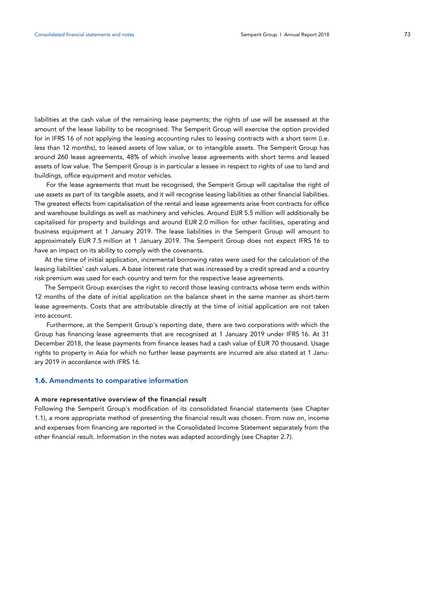liabilities at the cash value of the remaining lease payments; the rights of use will be assessed at the amount of the lease liability to be recognised. The Semperit Group will exercise the option provided for in IFRS 16 of not applying the leasing accounting rules to leasing contracts with a short term (i.e. less than 12 months), to leased assets of low value, or to intangible assets. The Semperit Group has around 260 lease agreements, 48% of which involve lease agreements with short terms and leased assets of low value. The Semperit Group is in particular a lessee in respect to rights of use to land and buildings, office equipment and motor vehicles.

 For the lease agreements that must be recognised, the Semperit Group will capitalise the right of use assets as part of its tangible assets, and it will recognise leasing liabilities as other financial liabilities. The greatest effects from capitalisation of the rental and lease agreements arise from contracts for office and warehouse buildings as well as machinery and vehicles. Around EUR 5.5 million will additionally be capitalised for property and buildings and around EUR 2.0 million for other facilities, operating and business equipment at 1 January 2019. The lease liabilities in the Semperit Group will amount to approximately EUR 7.5 million at 1 January 2019. The Semperit Group does not expect IFRS 16 to have an impact on its ability to comply with the covenants.

At the time of initial application, incremental borrowing rates were used for the calculation of the leasing liabilities' cash values. A base interest rate that was increased by a credit spread and a country risk premium was used for each country and term for the respective lease agreements.

The Semperit Group exercises the right to record those leasing contracts whose term ends within 12 months of the date of initial application on the balance sheet in the same manner as short-term lease agreements. Costs that are attributable directly at the time of initial application are not taken into account.

 Furthermore, at the Semperit Group's reporting date, there are two corporations with which the Group has financing lease agreements that are recognised at 1 January 2019 under IFRS 16. At 31 December 2018, the lease payments from finance leases had a cash value of EUR 70 thousand. Usage rights to property in Asia for which no further lease payments are incurred are also stated at 1 January 2019 in accordance with IFRS 16.

## 1.6. Amendments to comparative information

#### A more representative overview of the financial result

Following the Semperit Group's modification of its consolidated financial statements (see Chapter 1.1), a more appropriate method of presenting the financial result was chosen. From now on, income and expenses from financing are reported in the Consolidated Income Statement separately from the other financial result. Information in the notes was adapted accordingly (see Chapter 2.7).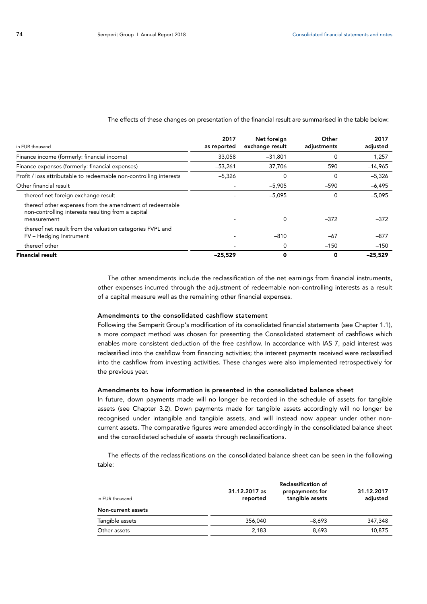| 2017<br>as reported | Net foreign<br>exchange result | Other<br>adjustments | 2017<br>adjusted |
|---------------------|--------------------------------|----------------------|------------------|
| 33,058              | $-31,801$                      |                      | 1,257            |
| $-53,261$           | 37,706                         | 590                  | $-14,965$        |
| $-5,326$            | 0                              | 0                    | $-5,326$         |
|                     | $-5,905$                       | $-590$               | $-6,495$         |
|                     | $-5,095$                       |                      | $-5,095$         |
|                     | $\Omega$                       | $-372$               | $-372$           |
|                     | $-810$                         | $-67$                | $-877$           |
|                     | 0                              | $-150$               | $-150$           |
| $-25,529$           | 0                              | 0                    | $-25,529$        |
|                     |                                |                      |                  |

The effects of these changes on presentation of the financial result are summarised in the table below:

The other amendments include the reclassification of the net earnings from financial instruments, other expenses incurred through the adjustment of redeemable non-controlling interests as a result of a capital measure well as the remaining other financial expenses.

#### Amendments to the consolidated cashflow statement

Following the Semperit Group's modification of its consolidated financial statements (see Chapter 1.1), a more compact method was chosen for presenting the Consolidated statement of cashflows which enables more consistent deduction of the free cashflow. In accordance with IAS 7, paid interest was reclassified into the cashflow from financing activities; the interest payments received were reclassified into the cashflow from investing activities. These changes were also implemented retrospectively for the previous year.

### Amendments to how information is presented in the consolidated balance sheet

In future, down payments made will no longer be recorded in the schedule of assets for tangible assets (see Chapter 3.2). Down payments made for tangible assets accordingly will no longer be recognised under intangible and tangible assets, and will instead now appear under other noncurrent assets. The comparative figures were amended accordingly in the consolidated balance sheet and the consolidated schedule of assets through reclassifications.

The effects of the reclassifications on the consolidated balance sheet can be seen in the following table:

| in EUR thousand    | 31.12.2017 as<br>reported | Reclassification of<br>prepayments for<br>tangible assets | 31.12.2017<br>adjusted |  |
|--------------------|---------------------------|-----------------------------------------------------------|------------------------|--|
| Non-current assets |                           |                                                           |                        |  |
| Tangible assets    | 356,040                   | $-8.693$                                                  | 347,348                |  |
| Other assets       | 2.183                     | 8,693                                                     | 10,875                 |  |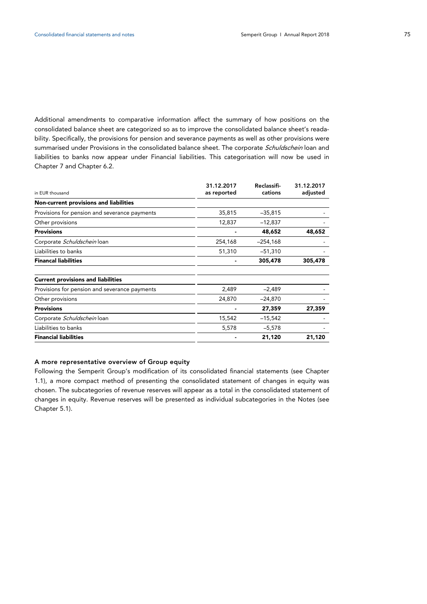Additional amendments to comparative information affect the summary of how positions on the consolidated balance sheet are categorized so as to improve the consolidated balance sheet's readability. Specifically, the provisions for pension and severance payments as well as other provisions were summarised under Provisions in the consolidated balance sheet. The corporate *Schuldschein* loan and liabilities to banks now appear under Financial liabilities. This categorisation will now be used in Chapter 7 and Chapter 6.2.

| in EUR thousand                               | 31.12.2017<br>as reported | Reclassifi-<br>cations | 31.12.2017<br>adjusted |
|-----------------------------------------------|---------------------------|------------------------|------------------------|
| Non-current provisions and liabilities        |                           |                        |                        |
| Provisions for pension and severance payments | 35,815                    | $-35,815$              |                        |
| Other provisions                              | 12,837                    | $-12,837$              |                        |
| <b>Provisions</b>                             |                           | 48,652                 | 48,652                 |
| Corporate Schuldschein loan                   | 254,168                   | $-254,168$             |                        |
| Liabilities to banks                          | 51,310                    | $-51,310$              |                        |
| <b>Financal liabilities</b>                   |                           | 305,478                | 305,478                |
| <b>Current provisions and liabilities</b>     |                           |                        |                        |
| Provisions for pension and severance payments | 2,489                     | $-2,489$               |                        |
| Other provisions                              | 24,870                    | $-24,870$              |                        |
| <b>Provisions</b>                             |                           | 27,359                 | 27,359                 |
| Corporate Schuldschein loan                   | 15,542                    | $-15,542$              |                        |
| Liabilities to banks                          | 5,578                     | $-5,578$               |                        |
| <b>Financial liabilities</b>                  |                           | 21,120                 | 21,120                 |

### A more representative overview of Group equity

Following the Semperit Group's modification of its consolidated financial statements (see Chapter 1.1), a more compact method of presenting the consolidated statement of changes in equity was chosen. The subcategories of revenue reserves will appear as a total in the consolidated statement of changes in equity. Revenue reserves will be presented as individual subcategories in the Notes (see Chapter 5.1).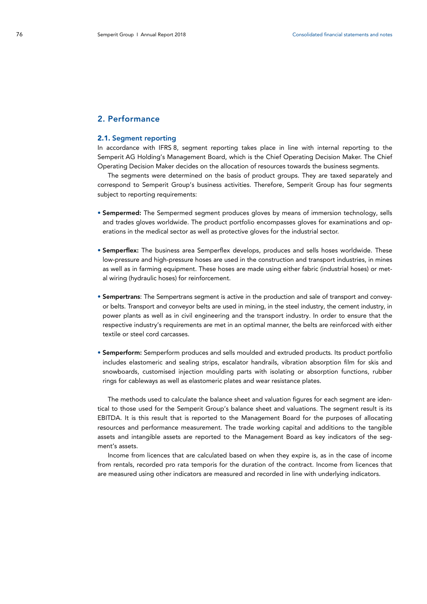# 2. Performance

### 2.1. Segment reporting

In accordance with IFRS 8, segment reporting takes place in line with internal reporting to the Semperit AG Holding's Management Board, which is the Chief Operating Decision Maker. The Chief Operating Decision Maker decides on the allocation of resources towards the business segments.

The segments were determined on the basis of product groups. They are taxed separately and correspond to Semperit Group's business activities. Therefore, Semperit Group has four segments subject to reporting requirements:

- Sempermed: The Sempermed segment produces gloves by means of immersion technology, sells and trades gloves worldwide. The product portfolio encompasses gloves for examinations and operations in the medical sector as well as protective gloves for the industrial sector.
- **Semperflex:** The business area Semperflex develops, produces and sells hoses worldwide. These low-pressure and high-pressure hoses are used in the construction and transport industries, in mines as well as in farming equipment. These hoses are made using either fabric (industrial hoses) or metal wiring (hydraulic hoses) for reinforcement.
- Sempertrans: The Sempertrans segment is active in the production and sale of transport and conveyor belts. Transport and conveyor belts are used in mining, in the steel industry, the cement industry, in power plants as well as in civil engineering and the transport industry. In order to ensure that the respective industry's requirements are met in an optimal manner, the belts are reinforced with either textile or steel cord carcasses.
- **Semperform:** Semperform produces and sells moulded and extruded products. Its product portfolio includes elastomeric and sealing strips, escalator handrails, vibration absorption film for skis and snowboards, customised injection moulding parts with isolating or absorption functions, rubber rings for cableways as well as elastomeric plates and wear resistance plates.

The methods used to calculate the balance sheet and valuation figures for each segment are identical to those used for the Semperit Group's balance sheet and valuations. The segment result is its EBITDA. It is this result that is reported to the Management Board for the purposes of allocating resources and performance measurement. The trade working capital and additions to the tangible assets and intangible assets are reported to the Management Board as key indicators of the segment's assets.

Income from licences that are calculated based on when they expire is, as in the case of income from rentals, recorded pro rata temporis for the duration of the contract. Income from licences that are measured using other indicators are measured and recorded in line with underlying indicators.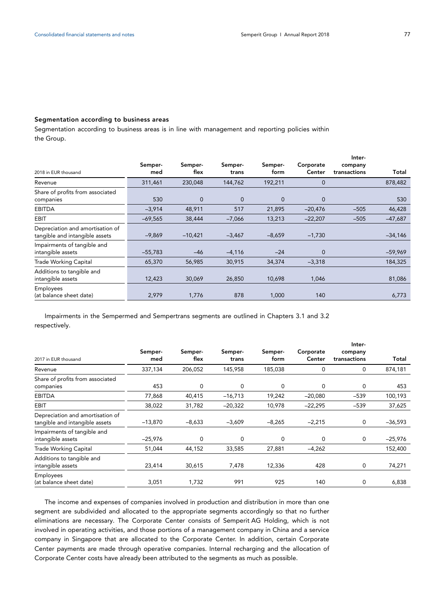### Segmentation according to business areas

Segmentation according to business areas is in line with management and reporting policies within the Group.

| Semper-<br>med | Semper-<br>flex | Semper-<br>trans | Semper-<br>form | Corporate<br>Center | Inter-<br>company<br>transactions | Total     |
|----------------|-----------------|------------------|-----------------|---------------------|-----------------------------------|-----------|
| 311,461        | 230,048         | 144,762          | 192,211         | $\overline{0}$      |                                   | 878,482   |
| 530            | $\overline{0}$  | $\overline{0}$   | $\overline{0}$  | $\overline{0}$      |                                   | 530       |
| $-3,914$       | 48,911          | 517              | 21,895          | $-20,476$           | $-505$                            | 46,428    |
| $-69,565$      | 38,444          | $-7,066$         | 13,213          | $-22,207$           | $-505$                            | $-47,687$ |
| $-9,869$       | $-10,421$       | $-3,467$         | $-8,659$        | $-1,730$            |                                   | $-34,146$ |
| $-55,783$      | $-46$           | $-4,116$         | $-24$           | $\overline{0}$      |                                   | $-59,969$ |
| 65,370         | 56,985          | 30,915           | 34,374          | $-3,318$            |                                   | 184,325   |
| 12,423         | 30,069          | 26,850           | 10,698          | 1,046               |                                   | 81,086    |
| 2,979          | 1,776           | 878              | 1,000           | 140                 |                                   | 6,773     |
|                |                 |                  |                 |                     |                                   |           |

Impairments in the Sempermed and Sempertrans segments are outlined in Chapters 3.1 and 3.2 respectively.

|                                                                    |           |             |             |             |             | Inter-       |           |
|--------------------------------------------------------------------|-----------|-------------|-------------|-------------|-------------|--------------|-----------|
|                                                                    | Semper-   | Semper-     | Semper-     | Semper-     | Corporate   | company      |           |
| 2017 in EUR thousand                                               | med       | flex        | trans       | form        | Center      | transactions | Total     |
| Revenue                                                            | 337,134   | 206,052     | 145,958     | 185,038     | $\mathbf 0$ | $\mathbf 0$  | 874,181   |
| Share of profits from associated<br>companies                      | 453       | $\mathbf 0$ | $\mathbf 0$ | $\mathbf 0$ | $\mathbf 0$ | $\mathbf 0$  | 453       |
| <b>EBITDA</b>                                                      | 77,868    | 40,415      | $-16,713$   | 19,242      | $-20,080$   | $-539$       | 100,193   |
| <b>EBIT</b>                                                        | 38,022    | 31,782      | $-20,322$   | 10,978      | $-22,295$   | $-539$       | 37,625    |
| Depreciation and amortisation of<br>tangible and intangible assets | $-13,870$ | $-8,633$    | $-3,609$    | $-8,265$    | $-2,215$    | $\mathbf 0$  | $-36,593$ |
| Impairments of tangible and<br>intangible assets                   | $-25,976$ | $\mathbf 0$ | $\mathbf 0$ | $\mathbf 0$ | $\Omega$    | $\mathbf 0$  | $-25,976$ |
| <b>Trade Working Capital</b>                                       | 51,044    | 44,152      | 33,585      | 27,881      | $-4,262$    |              | 152,400   |
| Additions to tangible and<br>intangible assets                     | 23,414    | 30,615      | 7,478       | 12,336      | 428         | 0            | 74,271    |
| Employees<br>(at balance sheet date)                               | 3,051     | 1,732       | 991         | 925         | 140         | $\mathbf 0$  | 6,838     |

The income and expenses of companies involved in production and distribution in more than one segment are subdivided and allocated to the appropriate segments accordingly so that no further eliminations are necessary. The Corporate Center consists of Semperit AG Holding, which is not involved in operating activities, and those portions of a management company in China and a service company in Singapore that are allocated to the Corporate Center. In addition, certain Corporate Center payments are made through operative companies. Internal recharging and the allocation of Corporate Center costs have already been attributed to the segments as much as possible.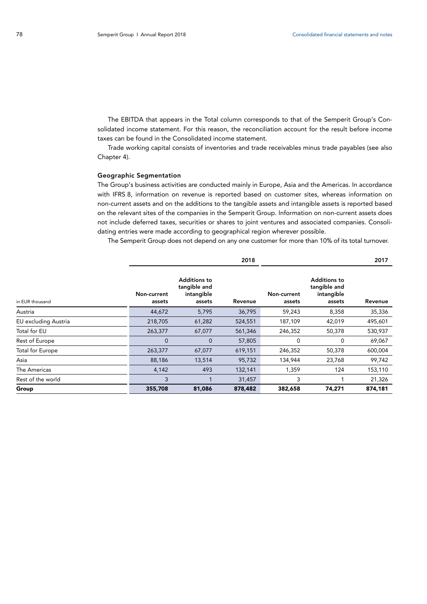The EBITDA that appears in the Total column corresponds to that of the Semperit Group's Consolidated income statement. For this reason, the reconciliation account for the result before income taxes can be found in the Consolidated income statement.

Trade working capital consists of inventories and trade receivables minus trade payables (see also Chapter 4).

## Geographic Segmentation

The Group's business activities are conducted mainly in Europe, Asia and the Americas. In accordance with IFRS 8, information on revenue is reported based on customer sites, whereas information on non-current assets and on the additions to the tangible assets and intangible assets is reported based on the relevant sites of the companies in the Semperit Group. Information on non-current assets does not include deferred taxes, securities or shares to joint ventures and associated companies. Consolidating entries were made according to geographical region wherever possible.

The Semperit Group does not depend on any one customer for more than 10% of its total turnover.

|                         |                       |                                                             | 2018    |                       | 2017                                                        |         |
|-------------------------|-----------------------|-------------------------------------------------------------|---------|-----------------------|-------------------------------------------------------------|---------|
| in EUR thousand         | Non-current<br>assets | <b>Additions to</b><br>tangible and<br>intangible<br>assets | Revenue | Non-current<br>assets | <b>Additions to</b><br>tangible and<br>intangible<br>assets | Revenue |
| Austria                 | 44,672                | 5,795                                                       | 36,795  | 59,243                | 8,358                                                       | 35,336  |
| EU excluding Austria    | 218,705               | 61,282                                                      | 524,551 | 187,109               | 42,019                                                      | 495,601 |
| Total for EU            | 263,377               | 67,077                                                      | 561,346 | 246,352               | 50,378                                                      | 530,937 |
| Rest of Europe          | $\overline{0}$        | $\overline{0}$                                              | 57,805  | 0                     | $\Omega$                                                    | 69,067  |
| <b>Total for Europe</b> | 263,377               | 67,077                                                      | 619,151 | 246,352               | 50,378                                                      | 600,004 |
| Asia                    | 88,186                | 13,514                                                      | 95,732  | 134,944               | 23,768                                                      | 99,742  |
| The Americas            | 4,142                 | 493                                                         | 132,141 | 1,359                 | 124                                                         | 153,110 |
| Rest of the world       | 3                     |                                                             | 31,457  | 3                     |                                                             | 21,326  |
| Group                   | 355,708               | 81,086                                                      | 878,482 | 382,658               | 74,271                                                      | 874,181 |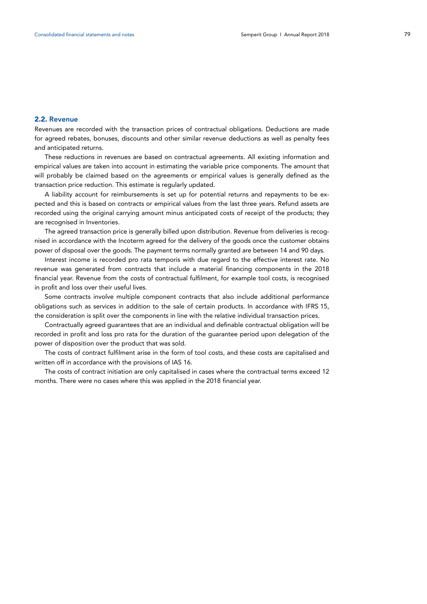### 2.2. Revenue

Revenues are recorded with the transaction prices of contractual obligations. Deductions are made for agreed rebates, bonuses, discounts and other similar revenue deductions as well as penalty fees and anticipated returns.

These reductions in revenues are based on contractual agreements. All existing information and empirical values are taken into account in estimating the variable price components. The amount that will probably be claimed based on the agreements or empirical values is generally defined as the transaction price reduction. This estimate is regularly updated.

A liability account for reimbursements is set up for potential returns and repayments to be expected and this is based on contracts or empirical values from the last three years. Refund assets are recorded using the original carrying amount minus anticipated costs of receipt of the products; they are recognised in Inventories.

The agreed transaction price is generally billed upon distribution. Revenue from deliveries is recognised in accordance with the Incoterm agreed for the delivery of the goods once the customer obtains power of disposal over the goods. The payment terms normally granted are between 14 and 90 days.

Interest income is recorded pro rata temporis with due regard to the effective interest rate. No revenue was generated from contracts that include a material financing components in the 2018 financial year. Revenue from the costs of contractual fulfilment, for example tool costs, is recognised in profit and loss over their useful lives.

Some contracts involve multiple component contracts that also include additional performance obligations such as services in addition to the sale of certain products. In accordance with IFRS 15, the consideration is split over the components in line with the relative individual transaction prices.

Contractually agreed guarantees that are an individual and definable contractual obligation will be recorded in profit and loss pro rata for the duration of the guarantee period upon delegation of the power of disposition over the product that was sold.

The costs of contract fulfilment arise in the form of tool costs, and these costs are capitalised and written off in accordance with the provisions of IAS 16.

The costs of contract initiation are only capitalised in cases where the contractual terms exceed 12 months. There were no cases where this was applied in the 2018 financial year.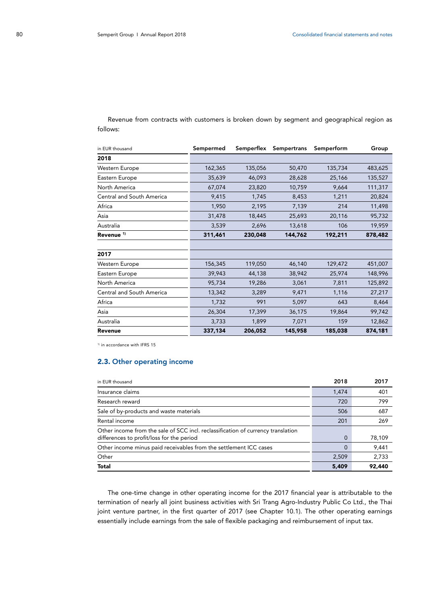Revenue from contracts with customers is broken down by segment and geographical region as follows:

| in EUR thousand           | Sempermed | Semperflex | Sempertrans | Semperform | Group   |
|---------------------------|-----------|------------|-------------|------------|---------|
| 2018                      |           |            |             |            |         |
| Western Europe            | 162,365   | 135,056    | 50,470      | 135,734    | 483,625 |
| Eastern Europe            | 35,639    | 46,093     | 28,628      | 25,166     | 135,527 |
| North America             | 67,074    | 23,820     | 10,759      | 9,664      | 111,317 |
| Central and South America | 9,415     | 1,745      | 8,453       | 1,211      | 20,824  |
| Africa                    | 1,950     | 2,195      | 7,139       | 214        | 11,498  |
| Asia                      | 31,478    | 18,445     | 25,693      | 20,116     | 95,732  |
| Australia                 | 3,539     | 2,696      | 13,618      | 106        | 19,959  |
| Revenue <sup>1)</sup>     | 311,461   | 230,048    | 144,762     | 192,211    | 878,482 |
| 2017                      |           |            |             |            |         |
| Western Europe            | 156,345   | 119,050    | 46,140      | 129,472    | 451,007 |
| Eastern Europe            | 39,943    | 44,138     | 38,942      | 25,974     | 148,996 |
| North America             | 95,734    | 19,286     | 3,061       | 7,811      | 125,892 |
| Central and South America | 13,342    | 3,289      | 9,471       | 1,116      | 27,217  |
| Africa                    | 1,732     | 991        | 5,097       | 643        | 8,464   |
| Asia                      | 26,304    | 17,399     | 36,175      | 19,864     | 99,742  |
| Australia                 | 3,733     | 1,899      | 7,071       | 159        | 12,862  |
| Revenue                   | 337,134   | 206,052    | 145,958     | 185,038    | 874,181 |

<sup>1)</sup> in accordance with IFRS 15

## 2.3. Other operating income

| in EUR thousand                                                                                                               | 2018  | 2017   |
|-------------------------------------------------------------------------------------------------------------------------------|-------|--------|
| Insurance claims                                                                                                              | 1,474 | 401    |
| Research reward                                                                                                               | 720   | 799    |
| Sale of by-products and waste materials                                                                                       | 506   | 687    |
| Rental income                                                                                                                 | 201   | 269    |
| Other income from the sale of SCC incl. reclassification of currency translation<br>differences to profit/loss for the period |       | 78,109 |
| Other income minus paid receivables from the settlement ICC cases                                                             |       | 9,441  |
| Other                                                                                                                         | 2,509 | 2,733  |
| Total                                                                                                                         | 5,409 | 92,440 |

The one-time change in other operating income for the 2017 financial year is attributable to the termination of nearly all joint business activities with Sri Trang Agro-Industry Public Co Ltd., the Thai joint venture partner, in the first quarter of 2017 (see Chapter 10.1). The other operating earnings essentially include earnings from the sale of flexible packaging and reimbursement of input tax.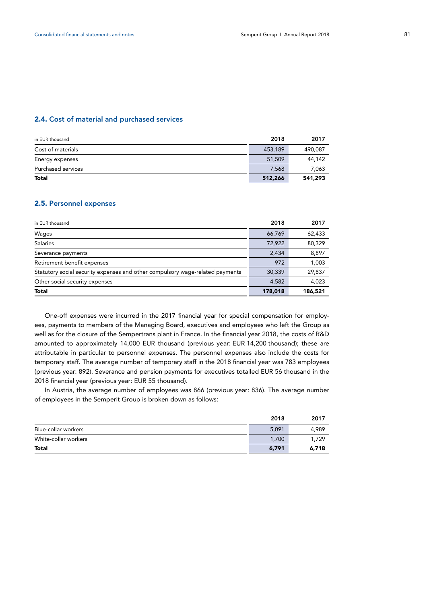## 2.4. Cost of material and purchased services

| in EUR thousand    | 2018    | 2017    |
|--------------------|---------|---------|
| Cost of materials  | 453,189 | 490,087 |
| Energy expenses    | 51,509  | 44,142  |
| Purchased services | 7,568   | 7,063   |
| <b>Total</b>       | 512,266 | 541,293 |

## 2.5. Personnel expenses

| in EUR thousand                                                               | 2018    | 2017    |
|-------------------------------------------------------------------------------|---------|---------|
| Wages                                                                         | 66,769  | 62,433  |
| <b>Salaries</b>                                                               | 72.922  | 80,329  |
| Severance payments                                                            | 2.434   | 8,897   |
| Retirement benefit expenses                                                   | 972     | 1,003   |
| Statutory social security expenses and other compulsory wage-related payments | 30,339  | 29,837  |
| Other social security expenses                                                | 4,582   | 4,023   |
| <b>Total</b>                                                                  | 178,018 | 186,521 |

One-off expenses were incurred in the 2017 financial year for special compensation for employees, payments to members of the Managing Board, executives and employees who left the Group as well as for the closure of the Sempertrans plant in France. In the financial year 2018, the costs of R&D amounted to approximately 14,000 EUR thousand (previous year: EUR 14,200 thousand); these are attributable in particular to personnel expenses. The personnel expenses also include the costs for temporary staff. The average number of temporary staff in the 2018 financial year was 783 employees (previous year: 892). Severance and pension payments for executives totalled EUR 56 thousand in the 2018 financial year (previous year: EUR 55 thousand).

In Austria, the average number of employees was 866 (previous year: 836). The average number of employees in the Semperit Group is broken down as follows:

|                      | 2018  | 2017  |
|----------------------|-------|-------|
| Blue-collar workers  | 5,091 | 4,989 |
| White-collar workers | 1,700 | 1.729 |
| <b>Total</b>         | 6.791 | 6,718 |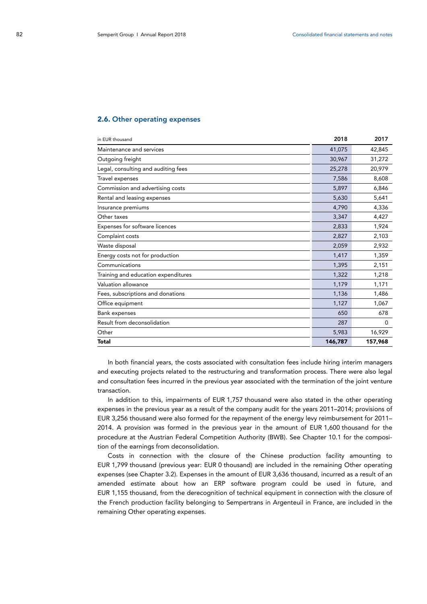### 2.6. Other operating expenses

| in EUR thousand                     | 2018    | 2017    |
|-------------------------------------|---------|---------|
| Maintenance and services            | 41,075  | 42,845  |
| Outgoing freight                    | 30,967  | 31,272  |
| Legal, consulting and auditing fees | 25,278  | 20,979  |
| Travel expenses                     | 7,586   | 8,608   |
| Commission and advertising costs    | 5,897   | 6,846   |
| Rental and leasing expenses         | 5,630   | 5,641   |
| Insurance premiums                  | 4,790   | 4,336   |
| Other taxes                         | 3,347   | 4,427   |
| Expenses for software licences      | 2,833   | 1,924   |
| Complaint costs                     | 2,827   | 2,103   |
| Waste disposal                      | 2,059   | 2,932   |
| Energy costs not for production     | 1,417   | 1,359   |
| Communications                      | 1,395   | 2,151   |
| Training and education expenditures | 1,322   | 1,218   |
| Valuation allowance                 | 1,179   | 1,171   |
| Fees, subscriptions and donations   | 1,136   | 1,486   |
| Office equipment                    | 1,127   | 1,067   |
| <b>Bank expenses</b>                | 650     | 678     |
| Result from deconsolidation         | 287     | 0       |
| Other                               | 5,983   | 16,929  |
| <b>Total</b>                        | 146,787 | 157,968 |

In both financial years, the costs associated with consultation fees include hiring interim managers and executing projects related to the restructuring and transformation process. There were also legal and consultation fees incurred in the previous year associated with the termination of the joint venture transaction.

In addition to this, impairments of EUR 1,757 thousand were also stated in the other operating expenses in the previous year as a result of the company audit for the years 2011–2014; provisions of EUR 3,256 thousand were also formed for the repayment of the energy levy reimbursement for 2011– 2014. A provision was formed in the previous year in the amount of EUR 1,600 thousand for the procedure at the Austrian Federal Competition Authority (BWB). See Chapter 10.1 for the composition of the earnings from deconsolidation.

Costs in connection with the closure of the Chinese production facility amounting to EUR 1,799 thousand (previous year: EUR 0 thousand) are included in the remaining Other operating expenses (see Chapter 3.2). Expenses in the amount of EUR 3,636 thousand, incurred as a result of an amended estimate about how an ERP software program could be used in future, and EUR 1,155 thousand, from the derecognition of technical equipment in connection with the closure of the French production facility belonging to Sempertrans in Argenteuil in France, are included in the remaining Other operating expenses.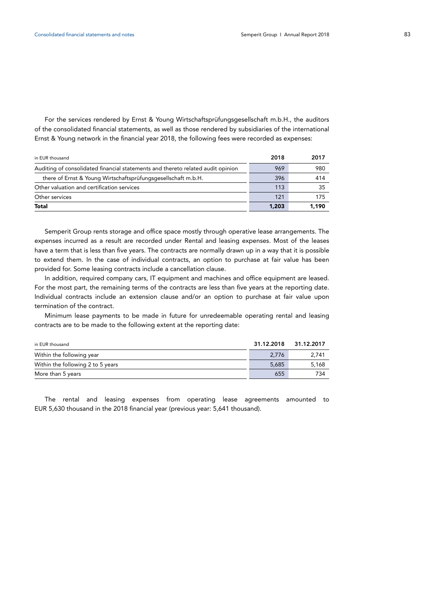For the services rendered by Ernst & Young Wirtschaftsprüfungsgesellschaft m.b.H., the auditors of the consolidated financial statements, as well as those rendered by subsidiaries of the international Ernst & Young network in the financial year 2018, the following fees were recorded as expenses:

| in EUR thousand                                                                 | 2018  | 2017  |
|---------------------------------------------------------------------------------|-------|-------|
| Auditing of consolidated financial statements and thereto related audit opinion | 969   | 980   |
| there of Ernst & Young Wirtschaftsprüfungsgesellschaft m.b.H.                   | 396   | 414   |
| Other valuation and certification services                                      | 113   | 35    |
| Other services                                                                  | 121   | 175   |
| Total                                                                           | 1,203 | 1,190 |

Semperit Group rents storage and office space mostly through operative lease arrangements. The expenses incurred as a result are recorded under Rental and leasing expenses. Most of the leases have a term that is less than five years. The contracts are normally drawn up in a way that it is possible to extend them. In the case of individual contracts, an option to purchase at fair value has been provided for. Some leasing contracts include a cancellation clause.

In addition, required company cars, IT equipment and machines and office equipment are leased. For the most part, the remaining terms of the contracts are less than five years at the reporting date. Individual contracts include an extension clause and/or an option to purchase at fair value upon termination of the contract.

Minimum lease payments to be made in future for unredeemable operating rental and leasing contracts are to be made to the following extent at the reporting date:

| in EUR thousand                   | 31.12.2018 | 31.12.2017 |
|-----------------------------------|------------|------------|
| Within the following year         | 2.776      | 2.741      |
| Within the following 2 to 5 years | 5.685      | 5,168      |
| More than 5 years                 | 655        | 734        |

The rental and leasing expenses from operating lease agreements amounted to EUR 5,630 thousand in the 2018 financial year (previous year: 5,641 thousand).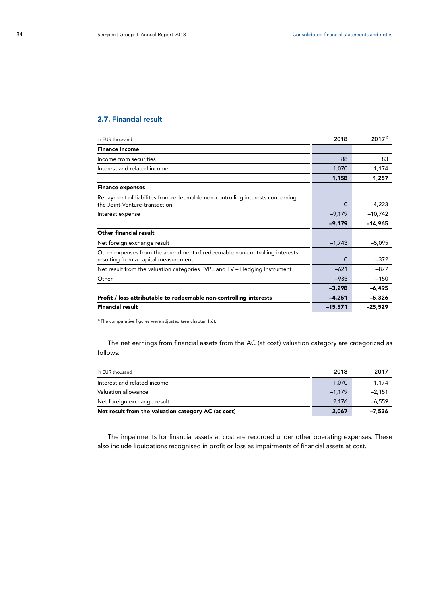# 2.7. Financial result

| in EUR thousand                                                                                                   | 2018      | $2017^{1}$ |
|-------------------------------------------------------------------------------------------------------------------|-----------|------------|
| <b>Finance income</b>                                                                                             |           |            |
| Income from securities                                                                                            | 88        | 83         |
| Interest and related income                                                                                       | 1,070     | 1,174      |
|                                                                                                                   | 1,158     | 1,257      |
| <b>Finance expenses</b>                                                                                           |           |            |
| Repayment of liabilites from redeemable non-controlling interests concerning<br>the Joint-Venture-transaction     | $\Omega$  | $-4,223$   |
| Interest expense                                                                                                  | $-9,179$  | $-10,742$  |
|                                                                                                                   | $-9,179$  | $-14,965$  |
| <b>Other financial result</b>                                                                                     |           |            |
| Net foreign exchange result                                                                                       | $-1.743$  | $-5,095$   |
| Other expenses from the amendment of redeemable non-controlling interests<br>resulting from a capital measurement | $\Omega$  | $-372$     |
| Net result from the valuation categories FVPL and FV – Hedging Instrument                                         | $-621$    | $-877$     |
| Other                                                                                                             | $-935$    | $-150$     |
|                                                                                                                   | $-3,298$  | $-6,495$   |
| Profit / loss attributable to redeemable non-controlling interests                                                | $-4,251$  | $-5,326$   |
| <b>Financial result</b>                                                                                           | $-15,571$ | -25,529    |

<sup>1)</sup> The comparative figures were adjusted (see chapter 1.6).

The net earnings from financial assets from the AC (at cost) valuation category are categorized as follows:

| in EUR thousand                                     | 2018     | 2017     |
|-----------------------------------------------------|----------|----------|
| Interest and related income                         | 1.070    | 1.174    |
| Valuation allowance                                 | $-1.179$ | $-2.151$ |
| Net foreign exchange result                         | 2.176    | $-6,559$ |
| Net result from the valuation category AC (at cost) | 2,067    | -7,536   |

The impairments for financial assets at cost are recorded under other operating expenses. These also include liquidations recognised in profit or loss as impairments of financial assets at cost.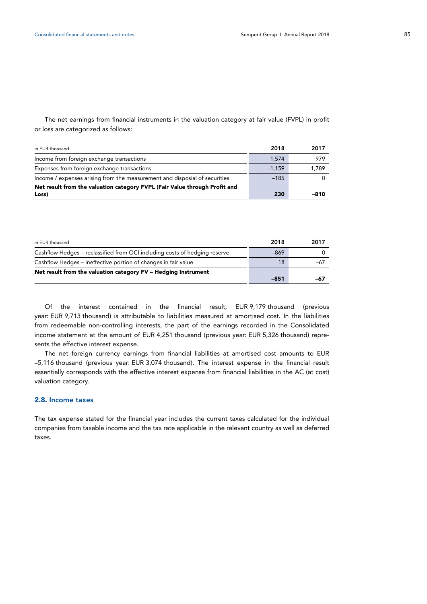The net earnings from financial instruments in the valuation category at fair value (FVPL) in profit or loss are categorized as follows:

| in EUR thousand                                                            | 2018     | 2017     |
|----------------------------------------------------------------------------|----------|----------|
| Income from foreign exchange transactions                                  | 1.574    | 979      |
| Expenses from foreign exchange transactions                                | $-1.159$ | $-1,789$ |
| Income / expenses arising from the measurement and disposial of securities | $-185$   |          |
| Net result from the valuation category FVPL (Fair Value through Profit and |          |          |
| Loss)                                                                      | 230      | -810     |

|                                                                            | $-851$ | -67  |
|----------------------------------------------------------------------------|--------|------|
| Net result from the valuation category FV - Hedging Instrument             |        |      |
| Cashflow Hedges – ineffective portion of changes in fair value             | 18     | -67  |
| Cashflow Hedges – reclassified from OCI including costs of hedging reserve | $-869$ |      |
| in EUR thousand                                                            | 2018   | 2017 |

Of the interest contained in the financial result, EUR 9,179 thousand (previous year: EUR 9,713 thousand) is attributable to liabilities measured at amortised cost. In the liabilities from redeemable non-controlling interests, the part of the earnings recorded in the Consolidated income statement at the amount of EUR 4,251 thousand (previous year: EUR 5,326 thousand) represents the effective interest expense.

The net foreign currency earnings from financial liabilities at amortised cost amounts to EUR –5,116 thousand (previous year: EUR 3,074 thousand). The interest expense in the financial result essentially corresponds with the effective interest expense from financial liabilities in the AC (at cost) valuation category.

## 2.8. Income taxes

The tax expense stated for the financial year includes the current taxes calculated for the individual companies from taxable income and the tax rate applicable in the relevant country as well as deferred taxes.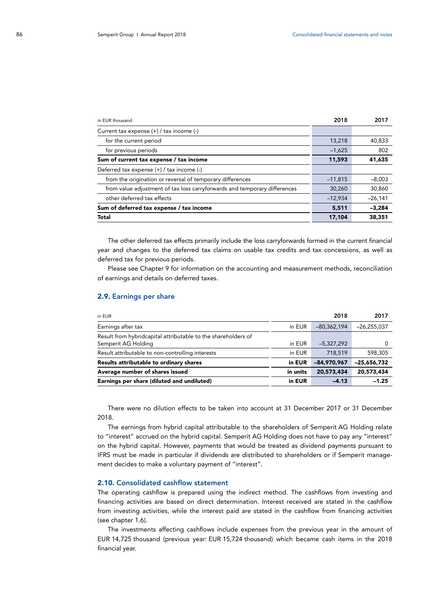| in EUR thousand                                                           | 2018      | 2017      |
|---------------------------------------------------------------------------|-----------|-----------|
| Current tax expense $(+)$ / tax income $(-)$                              |           |           |
| for the current period                                                    | 13,218    | 40.833    |
| for previous periods                                                      | $-1,625$  | 802       |
| Sum of current tax expense / tax income                                   | 11,593    | 41,635    |
| Deferred tax expense (+) / tax income (-)                                 |           |           |
| from the origination or reversal of temporary differences                 | $-11,815$ | $-8,003$  |
| from value adjustment of tax loss carryforwards and temporary differences | 30.260    | 30.860    |
| other deferred tax effects                                                | $-12,934$ | $-26.141$ |
| Sum of deferred tax expense / tax income                                  | 5,511     | $-3.284$  |
| Total                                                                     | 17,104    | 38,351    |

The other deferred tax effects primarily include the loss carryforwards formed in the current financial year and changes to the deferred tax claims on usable tax credits and tax concessions, as well as deferred tax for previous periods.

Please see Chapter 9 for information on the accounting and measurement methods, reconciliation of earnings and details on deferred taxes.

### 2.9. Earnings per share

| in EUR                                                                               |          | 2018          | 2017          |
|--------------------------------------------------------------------------------------|----------|---------------|---------------|
| Earnings after tax                                                                   | in EUR   | $-80,362,194$ | $-26,255,037$ |
| Result from hybridcapital attributable to the shareholders of<br>Semperit AG Holding | in EUR   | $-5.327.292$  |               |
| Result attributable to non-controlling interests                                     | in EUR   | 718.519       | 598,305       |
| Results attributable to ordinary shares                                              | in EUR   | -84,970,967   | -25,656,732   |
| Average number of shares issued                                                      | in units | 20,573,434    | 20,573,434    |
| Earnings per share (diluted and undiluted)                                           | in EUR   | $-4.13$       | $-1.25$       |

There were no dilution effects to be taken into account at 31 December 2017 or 31 December 2018.

The earnings from hybrid capital attributable to the shareholders of Semperit AG Holding relate to "interest" accrued on the hybrid capital. Semperit AG Holding does not have to pay any "interest" on the hybrid capital. However, payments that would be treated as dividend payments pursuant to IFRS must be made in particular if dividends are distributed to shareholders or if Semperit management decides to make a voluntary payment of "interest".

## 2.10. Consolidated cashflow statement

The operating cashflow is prepared using the indirect method. The cashflows from investing and financing activities are based on direct determination. Interest received are stated in the cashflow from investing activities, while the interest paid are stated in the cashflow from financing activities (see chapter 1.6).

The investments affecting cashflows include expenses from the previous year in the amount of EUR 14,725 thousand (previous year: EUR 15,724 thousand) which became cash items in the 2018 financial year.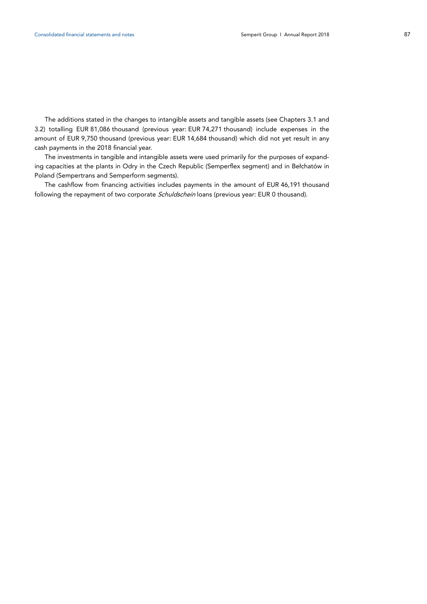The additions stated in the changes to intangible assets and tangible assets (see Chapters 3.1 and 3.2) totalling EUR 81,086 thousand (previous year: EUR 74,271 thousand) include expenses in the amount of EUR 9,750 thousand (previous year: EUR 14,684 thousand) which did not yet result in any cash payments in the 2018 financial year.

The investments in tangible and intangible assets were used primarily for the purposes of expanding capacities at the plants in Odry in the Czech Republic (Semperflex segment) and in Bełchatów in Poland (Sempertrans and Semperform segments).

The cashflow from financing activities includes payments in the amount of EUR 46,191 thousand following the repayment of two corporate *Schuldschein* loans (previous year: EUR 0 thousand).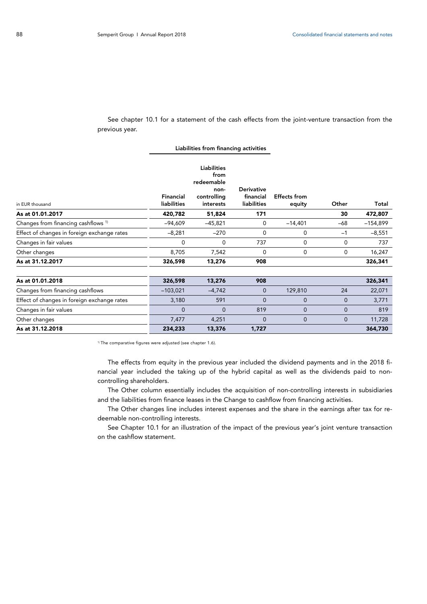See chapter 10.1 for a statement of the cash effects from the joint-venture transaction from the previous year.

### Liabilities from financing activities

| in EUR thousand                                | Financial<br>liabilities | <b>Liabilities</b><br>from<br>redeemable<br>non-<br>controlling<br>interests | <b>Derivative</b><br>financial<br>liabilities | <b>Effects from</b><br>equity | Other       | Total      |
|------------------------------------------------|--------------------------|------------------------------------------------------------------------------|-----------------------------------------------|-------------------------------|-------------|------------|
| As at 01.01.2017                               | 420,782                  | 51,824                                                                       | 171                                           |                               | 30          | 472,807    |
| Changes from financing cashflows <sup>1)</sup> | $-94,609$                | $-45,821$                                                                    | 0                                             | $-14,401$                     | $-68$       | $-154,899$ |
| Effect of changes in foreign exchange rates    | $-8,281$                 | $-270$                                                                       | 0                                             | 0                             | $-1$        | $-8,551$   |
| Changes in fair values                         | $\mathbf 0$              | $\Omega$                                                                     | 737                                           | 0                             | $\mathbf 0$ | 737        |
| Other changes                                  | 8,705                    | 7,542                                                                        | $\Omega$                                      | 0                             | $\mathbf 0$ | 16,247     |
| As at 31.12.2017                               | 326,598                  | 13,276                                                                       | 908                                           |                               |             | 326,341    |

| As at 01.01.2018                            | 326,598    | 13,276   | 908   |         |    | 326,341 |
|---------------------------------------------|------------|----------|-------|---------|----|---------|
| Changes from financing cashflows            | $-103,021$ | $-4.742$ |       | 129,810 | 24 | 22,071  |
| Effect of changes in foreign exchange rates | 3.180      | 591      |       |         |    | 3,771   |
| Changes in fair values                      |            |          | 819   |         |    | 819     |
| Other changes                               | 7.477      | 4.251    |       |         |    | 11.728  |
| As at 31.12.2018                            | 234,233    | 13,376   | 1,727 |         |    | 364,730 |

<sup>1)</sup> The comparative figures were adjusted (see chapter 1.6).

The effects from equity in the previous year included the dividend payments and in the 2018 financial year included the taking up of the hybrid capital as well as the dividends paid to noncontrolling shareholders.

The Other column essentially includes the acquisition of non-controlling interests in subsidiaries and the liabilities from finance leases in the Change to cashflow from financing activities.

The Other changes line includes interest expenses and the share in the earnings after tax for redeemable non-controlling interests.

See Chapter 10.1 for an illustration of the impact of the previous year's joint venture transaction on the cashflow statement.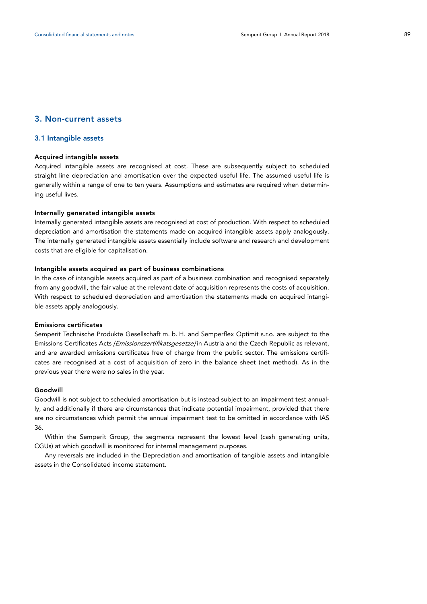## 3. Non-current assets

## 3.1 Intangible assets

### Acquired intangible assets

Acquired intangible assets are recognised at cost. These are subsequently subject to scheduled straight line depreciation and amortisation over the expected useful life. The assumed useful life is generally within a range of one to ten years. Assumptions and estimates are required when determining useful lives.

#### Internally generated intangible assets

Internally generated intangible assets are recognised at cost of production. With respect to scheduled depreciation and amortisation the statements made on acquired intangible assets apply analogously. The internally generated intangible assets essentially include software and research and development costs that are eligible for capitalisation.

#### Intangible assets acquired as part of business combinations

In the case of intangible assets acquired as part of a business combination and recognised separately from any goodwill, the fair value at the relevant date of acquisition represents the costs of acquisition. With respect to scheduled depreciation and amortisation the statements made on acquired intangible assets apply analogously.

## Emissions certificates

Semperit Technische Produkte Gesellschaft m. b. H. and Semperflex Optimit s.r.o. are subject to the Emissions Certificates Acts [Emissionszertifikatsgesetze] in Austria and the Czech Republic as relevant, and are awarded emissions certificates free of charge from the public sector. The emissions certificates are recognised at a cost of acquisition of zero in the balance sheet (net method). As in the previous year there were no sales in the year.

#### Goodwill

Goodwill is not subject to scheduled amortisation but is instead subject to an impairment test annually, and additionally if there are circumstances that indicate potential impairment, provided that there are no circumstances which permit the annual impairment test to be omitted in accordance with IAS 36.

Within the Semperit Group, the segments represent the lowest level (cash generating units, CGUs) at which goodwill is monitored for internal management purposes.

Any reversals are included in the Depreciation and amortisation of tangible assets and intangible assets in the Consolidated income statement.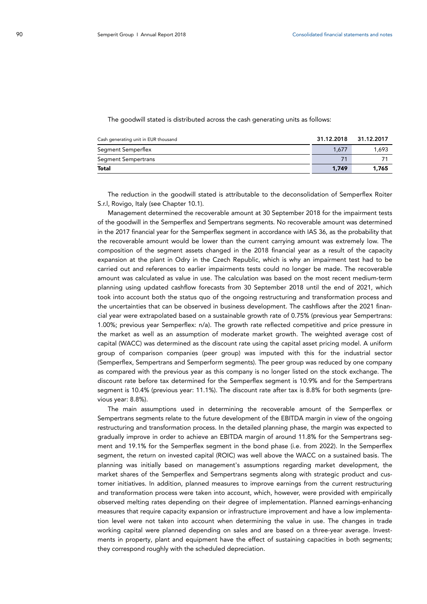The goodwill stated is distributed across the cash generating units as follows:

| Cash generating unit in EUR thousand | 31.12.2018 | 31.12.2017 |
|--------------------------------------|------------|------------|
| Segment Semperflex                   | 1.677      | 1.693      |
| Segment Sempertrans                  | 71         |            |
| Total                                | 1.749      | 1,765      |
|                                      |            |            |

The reduction in the goodwill stated is attributable to the deconsolidation of Semperflex Roiter S.r.l, Rovigo, Italy (see Chapter 10.1).

Management determined the recoverable amount at 30 September 2018 for the impairment tests of the goodwill in the Semperflex and Sempertrans segments. No recoverable amount was determined in the 2017 financial year for the Semperflex segment in accordance with IAS 36, as the probability that the recoverable amount would be lower than the current carrying amount was extremely low. The composition of the segment assets changed in the 2018 financial year as a result of the capacity expansion at the plant in Odry in the Czech Republic, which is why an impairment test had to be carried out and references to earlier impairments tests could no longer be made. The recoverable amount was calculated as value in use. The calculation was based on the most recent medium-term planning using updated cashflow forecasts from 30 September 2018 until the end of 2021, which took into account both the status quo of the ongoing restructuring and transformation process and the uncertainties that can be observed in business development. The cashflows after the 2021 financial year were extrapolated based on a sustainable growth rate of 0.75% (previous year Sempertrans: 1.00%; previous year Semperflex: n/a). The growth rate reflected competitive and price pressure in the market as well as an assumption of moderate market growth. The weighted average cost of capital (WACC) was determined as the discount rate using the capital asset pricing model. A uniform group of comparison companies (peer group) was imputed with this for the industrial sector (Semperflex, Sempertrans and Semperform segments). The peer group was reduced by one company as compared with the previous year as this company is no longer listed on the stock exchange. The discount rate before tax determined for the Semperflex segment is 10.9% and for the Sempertrans segment is 10.4% (previous year: 11.1%). The discount rate after tax is 8.8% for both segments (previous year: 8.8%).

The main assumptions used in determining the recoverable amount of the Semperflex or Sempertrans segments relate to the future development of the EBITDA margin in view of the ongoing restructuring and transformation process. In the detailed planning phase, the margin was expected to gradually improve in order to achieve an EBITDA margin of around 11.8% for the Sempertrans segment and 19.1% for the Semperflex segment in the bond phase (i.e. from 2022). In the Semperflex segment, the return on invested capital (ROIC) was well above the WACC on a sustained basis. The planning was initially based on management's assumptions regarding market development, the market shares of the Semperflex and Sempertrans segments along with strategic product and customer initiatives. In addition, planned measures to improve earnings from the current restructuring and transformation process were taken into account, which, however, were provided with empirically observed melting rates depending on their degree of implementation. Planned earnings-enhancing measures that require capacity expansion or infrastructure improvement and have a low implementation level were not taken into account when determining the value in use. The changes in trade working capital were planned depending on sales and are based on a three-year average. Investments in property, plant and equipment have the effect of sustaining capacities in both segments; they correspond roughly with the scheduled depreciation.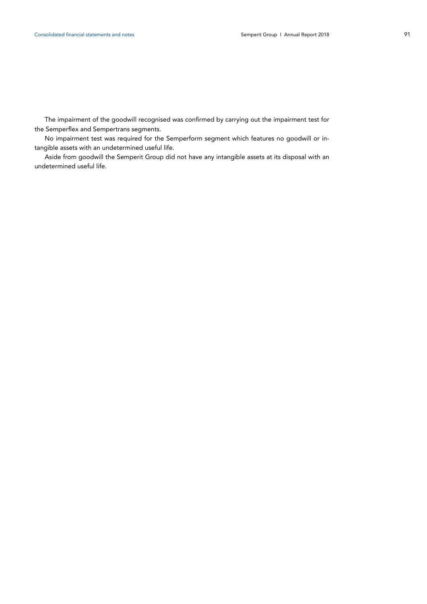The impairment of the goodwill recognised was confirmed by carrying out the impairment test for the Semperflex and Sempertrans segments.

No impairment test was required for the Semperform segment which features no goodwill or intangible assets with an undetermined useful life.

Aside from goodwill the Semperit Group did not have any intangible assets at its disposal with an undetermined useful life.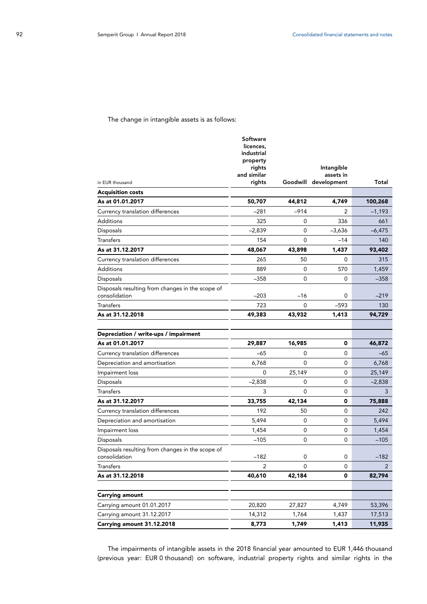# The change in intangible assets is as follows:

| in EUR thousand                                                   | licences.<br>industrial<br>property<br>rights<br>and similar<br>rights |          | Intangible<br>assets in<br>Goodwill development | Total          |
|-------------------------------------------------------------------|------------------------------------------------------------------------|----------|-------------------------------------------------|----------------|
| <b>Acquisition costs</b>                                          |                                                                        |          |                                                 |                |
| As at 01.01.2017                                                  | 50,707                                                                 | 44,812   | 4,749                                           | 100,268        |
| Currency translation differences                                  | -281                                                                   | -914     | 2                                               | $-1,193$       |
| Additions                                                         | 325                                                                    | 0        | 336                                             | 661            |
| Disposals                                                         | $-2,839$                                                               | 0        | -3,636                                          | $-6,475$       |
| Transfers                                                         | 154                                                                    | $\Omega$ | $-14$                                           | 140            |
| As at 31.12.2017                                                  | 48,067                                                                 | 43,898   | 1,437                                           | 93,402         |
| Currency translation differences                                  | 265                                                                    | 50       | 0                                               | 315            |
| Additions                                                         | 889                                                                    | 0        | 570                                             | 1,459          |
| Disposals                                                         | $-358$                                                                 | 0        | 0                                               | $-358$         |
| Disposals resulting from changes in the scope of<br>consolidation | $-203$                                                                 | -16      | 0                                               | $-219$         |
| Transfers                                                         | 723                                                                    | 0        | $-593$                                          | 130            |
| As at 31.12.2018                                                  | 49,383                                                                 | 43,932   | 1,413                                           | 94,729         |
|                                                                   |                                                                        |          |                                                 |                |
| Depreciation / write-ups / impairment                             |                                                                        |          |                                                 |                |
| As at 01.01.2017                                                  | 29,887                                                                 | 16,985   | 0                                               | 46,872         |
| Currency translation differences                                  | -65                                                                    | 0        | 0                                               | -65            |
| Depreciation and amortisation                                     | 6,768                                                                  | 0        | 0                                               | 6,768          |
| Impairment loss                                                   | 0                                                                      | 25,149   | 0                                               | 25,149         |
| Disposals                                                         | $-2,838$                                                               | 0        | 0                                               | $-2,838$       |
| Transfers                                                         | 3                                                                      | 0        | 0                                               | 3              |
| As at 31.12.2017                                                  | 33,755                                                                 | 42,134   | 0                                               | 75,888         |
| Currency translation differences                                  | 192                                                                    | 50       | 0                                               | 242            |
| Depreciation and amortisation                                     | 5,494                                                                  | 0        | 0                                               | 5,494          |
| Impairment loss                                                   | 1,454                                                                  | 0        | 0                                               | 1,454          |
| Disposals                                                         | $-105$                                                                 | 0        | 0                                               | $-105$         |
| Disposals resulting from changes in the scope of<br>consolidation | -182                                                                   | 0        | 0                                               | $-182$         |
| <b>Transfers</b>                                                  | 2                                                                      | 0        | 0                                               | $\overline{2}$ |
| As at 31.12.2018                                                  | 40,610                                                                 | 42,184   | 0                                               | 82,794         |
|                                                                   |                                                                        |          |                                                 |                |
| Carrying amount                                                   |                                                                        |          |                                                 |                |
| Carrying amount 01.01.2017                                        | 20,820                                                                 | 27,827   | 4,749                                           | 53,396         |
| Carrying amount 31.12.2017                                        | 14,312                                                                 | 1,764    | 1,437                                           | 17,513         |
| Carrying amount 31.12.2018                                        | 8,773                                                                  | 1,749    | 1,413                                           | 11,935         |

The impairments of intangible assets in the 2018 financial year amounted to EUR 1,446 thousand (previous year: EUR 0 thousand) on software, industrial property rights and similar rights in the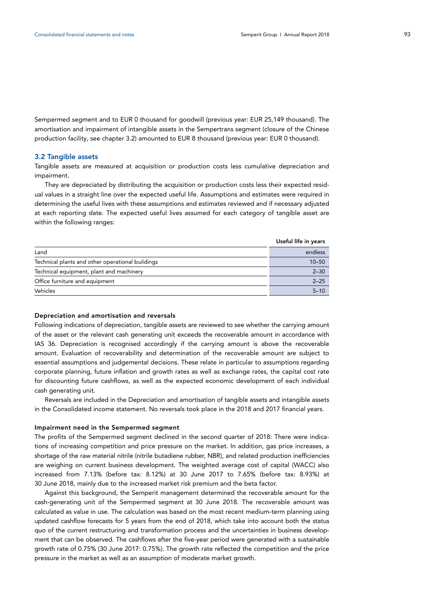Useful life in years

Sempermed segment and to EUR 0 thousand for goodwill (previous year: EUR 25,149 thousand). The amortisation and impairment of intangible assets in the Sempertrans segment (closure of the Chinese production facility, see chapter 3.2) amounted to EUR 8 thousand (previous year: EUR 0 thousand).

### 3.2 Tangible assets

Tangible assets are measured at acquisition or production costs less cumulative depreciation and impairment.

They are depreciated by distributing the acquisition or production costs less their expected residual values in a straight line over the expected useful life. Assumptions and estimates were required in determining the useful lives with these assumptions and estimates reviewed and if necessary adjusted at each reporting date. The expected useful lives assumed for each category of tangible asset are within the following ranges:

| Land                                             | endless   |
|--------------------------------------------------|-----------|
| Technical plants and other operational buildings | $10 - 50$ |
| Technical equipment, plant and machinery         | $2 - 30$  |
| Office furniture and equipment                   | $2 - 25$  |
| Vehicles                                         | $5 - 10$  |

#### Depreciation and amortisation and reversals

Following indications of depreciation, tangible assets are reviewed to see whether the carrying amount of the asset or the relevant cash generating unit exceeds the recoverable amount in accordance with IAS 36. Depreciation is recognised accordingly if the carrying amount is above the recoverable amount. Evaluation of recoverability and determination of the recoverable amount are subject to essential assumptions and judgemental decisions. These relate in particular to assumptions regarding corporate planning, future inflation and growth rates as well as exchange rates, the capital cost rate for discounting future cashflows, as well as the expected economic development of each individual cash generating unit.

Reversals are included in the Depreciation and amortisation of tangible assets and intangible assets in the Consolidated income statement. No reversals took place in the 2018 and 2017 financial years.

### Impairment need in the Sempermed segment

The profits of the Sempermed segment declined in the second quarter of 2018: There were indications of increasing competition and price pressure on the market. In addition, gas price increases, a shortage of the raw material nitrile (nitrile butadiene rubber, NBR), and related production inefficiencies are weighing on current business development. The weighted average cost of capital (WACC) also increased from 7.13% (before tax: 8.12%) at 30 June 2017 to 7.65% (before tax: 8.93%) at 30 June 2018, mainly due to the increased market risk premium and the beta factor.

Against this background, the Semperit management determined the recoverable amount for the cash-generating unit of the Sempermed segment at 30 June 2018. The recoverable amount was calculated as value in use. The calculation was based on the most recent medium-term planning using updated cashflow forecasts for 5 years from the end of 2018, which take into account both the status quo of the current restructuring and transformation process and the uncertainties in business development that can be observed. The cashflows after the five-year period were generated with a sustainable growth rate of 0.75% (30 June 2017: 0.75%). The growth rate reflected the competition and the price pressure in the market as well as an assumption of moderate market growth.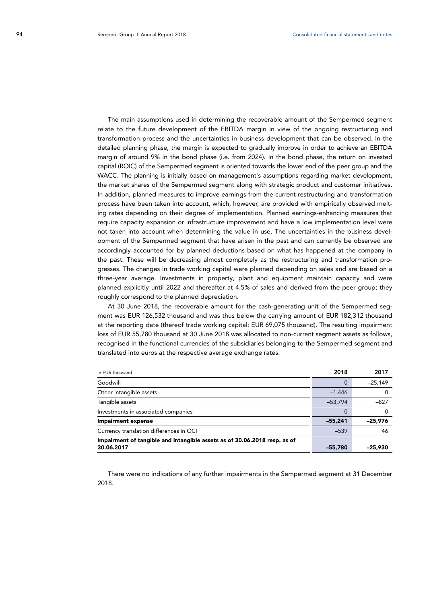The main assumptions used in determining the recoverable amount of the Sempermed segment relate to the future development of the EBITDA margin in view of the ongoing restructuring and transformation process and the uncertainties in business development that can be observed. In the detailed planning phase, the margin is expected to gradually improve in order to achieve an EBITDA margin of around 9% in the bond phase (i.e. from 2024). In the bond phase, the return on invested capital (ROIC) of the Sempermed segment is oriented towards the lower end of the peer group and the WACC. The planning is initially based on management's assumptions regarding market development, the market shares of the Sempermed segment along with strategic product and customer initiatives. In addition, planned measures to improve earnings from the current restructuring and transformation process have been taken into account, which, however, are provided with empirically observed melting rates depending on their degree of implementation. Planned earnings-enhancing measures that require capacity expansion or infrastructure improvement and have a low implementation level were not taken into account when determining the value in use. The uncertainties in the business development of the Sempermed segment that have arisen in the past and can currently be observed are accordingly accounted for by planned deductions based on what has happened at the company in the past. These will be decreasing almost completely as the restructuring and transformation progresses. The changes in trade working capital were planned depending on sales and are based on a three-year average. Investments in property, plant and equipment maintain capacity and were planned explicitly until 2022 and thereafter at 4.5% of sales and derived from the peer group; they roughly correspond to the planned depreciation.

At 30 June 2018, the recoverable amount for the cash-generating unit of the Sempermed segment was EUR 126,532 thousand and was thus below the carrying amount of EUR 182,312 thousand at the reporting date (thereof trade working capital: EUR 69,075 thousand). The resulting impairment loss of EUR 55,780 thousand at 30 June 2018 was allocated to non-current segment assets as follows, recognised in the functional currencies of the subsidiaries belonging to the Sempermed segment and translated into euros at the respective average exchange rates:

| in EUR thousand                                                           | 2018      | 2017      |
|---------------------------------------------------------------------------|-----------|-----------|
| Goodwill                                                                  | $\Omega$  | $-25,149$ |
| Other intangible assets                                                   | $-1.446$  |           |
| Tangible assets                                                           | $-53.794$ | $-827$    |
| Investments in associated companies                                       |           |           |
| <b>Impairment expense</b>                                                 | $-55.241$ | $-25.976$ |
| Currency translation differences in OCI                                   | $-539$    | 46        |
| Impairment of tangible and intangible assets as of 30.06.2018 resp. as of |           |           |
| 30.06.2017                                                                | $-55,780$ | $-25.930$ |

There were no indications of any further impairments in the Sempermed segment at 31 December 2018.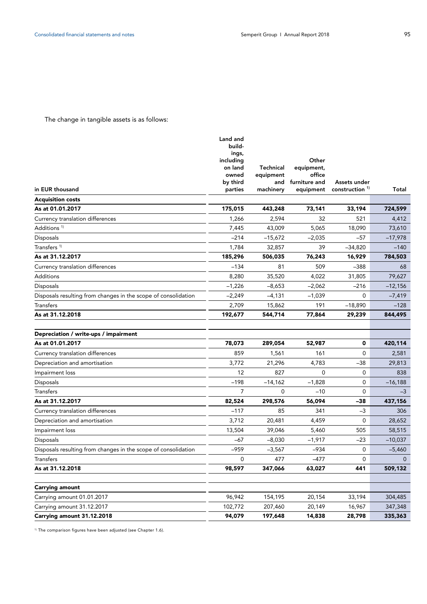The change in tangible assets is as follows:

|                                                                | Land and             |                |                     |                            |           |
|----------------------------------------------------------------|----------------------|----------------|---------------------|----------------------------|-----------|
|                                                                | build-               |                |                     |                            |           |
|                                                                | ings,                |                |                     |                            |           |
|                                                                | including<br>on land | Technical      | Other<br>equipment, |                            |           |
|                                                                | owned                | equipment      | office              |                            |           |
|                                                                | by third             | and            | furniture and       | Assets under               |           |
| in EUR thousand                                                | parties              | machinery      | equipment           | construction <sup>1)</sup> | Total     |
| <b>Acquisition costs</b>                                       |                      |                |                     |                            |           |
| As at 01.01.2017                                               | 175,015              | 443,248        | 73,141              | 33,194                     | 724,599   |
| Currency translation differences                               | 1,266                | 2,594          | 32                  | 521                        | 4,412     |
| Additions <sup>1)</sup>                                        | 7,445                | 43,009         | 5,065               | 18,090                     | 73,610    |
| Disposals                                                      | $-214$               | $-15,672$      | $-2,035$            | $-57$                      | $-17,978$ |
| Transfers <sup>1)</sup>                                        | 1,784                | 32,857         | 39                  | $-34,820$                  | $-140$    |
| As at 31.12.2017                                               | 185,296              | 506,035        | 76,243              | 16,929                     | 784,503   |
| Currency translation differences                               | $-134$               | 81             | 509                 | $-388$                     | 68        |
| Additions                                                      | 8,280                | 35,520         | 4,022               | 31,805                     | 79,627    |
| Disposals                                                      | $-1,226$             | $-8,653$       | $-2,062$            | $-216$                     | $-12,156$ |
| Disposals resulting from changes in the scope of consolidation | $-2,249$             | $-4,131$       | $-1,039$            | $\mathbf 0$                | $-7,419$  |
| Transfers                                                      | 2,709                | 15,862         | 191                 | $-18,890$                  | $-128$    |
| As at 31.12.2018                                               | 192,677              | 544,714        | 77,864              | 29,239                     | 844,495   |
|                                                                |                      |                |                     |                            |           |
| Depreciation / write-ups / impairment                          |                      |                |                     |                            |           |
| As at 01.01.2017                                               | 78,073               | 289,054        | 52,987              | 0                          | 420,114   |
| Currency translation differences                               | 859                  | 1,561          | 161                 | 0                          | 2,581     |
| Depreciation and amortisation                                  | 3,772                | 21,296         | 4,783               | $-38$                      | 29,813    |
| Impairment loss                                                | 12                   | 827            | $\mathbf 0$         | 0                          | 838       |
| Disposals                                                      | $-198$               | $-14,162$      | $-1,828$            | 0                          | $-16,188$ |
| <b>Transfers</b>                                               | $\overline{7}$       | $\overline{0}$ | $-10$               | 0                          | $-3$      |
| As at 31.12.2017                                               | 82,524               | 298,576        | 56,094              | -38                        | 437,156   |
| Currency translation differences                               | $-117$               | 85             | 341                 | $-3$                       | 306       |
| Depreciation and amortisation                                  | 3,712                | 20,481         | 4,459               | 0                          | 28,652    |
| Impairment loss                                                | 13,504               | 39,046         | 5,460               | 505                        | 58,515    |
| <b>Disposals</b>                                               | $-67$                | $-8,030$       | $-1,917$            | $-23$                      | $-10,037$ |
| Disposals resulting from changes in the scope of consolidation | -959                 | $-3,567$       | $-934$              | 0                          | $-5,460$  |
| Iransters                                                      | U                    | 4/7            | $-4/7$              | U                          | $\cup$    |
| As at 31.12.2018                                               | 98,597               | 347,066        | 63,027              | 441                        | 509,132   |
|                                                                |                      |                |                     |                            |           |
| Carrying amount                                                |                      |                |                     |                            |           |
| Carrying amount 01.01.2017                                     | 96,942               | 154,195        | 20,154              | 33,194                     | 304,485   |
| Carrying amount 31.12.2017                                     | 102,772              | 207,460        | 20,149              | 16,967                     | 347,348   |
| Carrying amount 31.12.2018                                     | 94,079               | 197,648        | 14,838              | 28,798                     | 335,363   |

 $1)$  The comparison figures have been adjusted (see Chapter 1.6).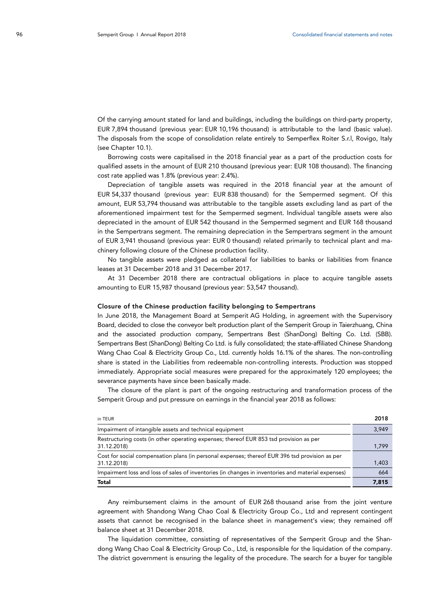Of the carrying amount stated for land and buildings, including the buildings on third-party property, EUR 7,894 thousand (previous year: EUR 10,196 thousand) is attributable to the land (basic value). The disposals from the scope of consolidation relate entirely to Semperflex Roiter S.r.l, Rovigo, Italy (see Chapter 10.1).

Borrowing costs were capitalised in the 2018 financial year as a part of the production costs for qualified assets in the amount of EUR 210 thousand (previous year: EUR 108 thousand). The financing cost rate applied was 1.8% (previous year: 2.4%).

Depreciation of tangible assets was required in the 2018 financial year at the amount of EUR 54,337 thousand (previous year: EUR 838 thousand) for the Sempermed segment. Of this amount, EUR 53,794 thousand was attributable to the tangible assets excluding land as part of the aforementioned impairment test for the Sempermed segment. Individual tangible assets were also depreciated in the amount of EUR 542 thousand in the Sempermed segment and EUR 168 thousand in the Sempertrans segment. The remaining depreciation in the Sempertrans segment in the amount of EUR 3,941 thousand (previous year: EUR 0 thousand) related primarily to technical plant and machinery following closure of the Chinese production facility.

No tangible assets were pledged as collateral for liabilities to banks or liabilities from finance leases at 31 December 2018 and 31 December 2017.

At 31 December 2018 there are contractual obligations in place to acquire tangible assets amounting to EUR 15,987 thousand (previous year: 53,547 thousand).

### Closure of the Chinese production facility belonging to Sempertrans

In June 2018, the Management Board at Semperit AG Holding, in agreement with the Supervisory Board, decided to close the conveyor belt production plant of the Semperit Group in Taierzhuang, China and the associated production company, Sempertrans Best (ShanDong) Belting Co. Ltd. (SBB). Sempertrans Best (ShanDong) Belting Co Ltd. is fully consolidated; the state-affiliated Chinese Shandong Wang Chao Coal & Electricity Group Co., Ltd. currently holds 16.1% of the shares. The non-controlling share is stated in the Liabilities from redeemable non-controlling interests. Production was stopped immediately. Appropriate social measures were prepared for the approximately 120 employees; the severance payments have since been basically made.

The closure of the plant is part of the ongoing restructuring and transformation process of the Semperit Group and put pressure on earnings in the financial year 2018 as follows:

| in TEUR                                                                                                       | 2018  |
|---------------------------------------------------------------------------------------------------------------|-------|
| Impairment of intangible assets and technical equipment                                                       | 3,949 |
| Restructuring costs (in other operating expenses; thereof EUR 853 tsd provision as per<br>31.12.2018)         | 1,799 |
| Cost for social compensation plans (in personal expenses; thereof EUR 396 tsd provision as per<br>31.12.2018) | 1,403 |
| Impairment loss and loss of sales of inventories (in changes in inventories and material expenses)            | 664   |
| <b>Total</b>                                                                                                  | 7.815 |

Any reimbursement claims in the amount of EUR 268 thousand arise from the joint venture agreement with Shandong Wang Chao Coal & Electricity Group Co., Ltd and represent contingent assets that cannot be recognised in the balance sheet in management's view; they remained off balance sheet at 31 December 2018.

The liquidation committee, consisting of representatives of the Semperit Group and the Shandong Wang Chao Coal & Electricity Group Co., Ltd, is responsible for the liquidation of the company. The district government is ensuring the legality of the procedure. The search for a buyer for tangible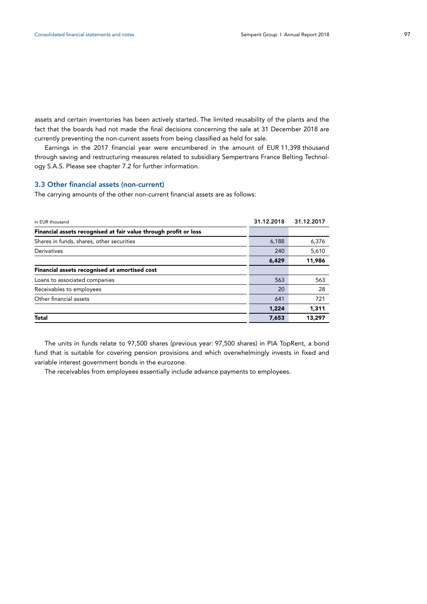assets and certain inventories has been actively started. The limited reusability of the plants and the fact that the boards had not made the final decisions concerning the sale at 31 December 2018 are currently preventing the non-current assets from being classified as held for sale.

Earnings in the 2017 financial year were encumbered in the amount of EUR 11,398 thousand through saving and restructuring measures related to subsidiary Sempertrans France Belting Technology S.A.S. Please see chapter 7.2 for further information.

## 3.3 Other financial assets (non-current)

The carrying amounts of the other non-current financial assets are as follows:

| in EUR thousand                                                  | 31.12.2018 | 31.12.2017 |
|------------------------------------------------------------------|------------|------------|
| Financial assets recognised at fair value through profit or loss |            |            |
| Shares in funds, shares, other securities                        | 6,188      | 6,376      |
| Derivatives                                                      | 240        | 5,610      |
|                                                                  | 6,429      | 11,986     |
| Financial assets recognised at amortised cost                    |            |            |
| Loans to associated companies                                    | 563        | 563        |
| Receivables to employees                                         | 20         | 28         |
| Other financial assets                                           | 641        | 721        |
|                                                                  | 1,224      | 1,311      |
| <b>Total</b>                                                     | 7,653      | 13,297     |

The units in funds relate to 97,500 shares (previous year: 97,500 shares) in PIA TopRent, a bond fund that is suitable for covering pension provisions and which overwhelmingly invests in fixed and variable interest government bonds in the eurozone.

The receivables from employees essentially include advance payments to employees.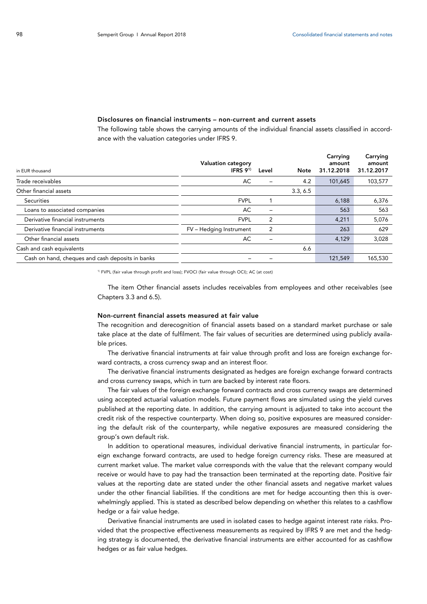#### Disclosures on financial instruments – non-current and current assets

The following table shows the carrying amounts of the individual financial assets classified in accordance with the valuation categories under IFRS 9.

| in EUR thousand                                  | <b>Valuation category</b><br>IFRS $91$ | Level | Note     | Carrying<br>amount<br>31.12.2018 | Carrying<br>amount<br>31.12.2017 |
|--------------------------------------------------|----------------------------------------|-------|----------|----------------------------------|----------------------------------|
| Trade receivables                                | AC                                     |       | 4.2      | 101,645                          | 103,577                          |
| Other financial assets                           |                                        |       | 3.3, 6.5 |                                  |                                  |
| Securities                                       | <b>FVPL</b>                            |       |          | 6,188                            | 6,376                            |
| Loans to associated companies                    | AC                                     | -     |          | 563                              | 563                              |
| Derivative financial instruments                 | <b>FVPL</b>                            | 2     |          | 4,211                            | 5,076                            |
| Derivative financial instruments                 | FV - Hedging Instrument                | 2     |          | 263                              | 629                              |
| Other financial assets                           | AC                                     |       |          | 4,129                            | 3,028                            |
| Cash and cash equivalents                        |                                        |       | 6.6      |                                  |                                  |
| Cash on hand, cheques and cash deposits in banks |                                        |       |          | 121,549                          | 165,530                          |

<sup>1)</sup> FVPL (fair value through profit and loss); FVOCI (fair value through OCI); AC (at cost)

The item Other financial assets includes receivables from employees and other receivables (see Chapters 3.3 and 6.5).

#### Non-current financial assets measured at fair value

The recognition and derecognition of financial assets based on a standard market purchase or sale take place at the date of fulfilment. The fair values of securities are determined using publicly available prices.

The derivative financial instruments at fair value through profit and loss are foreign exchange forward contracts, a cross currency swap and an interest floor.

The derivative financial instruments designated as hedges are foreign exchange forward contracts and cross currency swaps, which in turn are backed by interest rate floors.

The fair values of the foreign exchange forward contracts and cross currency swaps are determined using accepted actuarial valuation models. Future payment flows are simulated using the yield curves published at the reporting date. In addition, the carrying amount is adjusted to take into account the credit risk of the respective counterparty. When doing so, positive exposures are measured considering the default risk of the counterparty, while negative exposures are measured considering the group's own default risk.

In addition to operational measures, individual derivative financial instruments, in particular foreign exchange forward contracts, are used to hedge foreign currency risks. These are measured at current market value. The market value corresponds with the value that the relevant company would receive or would have to pay had the transaction been terminated at the reporting date. Positive fair values at the reporting date are stated under the other financial assets and negative market values under the other financial liabilities. If the conditions are met for hedge accounting then this is overwhelmingly applied. This is stated as described below depending on whether this relates to a cashflow hedge or a fair value hedge.

Derivative financial instruments are used in isolated cases to hedge against interest rate risks. Provided that the prospective effectiveness measurements as required by IFRS 9 are met and the hedging strategy is documented, the derivative financial instruments are either accounted for as cashflow hedges or as fair value hedges.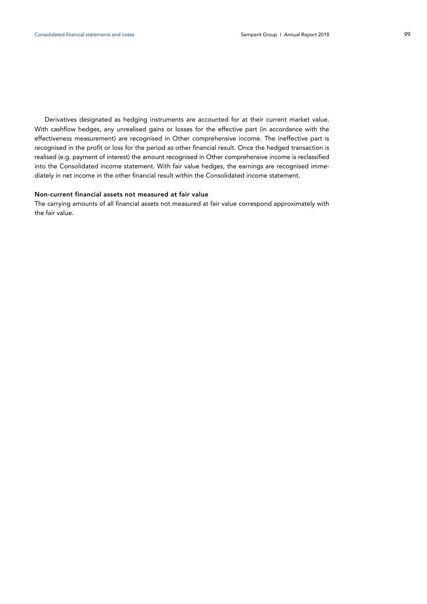Derivatives designated as hedging instruments are accounted for at their current market value. With cashflow hedges, any unrealised gains or losses for the effective part (in accordance with the effectiveness measurement) are recognised in Other comprehensive income. The ineffective part is recognised in the profit or loss for the period as other financial result. Once the hedged transaction is realised (e.g. payment of interest) the amount recognised in Other comprehensive income is reclassified into the Consolidated income statement. With fair value hedges, the earnings are recognised immediately in net income in the other financial result within the Consolidated income statement.

### Non-current financial assets not measured at fair value

The carrying amounts of all financial assets not measured at fair value correspond approximately with the fair value.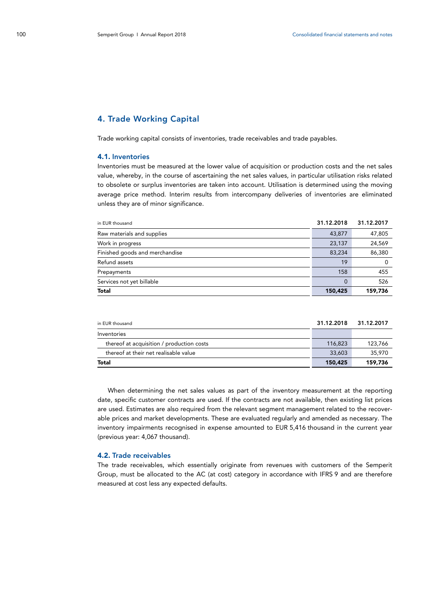# 4. Trade Working Capital

Trade working capital consists of inventories, trade receivables and trade payables.

### 4.1. Inventories

Inventories must be measured at the lower value of acquisition or production costs and the net sales value, whereby, in the course of ascertaining the net sales values, in particular utilisation risks related to obsolete or surplus inventories are taken into account. Utilisation is determined using the moving average price method. Interim results from intercompany deliveries of inventories are eliminated unless they are of minor significance.

| in EUR thousand                | 31.12.2018 | 31.12.2017 |
|--------------------------------|------------|------------|
| Raw materials and supplies     | 43,877     | 47,805     |
| Work in progress               | 23,137     | 24,569     |
| Finished goods and merchandise | 83,234     | 86,380     |
| Refund assets                  | 19         |            |
| Prepayments                    | 158        | 455        |
| Services not yet billable      |            | 526        |
| <b>Total</b>                   | 150,425    | 159,736    |

| in EUR thousand                           | 31.12.2018 | 31.12.2017 |
|-------------------------------------------|------------|------------|
| Inventories                               |            |            |
| thereof at acquisition / production costs | 116.823    | 123,766    |
| thereof at their net realisable value     | 33.603     | 35,970     |
| <b>Total</b>                              | 150,425    | 159,736    |

When determining the net sales values as part of the inventory measurement at the reporting date, specific customer contracts are used. If the contracts are not available, then existing list prices are used. Estimates are also required from the relevant segment management related to the recoverable prices and market developments. These are evaluated regularly and amended as necessary. The inventory impairments recognised in expense amounted to EUR 5,416 thousand in the current year (previous year: 4,067 thousand).

### 4.2. Trade receivables

The trade receivables, which essentially originate from revenues with customers of the Semperit Group, must be allocated to the AC (at cost) category in accordance with IFRS 9 and are therefore measured at cost less any expected defaults.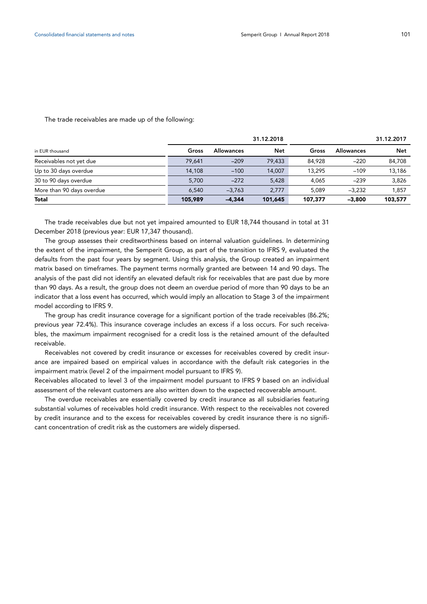The trade receivables are made up of the following:

|                           |         |                   | 31.12.2018 | 31.12.2017 |                   |            |
|---------------------------|---------|-------------------|------------|------------|-------------------|------------|
| in EUR thousand           | Gross   | <b>Allowances</b> | <b>Net</b> | Gross      | <b>Allowances</b> | <b>Net</b> |
| Receivables not yet due   | 79,641  | $-209$            | 79,433     | 84,928     | $-220$            | 84,708     |
| Up to 30 days overdue     | 14,108  | $-100$            | 14,007     | 13,295     | $-109$            | 13,186     |
| 30 to 90 days overdue     | 5,700   | $-272$            | 5,428      | 4,065      | $-239$            | 3,826      |
| More than 90 days overdue | 6.540   | $-3,763$          | 2.777      | 5.089      | $-3,232$          | 1,857      |
| <b>Total</b>              | 105,989 | $-4.344$          | 101,645    | 107,377    | $-3,800$          | 103,577    |

The trade receivables due but not yet impaired amounted to EUR 18,744 thousand in total at 31 December 2018 (previous year: EUR 17,347 thousand).

The group assesses their creditworthiness based on internal valuation guidelines. In determining the extent of the impairment, the Semperit Group, as part of the transition to IFRS 9, evaluated the defaults from the past four years by segment. Using this analysis, the Group created an impairment matrix based on timeframes. The payment terms normally granted are between 14 and 90 days. The analysis of the past did not identify an elevated default risk for receivables that are past due by more than 90 days. As a result, the group does not deem an overdue period of more than 90 days to be an indicator that a loss event has occurred, which would imply an allocation to Stage 3 of the impairment model according to IFRS 9.

The group has credit insurance coverage for a significant portion of the trade receivables (86.2%; previous year 72.4%). This insurance coverage includes an excess if a loss occurs. For such receivables, the maximum impairment recognised for a credit loss is the retained amount of the defaulted receivable.

Receivables not covered by credit insurance or excesses for receivables covered by credit insurance are impaired based on empirical values in accordance with the default risk categories in the impairment matrix (level 2 of the impairment model pursuant to IFRS 9).

Receivables allocated to level 3 of the impairment model pursuant to IFRS 9 based on an individual assessment of the relevant customers are also written down to the expected recoverable amount.

The overdue receivables are essentially covered by credit insurance as all subsidiaries featuring substantial volumes of receivables hold credit insurance. With respect to the receivables not covered by credit insurance and to the excess for receivables covered by credit insurance there is no significant concentration of credit risk as the customers are widely dispersed.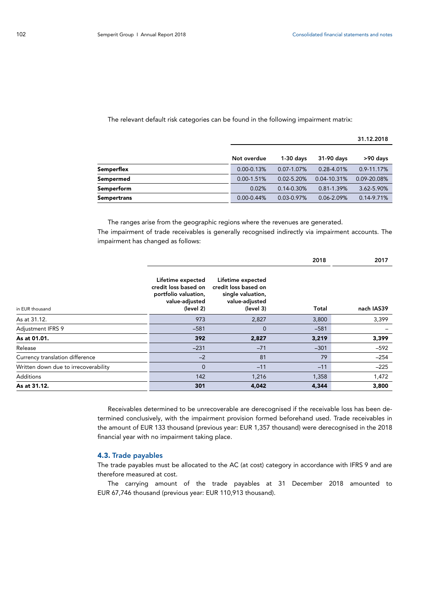The relevant default risk categories can be found in the following impairment matrix:

|                    |                |                 |                 | 31.12.2018       |
|--------------------|----------------|-----------------|-----------------|------------------|
|                    |                |                 |                 |                  |
|                    | Not overdue    | $1-30$ days     | 31-90 days      | >90 days         |
| <b>Semperflex</b>  | $0.00 - 0.13%$ | $0.07 - 1.07\%$ | $0.28 - 4.01%$  | $0.9 - 11.17%$   |
| Sempermed          | $0.00 - 1.51%$ | $0.02 - 5.20%$  | $0.04 - 10.31%$ | $0.09 - 20.08\%$ |
| Semperform         | 0.02%          | $0.14 - 0.30\%$ | $0.81 - 1.39%$  | 3.62-5.90%       |
| <b>Sempertrans</b> | $0.00 - 0.44%$ | $0.03 - 0.97\%$ | $0.06 - 2.09%$  | $0.14 - 9.71%$   |

The ranges arise from the geographic regions where the revenues are generated. The impairment of trade receivables is generally recognised indirectly via impairment accounts. The impairment has changed as follows:

|                                      |                                                                                                  |                                                                                               | 2018   | 2017       |
|--------------------------------------|--------------------------------------------------------------------------------------------------|-----------------------------------------------------------------------------------------------|--------|------------|
| in EUR thousand                      | Lifetime expected<br>credit loss based on<br>portfolio valuation,<br>value-adjusted<br>(level 2) | Lifetime expected<br>credit loss based on<br>single valuation,<br>value-adjusted<br>(level 3) | Total  | nach IAS39 |
| As at 31.12.                         | 973                                                                                              | 2,827                                                                                         | 3,800  | 3,399      |
| <b>Adjustment IFRS 9</b>             | $-581$                                                                                           | 0                                                                                             | $-581$ |            |
| As at 01.01.                         | 392                                                                                              | 2,827                                                                                         | 3,219  | 3,399      |
| Release                              | $-231$                                                                                           | $-71$                                                                                         | $-301$ | $-592$     |
| Currency translation difference      | $-2$                                                                                             | 81                                                                                            | 79     | $-254$     |
| Written down due to irrecoverability | $\mathbf 0$                                                                                      | $-11$                                                                                         | $-11$  | $-225$     |
| Additions                            | 142                                                                                              | 1,216                                                                                         | 1,358  | 1,472      |
| As at 31.12.                         | 301                                                                                              | 4,042                                                                                         | 4,344  | 3,800      |

Receivables determined to be unrecoverable are derecognised if the receivable loss has been determined conclusively, with the impairment provision formed beforehand used. Trade receivables in the amount of EUR 133 thousand (previous year: EUR 1,357 thousand) were derecognised in the 2018 financial year with no impairment taking place.

## 4.3. Trade payables

The trade payables must be allocated to the AC (at cost) category in accordance with IFRS 9 and are therefore measured at cost.

The carrying amount of the trade payables at 31 December 2018 amounted to EUR 67,746 thousand (previous year: EUR 110,913 thousand).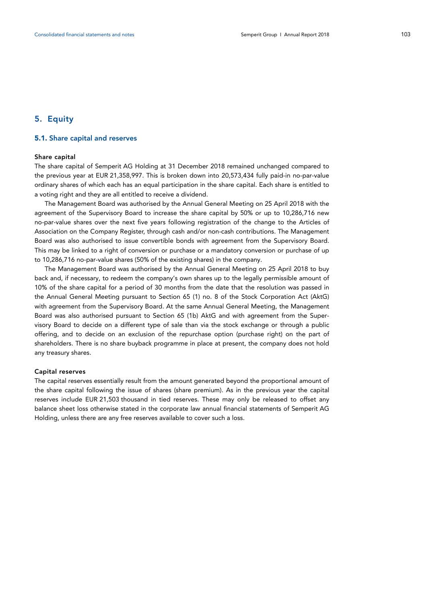## 5. Equity

### 5.1. Share capital and reserves

#### Share capital

The share capital of Semperit AG Holding at 31 December 2018 remained unchanged compared to the previous year at EUR 21,358,997. This is broken down into 20,573,434 fully paid-in no-par-value ordinary shares of which each has an equal participation in the share capital. Each share is entitled to a voting right and they are all entitled to receive a dividend.

The Management Board was authorised by the Annual General Meeting on 25 April 2018 with the agreement of the Supervisory Board to increase the share capital by 50% or up to 10,286,716 new no-par-value shares over the next five years following registration of the change to the Articles of Association on the Company Register, through cash and/or non-cash contributions. The Management Board was also authorised to issue convertible bonds with agreement from the Supervisory Board. This may be linked to a right of conversion or purchase or a mandatory conversion or purchase of up to 10,286,716 no-par-value shares (50% of the existing shares) in the company.

The Management Board was authorised by the Annual General Meeting on 25 April 2018 to buy back and, if necessary, to redeem the company's own shares up to the legally permissible amount of 10% of the share capital for a period of 30 months from the date that the resolution was passed in the Annual General Meeting pursuant to Section 65 (1) no. 8 of the Stock Corporation Act (AktG) with agreement from the Supervisory Board. At the same Annual General Meeting, the Management Board was also authorised pursuant to Section 65 (1b) AktG and with agreement from the Supervisory Board to decide on a different type of sale than via the stock exchange or through a public offering, and to decide on an exclusion of the repurchase option (purchase right) on the part of shareholders. There is no share buyback programme in place at present, the company does not hold any treasury shares.

#### Capital reserves

The capital reserves essentially result from the amount generated beyond the proportional amount of the share capital following the issue of shares (share premium). As in the previous year the capital reserves include EUR 21,503 thousand in tied reserves. These may only be released to offset any balance sheet loss otherwise stated in the corporate law annual financial statements of Semperit AG Holding, unless there are any free reserves available to cover such a loss.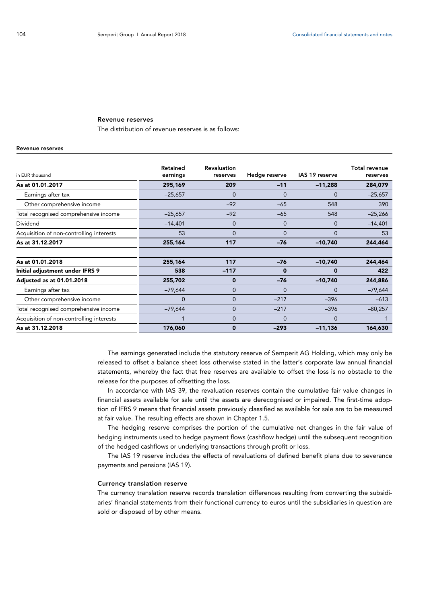#### Revenue reserves

The distribution of revenue reserves is as follows:

#### Revenue reserves

| in EUR thousand                          | Retained<br>earnings | <b>Revaluation</b><br>reserves | Hedge reserve  | IAS 19 reserve | Total revenue<br>reserves |
|------------------------------------------|----------------------|--------------------------------|----------------|----------------|---------------------------|
| As at 01.01.2017                         | 295,169              | 209                            | $-11$          | $-11,288$      | 284,079                   |
| Earnings after tax                       | $-25,657$            | 0                              | $\overline{0}$ | $\Omega$       | $-25,657$                 |
| Other comprehensive income               |                      | $-92$                          | $-65$          | 548            | 390                       |
| Total recognised comprehensive income    | $-25,657$            | $-92$                          | $-65$          | 548            | $-25,266$                 |
| Dividend                                 | $-14,401$            | 0                              | $\overline{0}$ | $\overline{0}$ | $-14,401$                 |
| Acquisition of non-controlling interests | 53                   | 0                              | $\overline{0}$ | $\overline{0}$ | 53                        |
| As at 31.12.2017                         | 255,164              | 117                            | $-76$          | $-10,740$      | 244,464                   |
| As at 01.01.2018                         | 255,164              | 117                            | $-76$          | $-10,740$      | 244,464                   |
| Initial adjustment under IFRS 9          | 538                  | $-117$                         | $\bf{0}$       | 0              | 422                       |
| <b>Adjusted as at 01.01.2018</b>         | 255,702              | $\bf{0}$                       | $-76$          | $-10,740$      | 244,886                   |
| Earnings after tax                       | $-79,644$            | 0                              | $\Omega$       | $\Omega$       | $-79,644$                 |
| Other comprehensive income               | $\Omega$             | 0                              | $-217$         | $-396$         | $-613$                    |
| Total recognised comprehensive income    | $-79,644$            | $\Omega$                       | $-217$         | $-396$         | $-80,257$                 |
| Acquisition of non-controlling interests |                      | $\overline{0}$                 | $\Omega$       | $\Omega$       |                           |
| As at 31.12.2018                         | 176,060              | 0                              | $-293$         | $-11,136$      | 164,630                   |

The earnings generated include the statutory reserve of Semperit AG Holding, which may only be released to offset a balance sheet loss otherwise stated in the latter's corporate law annual financial statements, whereby the fact that free reserves are available to offset the loss is no obstacle to the release for the purposes of offsetting the loss.

In accordance with IAS 39, the revaluation reserves contain the cumulative fair value changes in financial assets available for sale until the assets are derecognised or impaired. The first-time adoption of IFRS 9 means that financial assets previously classified as available for sale are to be measured at fair value. The resulting effects are shown in Chapter 1.5.

The hedging reserve comprises the portion of the cumulative net changes in the fair value of hedging instruments used to hedge payment flows (cashflow hedge) until the subsequent recognition of the hedged cashflows or underlying transactions through profit or loss.

The IAS 19 reserve includes the effects of revaluations of defined benefit plans due to severance payments and pensions (IAS 19).

## Currency translation reserve

The currency translation reserve records translation differences resulting from converting the subsidiaries' financial statements from their functional currency to euros until the subsidiaries in question are sold or disposed of by other means.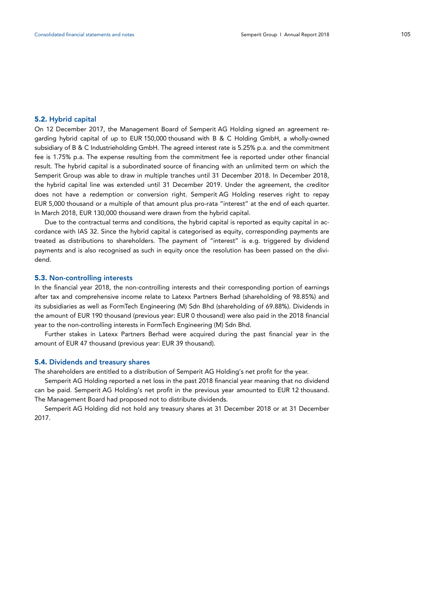#### 5.2. Hybrid capital

On 12 December 2017, the Management Board of Semperit AG Holding signed an agreement regarding hybrid capital of up to EUR 150,000 thousand with B & C Holding GmbH, a wholly-owned subsidiary of B & C Industrieholding GmbH. The agreed interest rate is 5.25% p.a. and the commitment fee is 1.75% p.a. The expense resulting from the commitment fee is reported under other financial result. The hybrid capital is a subordinated source of financing with an unlimited term on which the Semperit Group was able to draw in multiple tranches until 31 December 2018. In December 2018, the hybrid capital line was extended until 31 December 2019. Under the agreement, the creditor does not have a redemption or conversion right. Semperit AG Holding reserves right to repay EUR 5,000 thousand or a multiple of that amount plus pro-rata "interest" at the end of each quarter. In March 2018, EUR 130,000 thousand were drawn from the hybrid capital.

Due to the contractual terms and conditions, the hybrid capital is reported as equity capital in accordance with IAS 32. Since the hybrid capital is categorised as equity, corresponding payments are treated as distributions to shareholders. The payment of "interest" is e.g. triggered by dividend payments and is also recognised as such in equity once the resolution has been passed on the dividend.

## 5.3. Non-controlling interests

In the financial year 2018, the non-controlling interests and their corresponding portion of earnings after tax and comprehensive income relate to Latexx Partners Berhad (shareholding of 98.85%) and its subsidiaries as well as FormTech Engineering (M) Sdn Bhd (shareholding of 69.88%). Dividends in the amount of EUR 190 thousand (previous year: EUR 0 thousand) were also paid in the 2018 financial year to the non-controlling interests in FormTech Engineering (M) Sdn Bhd.

Further stakes in Latexx Partners Berhad were acquired during the past financial year in the amount of EUR 47 thousand (previous year: EUR 39 thousand).

## 5.4. Dividends and treasury shares

The shareholders are entitled to a distribution of Semperit AG Holding's net profit for the year.

Semperit AG Holding reported a net loss in the past 2018 financial year meaning that no dividend can be paid. Semperit AG Holding's net profit in the previous year amounted to EUR 12 thousand. The Management Board had proposed not to distribute dividends.

Semperit AG Holding did not hold any treasury shares at 31 December 2018 or at 31 December 2017.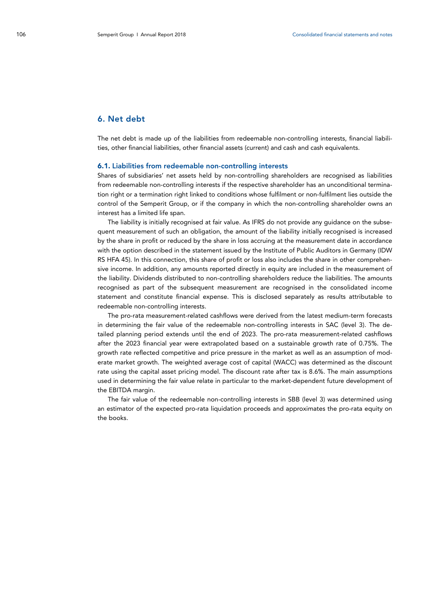# 6. Net debt

The net debt is made up of the liabilities from redeemable non-controlling interests, financial liabilities, other financial liabilities, other financial assets (current) and cash and cash equivalents.

#### 6.1. Liabilities from redeemable non-controlling interests

Shares of subsidiaries' net assets held by non-controlling shareholders are recognised as liabilities from redeemable non-controlling interests if the respective shareholder has an unconditional termination right or a termination right linked to conditions whose fulfilment or non-fulfilment lies outside the control of the Semperit Group, or if the company in which the non-controlling shareholder owns an interest has a limited life span.

The liability is initially recognised at fair value. As IFRS do not provide any guidance on the subsequent measurement of such an obligation, the amount of the liability initially recognised is increased by the share in profit or reduced by the share in loss accruing at the measurement date in accordance with the option described in the statement issued by the Institute of Public Auditors in Germany (IDW RS HFA 45). In this connection, this share of profit or loss also includes the share in other comprehensive income. In addition, any amounts reported directly in equity are included in the measurement of the liability. Dividends distributed to non-controlling shareholders reduce the liabilities. The amounts recognised as part of the subsequent measurement are recognised in the consolidated income statement and constitute financial expense. This is disclosed separately as results attributable to redeemable non-controlling interests.

The pro-rata measurement-related cashflows were derived from the latest medium-term forecasts in determining the fair value of the redeemable non-controlling interests in SAC (level 3). The detailed planning period extends until the end of 2023. The pro-rata measurement-related cashflows after the 2023 financial year were extrapolated based on a sustainable growth rate of 0.75%. The growth rate reflected competitive and price pressure in the market as well as an assumption of moderate market growth. The weighted average cost of capital (WACC) was determined as the discount rate using the capital asset pricing model. The discount rate after tax is 8.6%. The main assumptions used in determining the fair value relate in particular to the market-dependent future development of the EBITDA margin.

The fair value of the redeemable non-controlling interests in SBB (level 3) was determined using an estimator of the expected pro-rata liquidation proceeds and approximates the pro-rata equity on the books.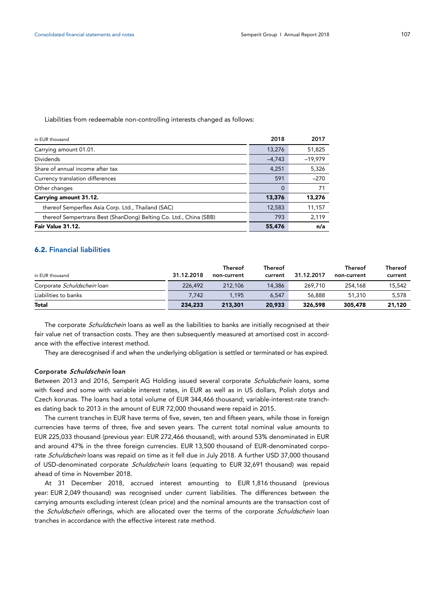Liabilities from redeemable non-controlling interests changed as follows:

| in EUR thousand                                                   | 2018     | 2017      |
|-------------------------------------------------------------------|----------|-----------|
| Carrying amount 01.01.                                            | 13,276   | 51,825    |
| <b>Dividends</b>                                                  | $-4,743$ | $-19,979$ |
| Share of annual income after tax                                  | 4.251    | 5,326     |
| Currency translation differences                                  | 591      | $-270$    |
| Other changes                                                     | $\Omega$ | 71        |
| Carrying amount 31.12.                                            | 13,376   | 13,276    |
| thereof Semperflex Asia Corp. Ltd., Thailand (SAC)                | 12,583   | 11,157    |
| thereof Sempertrans Best (ShanDong) Belting Co. Ltd., China (SBB) | 793      | 2,119     |
| Fair Value 31.12.                                                 | 55,476   | n/a       |

# 6.2. Financial liabilities

|                             |            | Thereof     | <b>Thereof</b> |            | Thereof     | Thereof |
|-----------------------------|------------|-------------|----------------|------------|-------------|---------|
| in EUR thousand             | 31.12.2018 | non-current | current        | 31.12.2017 | non-current | current |
| Corporate Schuldschein Ioan | 226.492    | 212.106     | 14.386         | 269.710    | 254.168     | 15,542  |
| Liabilities to banks        | 7.742      | 1.195       | 6.547          | 56.888     | 51.310      | 5,578   |
| <b>Total</b>                | 234,233    | 213,301     | 20,933         | 326,598    | 305,478     | 21,120  |

The corporate *Schuldschein* loans as well as the liabilities to banks are initially recognised at their fair value net of transaction costs. They are then subsequently measured at amortised cost in accordance with the effective interest method.

They are derecognised if and when the underlying obligation is settled or terminated or has expired.

#### Corporate Schuldschein loan

Between 2013 and 2016, Semperit AG Holding issued several corporate Schuldschein loans, some with fixed and some with variable interest rates, in EUR as well as in US dollars, Polish zlotys and Czech korunas. The loans had a total volume of EUR 344,466 thousand; variable-interest-rate tranches dating back to 2013 in the amount of EUR 72,000 thousand were repaid in 2015.

The current tranches in EUR have terms of five, seven, ten and fifteen years, while those in foreign currencies have terms of three, five and seven years. The current total nominal value amounts to EUR 225,033 thousand (previous year: EUR 272,466 thousand), with around 53% denominated in EUR and around 47% in the three foreign currencies. EUR 13,500 thousand of EUR-denominated corporate Schuldschein loans was repaid on time as it fell due in July 2018. A further USD 37,000 thousand of USD-denominated corporate *Schuldschein* loans (equating to EUR 32,691 thousand) was repaid ahead of time in November 2018.

At 31 December 2018, accrued interest amounting to EUR 1,816 thousand (previous year: EUR 2,049 thousand) was recognised under current liabilities. The differences between the carrying amounts excluding interest (clean price) and the nominal amounts are the transaction cost of the Schuldschein offerings, which are allocated over the terms of the corporate Schuldschein loan tranches in accordance with the effective interest rate method.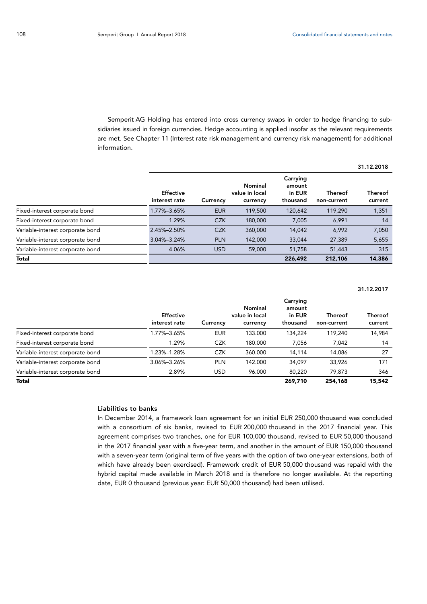Semperit AG Holding has entered into cross currency swaps in order to hedge financing to subsidiaries issued in foreign currencies. Hedge accounting is applied insofar as the relevant requirements are met. See Chapter 11 (Interest rate risk management and currency risk management) for additional information.

# 31.12.2018

|                                  | <b>Effective</b><br>interest rate | Currency   | <b>Nominal</b><br>value in local<br>currency | Carrying<br>amount<br>in EUR<br>thousand | <b>Thereof</b><br>non-current | <b>Thereof</b><br>current |
|----------------------------------|-----------------------------------|------------|----------------------------------------------|------------------------------------------|-------------------------------|---------------------------|
| Fixed-interest corporate bond    | 1.77%-3.65%                       | <b>EUR</b> | 119,500                                      | 120,642                                  | 119.290                       | 1,351                     |
| Fixed-interest corporate bond    | 1.29%                             | <b>CZK</b> | 180,000                                      | 7.005                                    | 6,991                         | 14                        |
| Variable-interest corporate bond | 2.45%-2.50%                       | <b>CZK</b> | 360,000                                      | 14,042                                   | 6,992                         | 7,050                     |
| Variable-interest corporate bond | 3.04%-3.24%                       | <b>PLN</b> | 142,000                                      | 33,044                                   | 27,389                        | 5,655                     |
| Variable-interest corporate bond | 4.06%                             | <b>USD</b> | 59,000                                       | 51,758                                   | 51,443                        | 315                       |
| Total                            |                                   |            |                                              | 226,492                                  | 212,106                       | 14,386                    |

|                                  | Effective<br>interest rate | Currency   | <b>Nominal</b><br>value in local<br>currency | Carrying<br>amount<br>in EUR<br>thousand | <b>Thereof</b><br>non-current | <b>Thereof</b><br>current |
|----------------------------------|----------------------------|------------|----------------------------------------------|------------------------------------------|-------------------------------|---------------------------|
| Fixed-interest corporate bond    | 1.77%–3.65%                | <b>EUR</b> | 133.000                                      | 134,224                                  | 119,240                       | 14,984                    |
| Fixed-interest corporate bond    | 1.29%                      | <b>CZK</b> | 180.000                                      | 7,056                                    | 7,042                         | 14                        |
| Variable-interest corporate bond | 1.23%–1.28%                | CZK        | 360.000                                      | 14,114                                   | 14,086                        | 27                        |
| Variable-interest corporate bond | 3.06%-3.26%                | <b>PLN</b> | 142.000                                      | 34,097                                   | 33,926                        | 171                       |
| Variable-interest corporate bond | 2.89%                      | <b>USD</b> | 96.000                                       | 80,220                                   | 79,873                        | 346                       |
| <b>Total</b>                     |                            |            |                                              | 269,710                                  | 254,168                       | 15,542                    |

31.12.2017

# Liabilities to banks

In December 2014, a framework loan agreement for an initial EUR 250,000 thousand was concluded with a consortium of six banks, revised to EUR 200,000 thousand in the 2017 financial year. This agreement comprises two tranches, one for EUR 100,000 thousand, revised to EUR 50,000 thousand in the 2017 financial year with a five-year term, and another in the amount of EUR 150,000 thousand with a seven-year term (original term of five years with the option of two one-year extensions, both of which have already been exercised). Framework credit of EUR 50,000 thousand was repaid with the hybrid capital made available in March 2018 and is therefore no longer available. At the reporting date, EUR 0 thousand (previous year: EUR 50,000 thousand) had been utilised.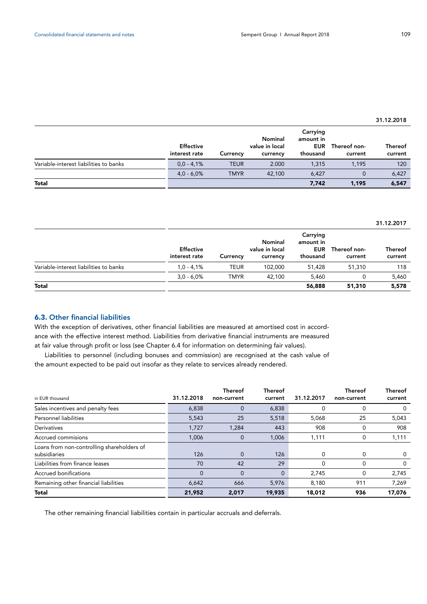|                                        |                                   |             |                                              |                                                 |                         | 31.12.2018                |
|----------------------------------------|-----------------------------------|-------------|----------------------------------------------|-------------------------------------------------|-------------------------|---------------------------|
|                                        | <b>Effective</b><br>interest rate | Currency    | <b>Nominal</b><br>value in local<br>currency | Carrying<br>amount in<br><b>EUR</b><br>thousand | Thereof non-<br>current | <b>Thereof</b><br>current |
| Variable-interest liabilities to banks | $0.0 - 4.1\%$                     | <b>TEUR</b> | 2.000                                        | 1.315                                           | 1,195                   | 120                       |
|                                        | $4.0 - 6.0\%$                     | <b>TMYR</b> | 42,100                                       | 6,427                                           | 0                       | 6,427                     |
| <b>Total</b>                           |                                   |             |                                              | 7,742                                           | 1,195                   | 6,547                     |

|                                        |                                   |             |                                              |                                                 |                         | 31.12.2017                |
|----------------------------------------|-----------------------------------|-------------|----------------------------------------------|-------------------------------------------------|-------------------------|---------------------------|
|                                        | <b>Effective</b><br>interest rate | Currency    | <b>Nominal</b><br>value in local<br>currency | Carrying<br>amount in<br><b>EUR</b><br>thousand | Thereof non-<br>current | <b>Thereof</b><br>current |
| Variable-interest liabilities to banks | $1,0 - 4,1%$                      | <b>TEUR</b> | 102,000                                      | 51,428                                          | 51,310                  | 118                       |
|                                        | $3.0 - 6.0\%$                     | <b>TMYR</b> | 42.100                                       | 5.460                                           | 0                       | 5,460                     |
| <b>Total</b>                           |                                   |             |                                              | 56,888                                          | 51,310                  | 5,578                     |

# 6.3. Other financial liabilities

With the exception of derivatives, other financial liabilities are measured at amortised cost in accordance with the effective interest method. Liabilities from derivative financial instruments are measured at fair value through profit or loss (see Chapter 6.4 for information on determining fair values).

Liabilities to personnel (including bonuses and commission) are recognised at the cash value of the amount expected to be paid out insofar as they relate to services already rendered.

| in EUR thousand                                            | 31.12.2018 | <b>Thereof</b><br>non-current | <b>Thereof</b><br>current | 31.12.2017 | <b>Thereof</b><br>non-current | Thereof<br>current |
|------------------------------------------------------------|------------|-------------------------------|---------------------------|------------|-------------------------------|--------------------|
| Sales incentives and penalty fees                          | 6,838      | $\overline{0}$                | 6,838                     |            |                               |                    |
| Personnel liabilities                                      | 5,543      | 25                            | 5,518                     | 5,068      | 25                            | 5,043              |
| <b>Derivatives</b>                                         | 1,727      | 1,284                         | 443                       | 908        | 0                             | 908                |
| Accrued commisions                                         | 1,006      | $\overline{0}$                | 1,006                     | 1,111      | 0                             | 1,111              |
| Loans from non-controlling shareholders of<br>subsidiaries | 126        | $\overline{0}$                | 126                       | $\Omega$   | 0                             | 0                  |
| Liabilities from finance leases                            | 70         | 42                            | 29                        | 0          | 0                             | 0                  |
| Accrued bonifications                                      | $\Omega$   | $\overline{0}$                | $\Omega$                  | 2,745      | 0                             | 2,745              |
| Remaining other financial liabilities                      | 6,642      | 666                           | 5,976                     | 8,180      | 911                           | 7,269              |
| <b>Total</b>                                               | 21,952     | 2,017                         | 19,935                    | 18,012     | 936                           | 17,076             |

The other remaining financial liabilities contain in particular accruals and deferrals.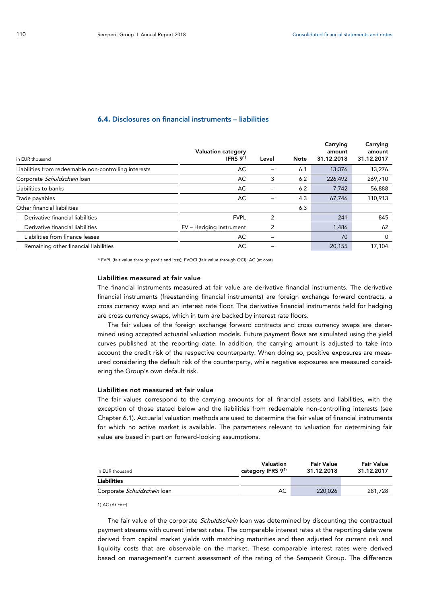### 6.4. Disclosures on financial instruments – liabilities

| in EUR thousand                                       | Valuation category<br>IFRS $91$ | Level | <b>Note</b> | Carrying<br>amount<br>31.12.2018 | Carrying<br>amount<br>31.12.2017 |
|-------------------------------------------------------|---------------------------------|-------|-------------|----------------------------------|----------------------------------|
| Liabilities from redeemable non-controlling interests | AC.                             |       | 6.1         | 13,376                           | 13,276                           |
| Corporate Schuldschein loan                           | AC                              | 3     | 6.2         | 226,492                          | 269,710                          |
| Liabilities to banks                                  | AC.                             |       | 6.2         | 7,742                            | 56,888                           |
| Trade payables                                        | AC                              |       | 4.3         | 67,746                           | 110,913                          |
| Other financial liabilities                           |                                 |       | 6.3         |                                  |                                  |
| Derivative financial liabilities                      | <b>FVPL</b>                     | 2     |             | 241                              | 845                              |
| Derivative financial liabilities                      | FV - Hedging Instrument         | 2     |             | 1,486                            | 62                               |
| Liabilities from finance leases                       | AC                              |       |             | 70                               | $\mathbf 0$                      |
| Remaining other financial liabilities                 | AC                              |       |             | 20,155                           | 17,104                           |

<sup>1)</sup> FVPL (fair value through profit and loss); FVOCI (fair value through OCI); AC (at cost)

# Liabilities measured at fair value

The financial instruments measured at fair value are derivative financial instruments. The derivative financial instruments (freestanding financial instruments) are foreign exchange forward contracts, a cross currency swap and an interest rate floor. The derivative financial instruments held for hedging are cross currency swaps, which in turn are backed by interest rate floors.

The fair values of the foreign exchange forward contracts and cross currency swaps are determined using accepted actuarial valuation models. Future payment flows are simulated using the yield curves published at the reporting date. In addition, the carrying amount is adjusted to take into account the credit risk of the respective counterparty. When doing so, positive exposures are measured considering the default risk of the counterparty, while negative exposures are measured considering the Group's own default risk.

### Liabilities not measured at fair value

The fair values correspond to the carrying amounts for all financial assets and liabilities, with the exception of those stated below and the liabilities from redeemable non-controlling interests (see Chapter 6.1). Actuarial valuation methods are used to determine the fair value of financial instruments for which no active market is available. The parameters relevant to valuation for determining fair value are based in part on forward-looking assumptions.

| in EUR thousand             | Valuation<br>category IFRS $9^{11}$ | <b>Fair Value</b><br>31.12.2018 | Fair Value<br>31.12.2017 |  |
|-----------------------------|-------------------------------------|---------------------------------|--------------------------|--|
| <b>Liabilities</b>          |                                     |                                 |                          |  |
| Corporate Schuldschein Ioan | AC                                  | 220.026                         | 281.728                  |  |

1) AC (At cost)

The fair value of the corporate *Schuldschein* loan was determined by discounting the contractual payment streams with current interest rates. The comparable interest rates at the reporting date were derived from capital market yields with matching maturities and then adjusted for current risk and liquidity costs that are observable on the market. These comparable interest rates were derived based on management's current assessment of the rating of the Semperit Group. The difference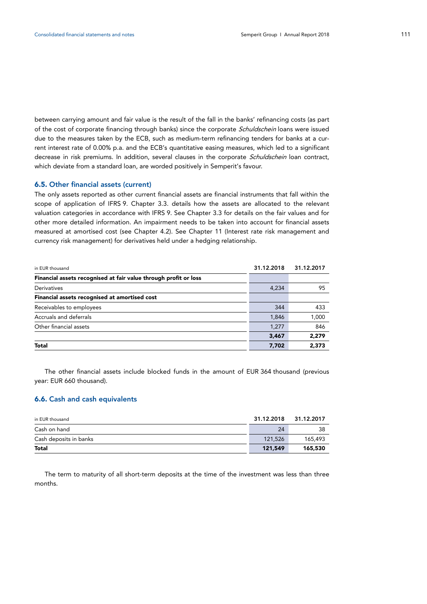between carrying amount and fair value is the result of the fall in the banks' refinancing costs (as part of the cost of corporate financing through banks) since the corporate *Schuldschein* loans were issued due to the measures taken by the ECB, such as medium-term refinancing tenders for banks at a current interest rate of 0.00% p.a. and the ECB's quantitative easing measures, which led to a significant decrease in risk premiums. In addition, several clauses in the corporate *Schuldschein* loan contract, which deviate from a standard loan, are worded positively in Semperit's favour.

## 6.5. Other financial assets (current)

The only assets reported as other current financial assets are financial instruments that fall within the scope of application of IFRS 9. Chapter 3.3. details how the assets are allocated to the relevant valuation categories in accordance with IFRS 9. See Chapter 3.3 for details on the fair values and for other more detailed information. An impairment needs to be taken into account for financial assets measured at amortised cost (see Chapter 4.2). See Chapter 11 (Interest rate risk management and currency risk management) for derivatives held under a hedging relationship.

| in EUR thousand                                                  | 31.12.2018 | 31.12.2017 |
|------------------------------------------------------------------|------------|------------|
| Financial assets recognised at fair value through profit or loss |            |            |
| Derivatives                                                      | 4,234      | 95         |
| Financial assets recognised at amortised cost                    |            |            |
| Receivables to employees                                         | 344        | 433        |
| Accruals and deferrals                                           | 1,846      | 1,000      |
| Other financial assets                                           | 1,277      | 846        |
|                                                                  | 3,467      | 2.279      |
| <b>Total</b>                                                     | 7,702      | 2,373      |

The other financial assets include blocked funds in the amount of EUR 364 thousand (previous year: EUR 660 thousand).

# 6.6. Cash and cash equivalents

| in EUR thousand        | 31.12.2018 | 31.12.2017 |
|------------------------|------------|------------|
| Cash on hand           | 24         | 38         |
| Cash deposits in banks | 121.526    | 165.493    |
| Total                  | 121,549    | 165,530    |

The term to maturity of all short-term deposits at the time of the investment was less than three months.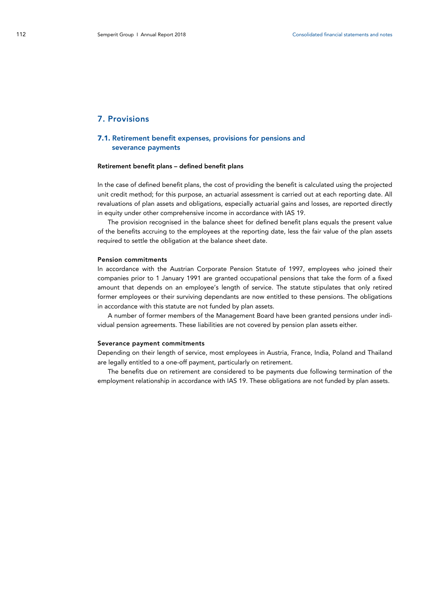# 7. Provisions

# 7.1. Retirement benefit expenses, provisions for pensions and severance payments

#### Retirement benefit plans – defined benefit plans

In the case of defined benefit plans, the cost of providing the benefit is calculated using the projected unit credit method; for this purpose, an actuarial assessment is carried out at each reporting date. All revaluations of plan assets and obligations, especially actuarial gains and losses, are reported directly in equity under other comprehensive income in accordance with IAS 19.

The provision recognised in the balance sheet for defined benefit plans equals the present value of the benefits accruing to the employees at the reporting date, less the fair value of the plan assets required to settle the obligation at the balance sheet date.

#### Pension commitments

In accordance with the Austrian Corporate Pension Statute of 1997, employees who joined their companies prior to 1 January 1991 are granted occupational pensions that take the form of a fixed amount that depends on an employee's length of service. The statute stipulates that only retired former employees or their surviving dependants are now entitled to these pensions. The obligations in accordance with this statute are not funded by plan assets.

A number of former members of the Management Board have been granted pensions under individual pension agreements. These liabilities are not covered by pension plan assets either.

#### Severance payment commitments

Depending on their length of service, most employees in Austria, France, India, Poland and Thailand are legally entitled to a one-off payment, particularly on retirement.

The benefits due on retirement are considered to be payments due following termination of the employment relationship in accordance with IAS 19. These obligations are not funded by plan assets.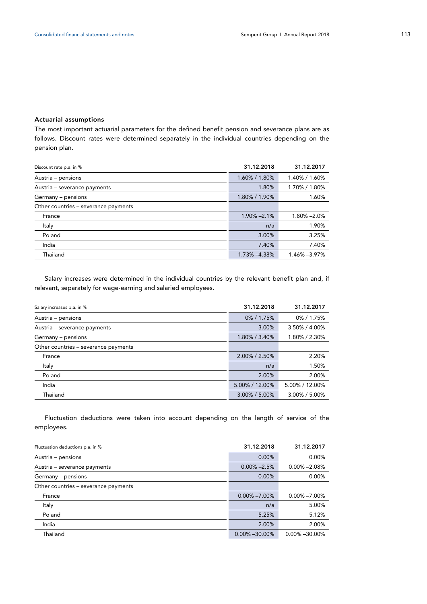# Actuarial assumptions

The most important actuarial parameters for the defined benefit pension and severance plans are as follows. Discount rates were determined separately in the individual countries depending on the pension plan.

| Discount rate p.a. in %              | 31.12.2018      | 31.12.2017    |
|--------------------------------------|-----------------|---------------|
| Austria – pensions                   | 1.60% / 1.80%   | 1.40% / 1.60% |
| Austria – severance payments         | 1.80%           | 1.70% / 1.80% |
| Germany – pensions                   | 1.80% / 1.90%   | 1.60%         |
| Other countries – severance payments |                 |               |
| France                               | $1.90\% -2.1\%$ | 1.80% -2.0%   |
| Italy                                | n/a             | 1.90%         |
| Poland                               | 3.00%           | 3.25%         |
| India                                | 7.40%           | 7.40%         |
| Thailand                             | 1.73% -4.38%    | 1.46% -3.97%  |
|                                      |                 |               |

Salary increases were determined in the individual countries by the relevant benefit plan and, if relevant, separately for wage-earning and salaried employees.

| Salary increases p.a. in %           | 31.12.2018     | 31.12.2017     |
|--------------------------------------|----------------|----------------|
| Austria – pensions                   | 0%/1.75%       | 0%/1.75%       |
| Austria – severance payments         | 3.00%          | 3.50% / 4.00%  |
| Germany - pensions                   | 1.80% / 3.40%  | 1.80% / 2.30%  |
| Other countries – severance payments |                |                |
| France                               | 2.00% / 2.50%  | 2.20%          |
| Italy                                | n/a            | 1.50%          |
| Poland                               | 2.00%          | 2.00%          |
| India                                | 5.00% / 12.00% | 5.00% / 12.00% |
| Thailand                             | 3.00% / 5.00%  | 3.00% / 5.00%  |

Fluctuation deductions were taken into account depending on the length of service of the employees.

| Fluctuation deductions p.a. in %     | 31.12.2018         | 31.12.2017         |
|--------------------------------------|--------------------|--------------------|
| Austria - pensions                   | $0.00\%$           | 0.00%              |
| Austria – severance payments         | $0.00\% -2.5\%$    | $0.00\% - 2.08\%$  |
| Germany - pensions                   | 0.00%              | 0.00%              |
| Other countries – severance payments |                    |                    |
| France                               | $0.00\% -7.00\%$   | $0.00\% -7.00\%$   |
| Italy                                | n/a                | 5.00%              |
| Poland                               | 5.25%              | 5.12%              |
| India                                | 2.00%              | 2.00%              |
| Thailand                             | $0.00\% - 30.00\%$ | $0.00\% - 30.00\%$ |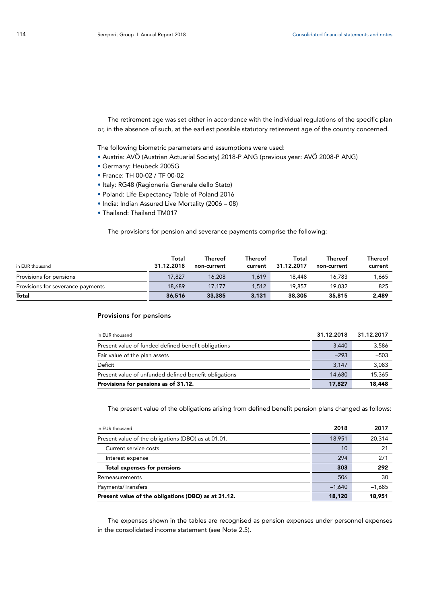The retirement age was set either in accordance with the individual regulations of the specific plan or, in the absence of such, at the earliest possible statutory retirement age of the country concerned.

The following biometric parameters and assumptions were used:

- Austria: AVÖ (Austrian Actuarial Society) 2018-P ANG (previous year: AVÖ 2008-P ANG)
- Germany: Heubeck 2005G
- France: TH 00-02 / TF 00-02
- Italy: RG48 (Ragioneria Generale dello Stato)
- Poland: Life Expectancy Table of Poland 2016
- India: Indian Assured Live Mortality (2006 08)
- Thailand: Thailand TM017

The provisions for pension and severance payments comprise the following:

| in EUR thousand                   | Total<br>31.12.2018 | <b>Thereof</b><br>non-current | <b>Thereof</b><br>current | Total<br>31.12.2017 | Thereof<br>non-current | Thereof<br>current |
|-----------------------------------|---------------------|-------------------------------|---------------------------|---------------------|------------------------|--------------------|
| Provisions for pensions           | 17.827              | 16.208                        | 1,619                     | 18,448              | 16.783                 | 1,665              |
| Provisions for severance payments | 18,689              | 17,177                        | 1,512                     | 19.857              | 19.032                 | 825                |
| <b>Total</b>                      | 36,516              | 33,385                        | 3,131                     | 38,305              | 35,815                 | 2,489              |

### Provisions for pensions

| in EUR thousand                                       | 31.12.2018 | 31.12.2017 |
|-------------------------------------------------------|------------|------------|
| Present value of funded defined benefit obligations   | 3,440      | 3,586      |
| Fair value of the plan assets                         | $-293$     | $-503$     |
| Deficit                                               | 3.147      | 3,083      |
| Present value of unfunded defined benefit obligations | 14,680     | 15,365     |
| Provisions for pensions as of 31.12.                  | 17,827     | 18,448     |

The present value of the obligations arising from defined benefit pension plans changed as follows:

| in EUR thousand                                     | 2018     | 2017     |
|-----------------------------------------------------|----------|----------|
| Present value of the obligations (DBO) as at 01.01. | 18,951   | 20,314   |
| Current service costs                               | 10       | 21       |
| Interest expense                                    | 294      | 271      |
| <b>Total expenses for pensions</b>                  | 303      | 292      |
| <b>Remeasurements</b>                               | 506      | 30       |
| Payments/Transfers                                  | $-1,640$ | $-1,685$ |
| Present value of the obligations (DBO) as at 31.12. | 18,120   | 18,951   |

The expenses shown in the tables are recognised as pension expenses under personnel expenses in the consolidated income statement (see Note 2.5).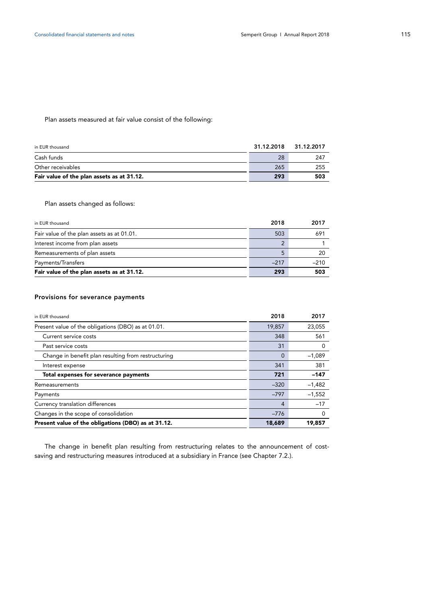# Plan assets measured at fair value consist of the following:

| in EUR thousand                            | 31.12.2018 | 31.12.2017 |
|--------------------------------------------|------------|------------|
| Cash funds                                 | 28         | 247        |
| Other receivables                          | 265        | 255        |
| Fair value of the plan assets as at 31.12. | 293        | 503        |

Plan assets changed as follows:

| in EUR thousand                            | 2018   | 2017   |
|--------------------------------------------|--------|--------|
| Fair value of the plan assets as at 01.01. | 503    | 691    |
| Interest income from plan assets           |        |        |
| Remeasurements of plan assets              |        | 20     |
| Payments/Transfers                         | $-217$ | $-210$ |
| Fair value of the plan assets as at 31.12. | 293    | 503    |

# Provisions for severance payments

| in EUR thousand                                     | 2018     | 2017     |
|-----------------------------------------------------|----------|----------|
| Present value of the obligations (DBO) as at 01.01. | 19,857   | 23,055   |
| Current service costs                               | 348      | 561      |
| Past service costs                                  | 31       | O        |
| Change in benefit plan resulting from restructuring | $\Omega$ | $-1,089$ |
| Interest expense                                    | 341      | 381      |
| Total expenses for severance payments               | 721      | $-147$   |
| Remeasurements                                      | $-320$   | $-1,482$ |
| Payments                                            | $-797$   | $-1,552$ |
| Currency translation differences                    | 4        | $-17$    |
| Changes in the scope of consolidation               | $-776$   | 0        |
| Present value of the obligations (DBO) as at 31.12. | 18,689   | 19,857   |

The change in benefit plan resulting from restructuring relates to the announcement of costsaving and restructuring measures introduced at a subsidiary in France (see Chapter 7.2.).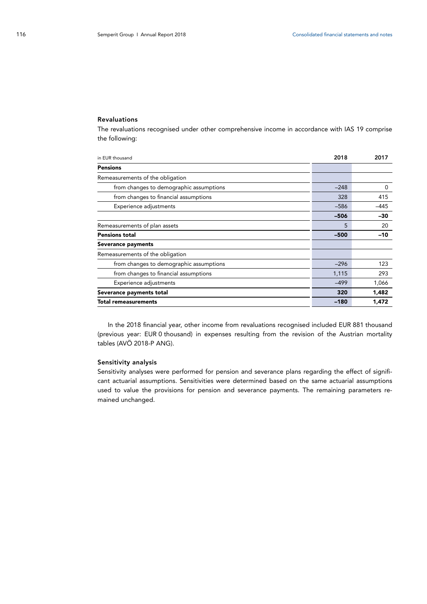## Revaluations

The revaluations recognised under other comprehensive income in accordance with IAS 19 comprise the following:

| in EUR thousand                         | 2018   | 2017        |
|-----------------------------------------|--------|-------------|
| Pensions                                |        |             |
| Remeasurements of the obligation        |        |             |
| from changes to demographic assumptions | $-248$ | $\mathbf 0$ |
| from changes to financial assumptions   | 328    | 415         |
| Experience adjustments                  | $-586$ | $-445$      |
|                                         | -506   | -30         |
| Remeasurements of plan assets           | 5      | 20          |
| Pensions total                          | $-500$ | $-10$       |
| Severance payments                      |        |             |
| Remeasurements of the obligation        |        |             |
| from changes to demographic assumptions | $-296$ | 123         |
| from changes to financial assumptions   | 1,115  | 293         |
| Experience adjustments                  | $-499$ | 1,066       |
| Severance payments total                | 320    | 1,482       |
| Total remeasurements                    | $-180$ | 1,472       |
|                                         |        |             |

In the 2018 financial year, other income from revaluations recognised included EUR 881 thousand (previous year: EUR 0 thousand) in expenses resulting from the revision of the Austrian mortality tables (AVÖ 2018-P ANG).

### Sensitivity analysis

Sensitivity analyses were performed for pension and severance plans regarding the effect of significant actuarial assumptions. Sensitivities were determined based on the same actuarial assumptions used to value the provisions for pension and severance payments. The remaining parameters remained unchanged.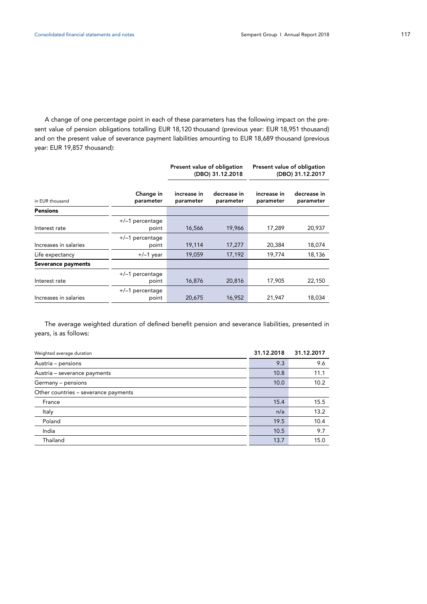A change of one percentage point in each of these parameters has the following impact on the present value of pension obligations totalling EUR 18,120 thousand (previous year: EUR 18,951 thousand) and on the present value of severance payment liabilities amounting to EUR 18,689 thousand (previous year: EUR 19,857 thousand):

|                       |                            | Present value of obligation<br>(DBO) 31.12.2018 |                          |                          | Present value of obligation<br>(DBO) 31.12.2017 |
|-----------------------|----------------------------|-------------------------------------------------|--------------------------|--------------------------|-------------------------------------------------|
| in EUR thousand       | Change in<br>parameter     | increase in<br>parameter                        | decrease in<br>parameter | increase in<br>parameter | decrease in<br>parameter                        |
| <b>Pensions</b>       |                            |                                                 |                          |                          |                                                 |
| Interest rate         | $+/-1$ percentage<br>point | 16,566                                          | 19,966                   | 17,289                   | 20,937                                          |
| Increases in salaries | $+/-1$ percentage<br>point | 19,114                                          | 17,277                   | 20,384                   | 18,074                                          |
| Life expectancy       | $+/-1$ year                | 19,059                                          | 17,192                   | 19,774                   | 18,136                                          |
| Severance payments    |                            |                                                 |                          |                          |                                                 |
| Interest rate         | $+/-1$ percentage<br>point | 16,876                                          | 20,816                   | 17,905                   | 22,150                                          |
| Increases in salaries | $+/-1$ percentage<br>point | 20,675                                          | 16,952                   | 21,947                   | 18,034                                          |

The average weighted duration of defined benefit pension and severance liabilities, presented in years, is as follows:

| Weighted average duration            | 31.12.2018 | 31.12.2017 |
|--------------------------------------|------------|------------|
| Austria – pensions                   | 9.3        | 9.6        |
| Austria – severance payments         | 10.8       | 11.1       |
| Germany – pensions                   | 10.0       | 10.2       |
| Other countries – severance payments |            |            |
| France                               | 15.4       | 15.5       |
| Italy                                | n/a        | 13.2       |
| Poland                               | 19.5       | 10.4       |
| India                                | 10.5       | 9.7        |
| Thailand                             | 13.7       | 15.0       |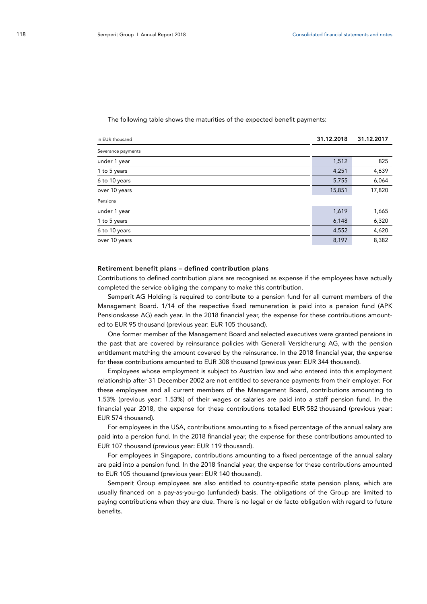The following table shows the maturities of the expected benefit payments:

| in EUR thousand    | 31.12.2018 | 31.12.2017 |
|--------------------|------------|------------|
| Severance payments |            |            |
| under 1 year       | 1,512      | 825        |
| 1 to 5 years       | 4,251      | 4,639      |
| 6 to 10 years      | 5,755      | 6,064      |
| over 10 years      | 15,851     | 17,820     |
| Pensions           |            |            |
| under 1 year       | 1,619      | 1,665      |
| 1 to 5 years       | 6,148      | 6,320      |
| 6 to 10 years      | 4,552      | 4,620      |
| over 10 years      | 8,197      | 8,382      |

#### Retirement benefit plans – defined contribution plans

Contributions to defined contribution plans are recognised as expense if the employees have actually completed the service obliging the company to make this contribution.

Semperit AG Holding is required to contribute to a pension fund for all current members of the Management Board. 1/14 of the respective fixed remuneration is paid into a pension fund (APK Pensionskasse AG) each year. In the 2018 financial year, the expense for these contributions amounted to EUR 95 thousand (previous year: EUR 105 thousand).

One former member of the Management Board and selected executives were granted pensions in the past that are covered by reinsurance policies with Generali Versicherung AG, with the pension entitlement matching the amount covered by the reinsurance. In the 2018 financial year, the expense for these contributions amounted to EUR 308 thousand (previous year: EUR 344 thousand).

Employees whose employment is subject to Austrian law and who entered into this employment relationship after 31 December 2002 are not entitled to severance payments from their employer. For these employees and all current members of the Management Board, contributions amounting to 1.53% (previous year: 1.53%) of their wages or salaries are paid into a staff pension fund. In the financial year 2018, the expense for these contributions totalled EUR 582 thousand (previous year: EUR 574 thousand).

For employees in the USA, contributions amounting to a fixed percentage of the annual salary are paid into a pension fund. In the 2018 financial year, the expense for these contributions amounted to EUR 107 thousand (previous year: EUR 119 thousand).

For employees in Singapore, contributions amounting to a fixed percentage of the annual salary are paid into a pension fund. In the 2018 financial year, the expense for these contributions amounted to EUR 105 thousand (previous year: EUR 140 thousand).

Semperit Group employees are also entitled to country-specific state pension plans, which are usually financed on a pay-as-you-go (unfunded) basis. The obligations of the Group are limited to paying contributions when they are due. There is no legal or de facto obligation with regard to future benefits.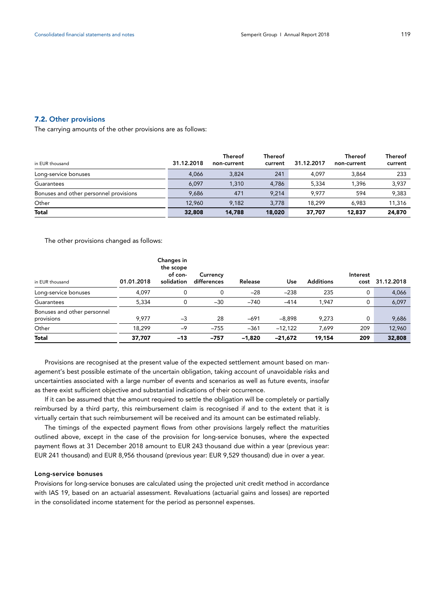#### 7.2. Other provisions

The carrying amounts of the other provisions are as follows:

| in EUR thousand                        | 31.12.2018 | <b>Thereof</b><br>non-current | <b>Thereof</b><br>current | 31.12.2017 | <b>Thereof</b><br>non-current | <b>Thereof</b><br>current |
|----------------------------------------|------------|-------------------------------|---------------------------|------------|-------------------------------|---------------------------|
| Long-service bonuses                   | 4,066      | 3,824                         | 241                       | 4.097      | 3,864                         | 233                       |
| Guarantees                             | 6.097      | 1.310                         | 4,786                     | 5.334      | 1.396                         | 3,937                     |
| Bonuses and other personnel provisions | 9.686      | 471                           | 9.214                     | 9.977      | 594                           | 9,383                     |
| Other                                  | 12,960     | 9,182                         | 3,778                     | 18.299     | 6.983                         | 11.316                    |
| <b>Total</b>                           | 32,808     | 14,788                        | 18,020                    | 37,707     | 12,837                        | 24,870                    |

The other provisions changed as follows:

| in EUR thousand                           | 01.01.2018 | Changes in<br>the scope<br>of con-<br>solidation | Currency<br>differences | Release  | Use       | <b>Additions</b> | Interest<br>cost | 31.12.2018 |
|-------------------------------------------|------------|--------------------------------------------------|-------------------------|----------|-----------|------------------|------------------|------------|
| Long-service bonuses                      | 4,097      | 0                                                | 0                       | $-28$    | $-238$    | 235              | 0                | 4,066      |
| Guarantees                                | 5.334      | 0                                                | $-30$                   | $-740$   | $-414$    | 1.947            | 0                | 6,097      |
| Bonuses and other personnel<br>provisions | 9.977      | $-3$                                             | 28                      | $-691$   | $-8,898$  | 9,273            | $\mathbf 0$      | 9,686      |
| Other                                     | 18.299     | $-9$                                             | $-755$                  | $-361$   | $-12,122$ | 7,699            | 209              | 12,960     |
| <b>Total</b>                              | 37,707     | $-13$                                            | $-757$                  | $-1,820$ | $-21,672$ | 19,154           | 209              | 32,808     |

Provisions are recognised at the present value of the expected settlement amount based on management's best possible estimate of the uncertain obligation, taking account of unavoidable risks and uncertainties associated with a large number of events and scenarios as well as future events, insofar as there exist sufficient objective and substantial indications of their occurrence.

If it can be assumed that the amount required to settle the obligation will be completely or partially reimbursed by a third party, this reimbursement claim is recognised if and to the extent that it is virtually certain that such reimbursement will be received and its amount can be estimated reliably.

The timings of the expected payment flows from other provisions largely reflect the maturities outlined above, except in the case of the provision for long-service bonuses, where the expected payment flows at 31 December 2018 amount to EUR 243 thousand due within a year (previous year: EUR 241 thousand) and EUR 8,956 thousand (previous year: EUR 9,529 thousand) due in over a year.

## Long-service bonuses

Provisions for long-service bonuses are calculated using the projected unit credit method in accordance with IAS 19, based on an actuarial assessment. Revaluations (actuarial gains and losses) are reported in the consolidated income statement for the period as personnel expenses.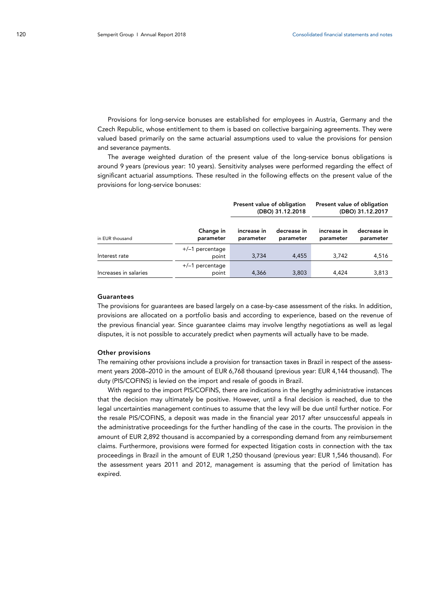Provisions for long-service bonuses are established for employees in Austria, Germany and the Czech Republic, whose entitlement to them is based on collective bargaining agreements. They were valued based primarily on the same actuarial assumptions used to value the provisions for pension and severance payments.

The average weighted duration of the present value of the long-service bonus obligations is around 9 years (previous year: 10 years). Sensitivity analyses were performed regarding the effect of significant actuarial assumptions. These resulted in the following effects on the present value of the provisions for long-service bonuses:

|                       |                            | Present value of obligation | (DBO) 31.12.2018         | Present value of obligation<br>(DBO) 31.12.2017 |                          |
|-----------------------|----------------------------|-----------------------------|--------------------------|-------------------------------------------------|--------------------------|
| in EUR thousand       | Change in<br>parameter     | increase in<br>parameter    | decrease in<br>parameter | increase in<br>parameter                        | decrease in<br>parameter |
| Interest rate         | $+/-1$ percentage<br>point | 3,734                       | 4,455                    | 3.742                                           | 4,516                    |
| Increases in salaries | $+/-1$ percentage<br>point | 4,366                       | 3,803                    | 4.424                                           | 3,813                    |

### Guarantees

The provisions for guarantees are based largely on a case-by-case assessment of the risks. In addition, provisions are allocated on a portfolio basis and according to experience, based on the revenue of the previous financial year. Since guarantee claims may involve lengthy negotiations as well as legal disputes, it is not possible to accurately predict when payments will actually have to be made.

# Other provisions

The remaining other provisions include a provision for transaction taxes in Brazil in respect of the assessment years 2008–2010 in the amount of EUR 6,768 thousand (previous year: EUR 4,144 thousand). The duty (PIS/COFINS) is levied on the import and resale of goods in Brazil.

With regard to the import PIS/COFINS, there are indications in the lengthy administrative instances that the decision may ultimately be positive. However, until a final decision is reached, due to the legal uncertainties management continues to assume that the levy will be due until further notice. For the resale PIS/COFINS, a deposit was made in the financial year 2017 after unsuccessful appeals in the administrative proceedings for the further handling of the case in the courts. The provision in the amount of EUR 2,892 thousand is accompanied by a corresponding demand from any reimbursement claims. Furthermore, provisions were formed for expected litigation costs in connection with the tax proceedings in Brazil in the amount of EUR 1,250 thousand (previous year: EUR 1,546 thousand). For the assessment years 2011 and 2012, management is assuming that the period of limitation has expired.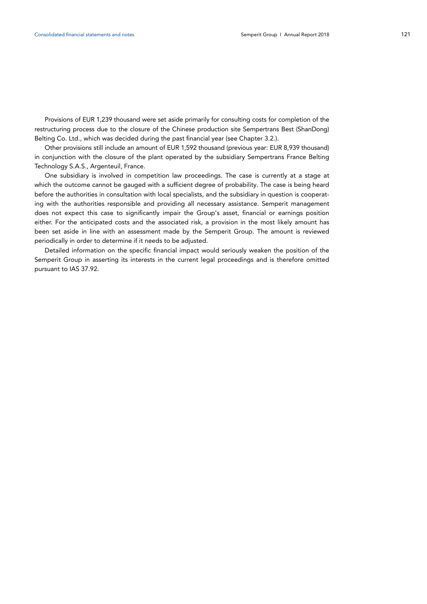Provisions of EUR 1,239 thousand were set aside primarily for consulting costs for completion of the restructuring process due to the closure of the Chinese production site Sempertrans Best (ShanDong) Belting Co. Ltd., which was decided during the past financial year (see Chapter 3.2.).

Other provisions still include an amount of EUR 1,592 thousand (previous year: EUR 8,939 thousand) in conjunction with the closure of the plant operated by the subsidiary Sempertrans France Belting Technology S.A.S., Argenteuil, France.

One subsidiary is involved in competition law proceedings. The case is currently at a stage at which the outcome cannot be gauged with a sufficient degree of probability. The case is being heard before the authorities in consultation with local specialists, and the subsidiary in question is cooperating with the authorities responsible and providing all necessary assistance. Semperit management does not expect this case to significantly impair the Group's asset, financial or earnings position either. For the anticipated costs and the associated risk, a provision in the most likely amount has been set aside in line with an assessment made by the Semperit Group. The amount is reviewed periodically in order to determine if it needs to be adjusted.

Detailed information on the specific financial impact would seriously weaken the position of the Semperit Group in asserting its interests in the current legal proceedings and is therefore omitted pursuant to IAS 37.92.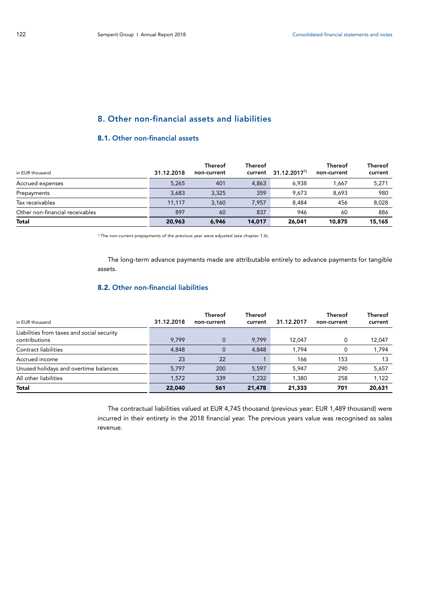# 8. Other non-financial assets and liabilities

# 8.1. Other non-financial assets

| in EUR thousand                 | 31.12.2018 | <b>Thereof</b><br>non-current | <b>Thereof</b><br>current | $31.12.2017^{1}$ | <b>Thereof</b><br>non-current | Thereof<br>current |
|---------------------------------|------------|-------------------------------|---------------------------|------------------|-------------------------------|--------------------|
| Accrued expenses                | 5,265      | 401                           | 4,863                     | 6,938            | 1,667                         | 5,271              |
| Prepayments                     | 3,683      | 3,325                         | 359                       | 9.673            | 8,693                         | 980                |
| Tax receivables                 | 11.117     | 3.160                         | 7.957                     | 8.484            | 456                           | 8,028              |
| Other non-financial receivables | 897        | 60                            | 837                       | 946              | 60                            | 886                |
| <b>Total</b>                    | 20,963     | 6.946                         | 14,017                    | 26,041           | 10,875                        | 15,165             |

<sup>1)</sup> The non-current prepayments of the previous year were adjusted (see chapter 1.6).

The long-term advance payments made are attributable entirely to advance payments for tangible assets.

# 8.2. Other non-financial liabilities

| in EUR thousand                                             | 31.12.2018 | <b>Thereof</b><br>non-current | <b>Thereof</b><br>current | 31.12.2017 | <b>Thereof</b><br>non-current | <b>Thereof</b><br>current |
|-------------------------------------------------------------|------------|-------------------------------|---------------------------|------------|-------------------------------|---------------------------|
| Liabilities from taxes and social security<br>contributions | 9.799      | $\Omega$                      | 9.799                     | 12,047     | $\Omega$                      | 12,047                    |
| <b>Contract liabilities</b>                                 | 4.848      | 0                             | 4.848                     | 1.794      | 0                             | 1,794                     |
| Accrued income                                              | 23         | 22                            |                           | 166        | 153                           | 13                        |
| Unused holidays and overtime balances                       | 5.797      | 200                           | 5,597                     | 5.947      | 290                           | 5,657                     |
| All other liabilities                                       | 1,572      | 339                           | 1,232                     | 1,380      | 258                           | 1,122                     |
| <b>Total</b>                                                | 22,040     | 561                           | 21,478                    | 21,333     | 701                           | 20,631                    |

The contractual liabilities valued at EUR 4,745 thousand (previous year: EUR 1,489 thousand) were incurred in their entirety in the 2018 financial year. The previous years value was recognised as sales revenue.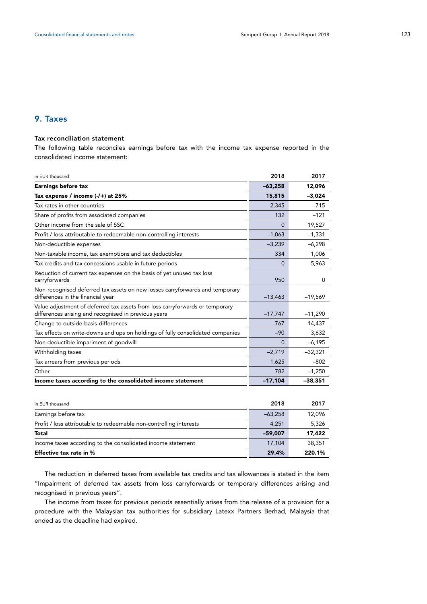# 9. Taxes

# Tax reconciliation statement

The following table reconciles earnings before tax with the income tax expense reported in the consolidated income statement:

| in EUR thousand                                                                                                                      | 2018      | 2017      |
|--------------------------------------------------------------------------------------------------------------------------------------|-----------|-----------|
| <b>Earnings before tax</b>                                                                                                           | $-63,258$ | 12,096    |
| Tax expense / income $(-/+)$ at 25%                                                                                                  | 15,815    | $-3,024$  |
| Tax rates in other countries                                                                                                         | 2,345     | $-715$    |
| Share of profits from associated companies                                                                                           | 132       | $-121$    |
| Other income from the sale of SSC                                                                                                    | $\Omega$  | 19,527    |
| Profit / loss attributable to redeemable non-controlling interests                                                                   | $-1,063$  | $-1,331$  |
| Non-deductible expenses                                                                                                              | $-3,239$  | $-6,298$  |
| Non-taxable income, tax exemptions and tax deductibles                                                                               | 334       | 1,006     |
| Tax credits and tax concessions usable in future periods                                                                             | 0         | 5,963     |
| Reduction of current tax expenses on the basis of yet unused tax loss<br>carryforwards                                               | 950       | 0         |
| Non-recognised deferred tax assets on new losses carryforwards and temporary<br>differences in the financial year                    | $-13,463$ | $-19,569$ |
| Value adjustment of deferred tax assets from loss carryforwards or temporary<br>differences arising and recognised in previous years | $-17,747$ | $-11,290$ |
| Change to outside-basis-differences                                                                                                  | $-767$    | 14,437    |
| Tax effects on write-downs and ups on holdings of fully consolidated companies                                                       | $-90$     | 3,632     |
| Non-deductible impariment of goodwill                                                                                                | $\Omega$  | $-6,195$  |
| Withholding taxes                                                                                                                    | $-2,719$  | $-32,321$ |
| Tax arrears from previous periods                                                                                                    | 1,625     | $-802$    |
| Other                                                                                                                                | 782       | $-1,250$  |
| Income taxes according to the consolidated income statement                                                                          | $-17,104$ | $-38,351$ |

| in EUR thousand                                                    | 2018      | 2017   |
|--------------------------------------------------------------------|-----------|--------|
| Earnings before tax                                                | $-63,258$ | 12,096 |
| Profit / loss attributable to redeemable non-controlling interests | 4,251     | 5,326  |
| Total                                                              | $-59.007$ | 17,422 |
| Income taxes according to the consolidated income statement        | 17.104    | 38.351 |
| <b>Effective tax rate in %</b>                                     | 29.4%     | 220.1% |

The reduction in deferred taxes from available tax credits and tax allowances is stated in the item "Impairment of deferred tax assets from loss carryforwards or temporary differences arising and recognised in previous years".

The income from taxes for previous periods essentially arises from the release of a provision for a procedure with the Malaysian tax authorities for subsidiary Latexx Partners Berhad, Malaysia that ended as the deadline had expired.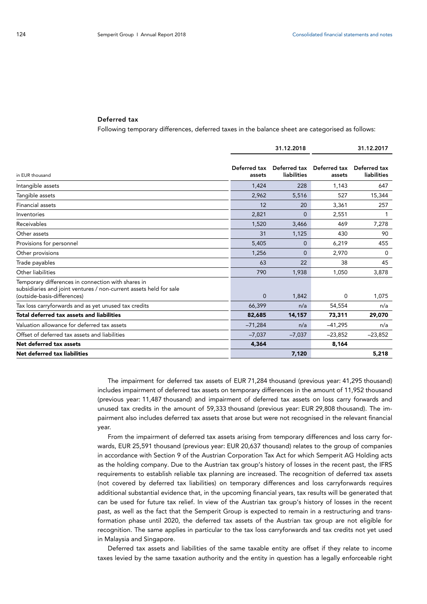#### Deferred tax

Following temporary differences, deferred taxes in the balance sheet are categorised as follows:

|                                                                                                                                                         |                        | 31.12.2018                  |           | 31.12.2017                               |
|---------------------------------------------------------------------------------------------------------------------------------------------------------|------------------------|-----------------------------|-----------|------------------------------------------|
| in EUR thousand                                                                                                                                         | Deferred tax<br>assets | Deferred tax<br>liabilities | assets    | Deferred tax Deferred tax<br>liabilities |
| Intangible assets                                                                                                                                       | 1,424                  | 228                         | 1,143     | 647                                      |
| Tangible assets                                                                                                                                         | 2,962                  | 5,516                       | 527       | 15,344                                   |
| Financial assets                                                                                                                                        | 12                     | 20                          | 3,361     | 257                                      |
| Inventories                                                                                                                                             | 2,821                  | 0                           | 2,551     | -1                                       |
| Receivables                                                                                                                                             | 1,520                  | 3,466                       | 469       | 7,278                                    |
| Other assets                                                                                                                                            | 31                     | 1,125                       | 430       | 90                                       |
| Provisions for personnel                                                                                                                                | 5,405                  | $\overline{0}$              | 6,219     | 455                                      |
| Other provisions                                                                                                                                        | 1,256                  | $\Omega$                    | 2,970     | $\mathbf 0$                              |
| Trade payables                                                                                                                                          | 63                     | 22                          | 38        | 45                                       |
| Other liabilities                                                                                                                                       | 790                    | 1,938                       | 1,050     | 3,878                                    |
| Temporary differences in connection with shares in<br>subsidiaries and joint ventures / non-current assets held for sale<br>(outside-basis-differences) | $\overline{0}$         | 1,842                       | $\Omega$  | 1,075                                    |
| Tax loss carryforwards and as yet unused tax credits                                                                                                    | 66,399                 | n/a                         | 54,554    | n/a                                      |
| Total deferred tax assets and liabilities                                                                                                               | 82,685                 | 14,157                      | 73,311    | 29,070                                   |
| Valuation allowance for deferred tax assets                                                                                                             | $-71,284$              | n/a                         | $-41,295$ | n/a                                      |
| Offset of deferred tax assets and liabilities                                                                                                           | $-7,037$               | $-7,037$                    | $-23,852$ | $-23,852$                                |
| Net deferred tax assets                                                                                                                                 | 4,364                  |                             | 8,164     |                                          |
| Net deferred tax liabilities                                                                                                                            |                        | 7,120                       |           | 5,218                                    |

The impairment for deferred tax assets of EUR 71,284 thousand (previous year: 41,295 thousand) includes impairment of deferred tax assets on temporary differences in the amount of 11,952 thousand (previous year: 11,487 thousand) and impairment of deferred tax assets on loss carry forwards and unused tax credits in the amount of 59,333 thousand (previous year: EUR 29,808 thousand). The impairment also includes deferred tax assets that arose but were not recognised in the relevant financial year.

From the impairment of deferred tax assets arising from temporary differences and loss carry forwards, EUR 25,591 thousand (previous year: EUR 20,637 thousand) relates to the group of companies in accordance with Section 9 of the Austrian Corporation Tax Act for which Semperit AG Holding acts as the holding company. Due to the Austrian tax group's history of losses in the recent past, the IFRS requirements to establish reliable tax planning are increased. The recognition of deferred tax assets (not covered by deferred tax liabilities) on temporary differences and loss carryforwards requires additional substantial evidence that, in the upcoming financial years, tax results will be generated that can be used for future tax relief. In view of the Austrian tax group's history of losses in the recent past, as well as the fact that the Semperit Group is expected to remain in a restructuring and transformation phase until 2020, the deferred tax assets of the Austrian tax group are not eligible for recognition. The same applies in particular to the tax loss carryforwards and tax credits not yet used in Malaysia and Singapore.

Deferred tax assets and liabilities of the same taxable entity are offset if they relate to income taxes levied by the same taxation authority and the entity in question has a legally enforceable right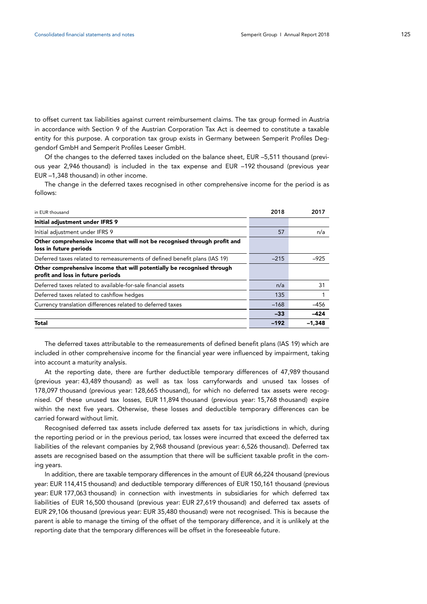to offset current tax liabilities against current reimbursement claims. The tax group formed in Austria in accordance with Section 9 of the Austrian Corporation Tax Act is deemed to constitute a taxable entity for this purpose. A corporation tax group exists in Germany between Semperit Profiles Deggendorf GmbH and Semperit Profiles Leeser GmbH.

Of the changes to the deferred taxes included on the balance sheet, EUR –5,511 thousand (previous year 2,946 thousand) is included in the tax expense and EUR –192 thousand (previous year EUR –1,348 thousand) in other income.

The change in the deferred taxes recognised in other comprehensive income for the period is as follows:

| in EUR thousand                                                                                             | 2018   | 2017     |
|-------------------------------------------------------------------------------------------------------------|--------|----------|
| Initial adjustment under IFRS 9                                                                             |        |          |
| Initial adjustment under IFRS 9                                                                             | 57     | n/a      |
| Other comprehensive income that will not be recognised through profit and<br>loss in future periods         |        |          |
| Deferred taxes related to remeasurements of defined benefit plans (IAS 19)                                  | $-215$ | $-925$   |
| Other comprehensive income that will potentially be recognised through<br>profit and loss in future periods |        |          |
| Deferred taxes related to available-for-sale financial assets                                               | n/a    | 31       |
| Deferred taxes related to cashflow hedges                                                                   | 135    |          |
| Currency translation differences related to deferred taxes                                                  | $-168$ | $-456$   |
|                                                                                                             | $-33$  | $-424$   |
| <b>Total</b>                                                                                                | $-192$ | $-1,348$ |

The deferred taxes attributable to the remeasurements of defined benefit plans (IAS 19) which are included in other comprehensive income for the financial year were influenced by impairment, taking into account a maturity analysis.

At the reporting date, there are further deductible temporary differences of 47,989 thousand (previous year: 43,489 thousand) as well as tax loss carryforwards and unused tax losses of 178,097 thousand (previous year: 128,665 thousand), for which no deferred tax assets were recognised. Of these unused tax losses, EUR 11,894 thousand (previous year: 15,768 thousand) expire within the next five years. Otherwise, these losses and deductible temporary differences can be carried forward without limit.

Recognised deferred tax assets include deferred tax assets for tax jurisdictions in which, during the reporting period or in the previous period, tax losses were incurred that exceed the deferred tax liabilities of the relevant companies by 2,968 thousand (previous year: 6,526 thousand). Deferred tax assets are recognised based on the assumption that there will be sufficient taxable profit in the coming years.

In addition, there are taxable temporary differences in the amount of EUR 66,224 thousand (previous year: EUR 114,415 thousand) and deductible temporary differences of EUR 150,161 thousand (previous year: EUR 177,063 thousand) in connection with investments in subsidiaries for which deferred tax liabilities of EUR 16,500 thousand (previous year: EUR 27,619 thousand) and deferred tax assets of EUR 29,106 thousand (previous year: EUR 35,480 thousand) were not recognised. This is because the parent is able to manage the timing of the offset of the temporary difference, and it is unlikely at the reporting date that the temporary differences will be offset in the foreseeable future.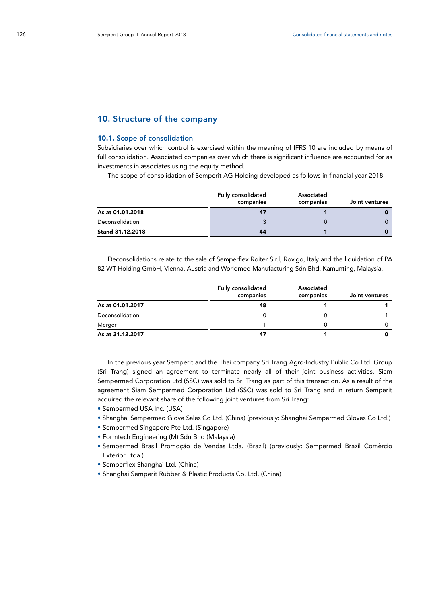# 10. Structure of the company

# 10.1. Scope of consolidation

Subsidiaries over which control is exercised within the meaning of IFRS 10 are included by means of full consolidation. Associated companies over which there is significant influence are accounted for as investments in associates using the equity method.

The scope of consolidation of Semperit AG Holding developed as follows in financial year 2018:

|                         | <b>Fully consolidated</b><br>companies | Associated<br>companies | Joint ventures |
|-------------------------|----------------------------------------|-------------------------|----------------|
| As at 01.01.2018        | 47                                     |                         |                |
| <b>Deconsolidation</b>  |                                        |                         |                |
| <b>Stand 31.12.2018</b> | 44                                     |                         |                |

Deconsolidations relate to the sale of Semperflex Roiter S.r.l, Rovigo, Italy and the liquidation of PA 82 WT Holding GmbH, Vienna, Austria and Worldmed Manufacturing Sdn Bhd, Kamunting, Malaysia.

|                        | <b>Fully consolidated</b><br>companies | Associated<br>companies | Joint ventures |
|------------------------|----------------------------------------|-------------------------|----------------|
| As at 01.01.2017       | 48                                     |                         |                |
| <b>Deconsolidation</b> |                                        |                         |                |
| Merger                 |                                        |                         |                |
| As at 31.12.2017       | 47                                     |                         |                |

In the previous year Semperit and the Thai company Sri Trang Agro-Industry Public Co Ltd. Group (Sri Trang) signed an agreement to terminate nearly all of their joint business activities. Siam Sempermed Corporation Ltd (SSC) was sold to Sri Trang as part of this transaction. As a result of the agreement Siam Sempermed Corporation Ltd (SSC) was sold to Sri Trang and in return Semperit acquired the relevant share of the following joint ventures from Sri Trang:

- Sempermed USA Inc. (USA)
- Shanghai Sempermed Glove Sales Co Ltd. (China) (previously: Shanghai Sempermed Gloves Co Ltd.)
- Sempermed Singapore Pte Ltd. (Singapore)
- Formtech Engineering (M) Sdn Bhd (Malaysia)
- Sempermed Brasil Promoção de Vendas Ltda. (Brazil) (previously: Sempermed Brazil Comèrcio Exterior Ltda.)
- Semperflex Shanghai Ltd. (China)
- Shanghai Semperit Rubber & Plastic Products Co. Ltd. (China)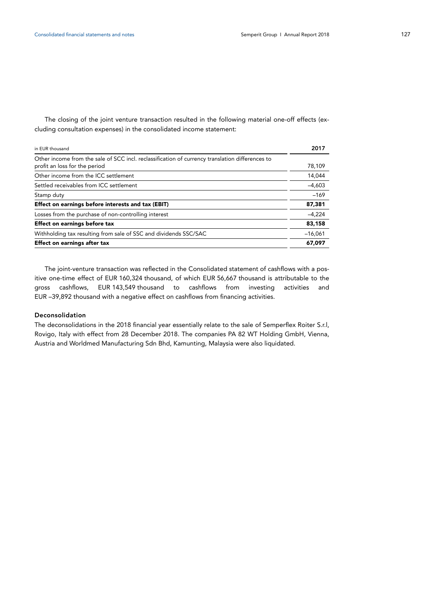The closing of the joint venture transaction resulted in the following material one-off effects (excluding consultation expenses) in the consolidated income statement:

| in EUR thousand                                                                                 | 2017      |
|-------------------------------------------------------------------------------------------------|-----------|
| Other income from the sale of SCC incl. reclassification of currency translation differences to |           |
| profit an loss for the period                                                                   | 78,109    |
| Other income from the ICC settlement                                                            | 14,044    |
| Settled receivables from ICC settlement                                                         | $-4,603$  |
| Stamp duty                                                                                      | $-169$    |
| Effect on earnings before interests and tax (EBIT)                                              | 87,381    |
| Losses from the purchase of non-controlling interest                                            | $-4.224$  |
| Effect on earnings before tax                                                                   | 83,158    |
| Withholding tax resulting from sale of SSC and dividends SSC/SAC                                | $-16,061$ |
| <b>Effect on earnings after tax</b>                                                             | 67,097    |

The joint-venture transaction was reflected in the Consolidated statement of cashflows with a positive one-time effect of EUR 160,324 thousand, of which EUR 56,667 thousand is attributable to the gross cashflows, EUR 143,549 thousand to cashflows from investing activities and EUR –39,892 thousand with a negative effect on cashflows from financing activities.

#### Deconsolidation

The deconsolidations in the 2018 financial year essentially relate to the sale of Semperflex Roiter S.r.l, Rovigo, Italy with effect from 28 December 2018. The companies PA 82 WT Holding GmbH, Vienna, Austria and Worldmed Manufacturing Sdn Bhd, Kamunting, Malaysia were also liquidated.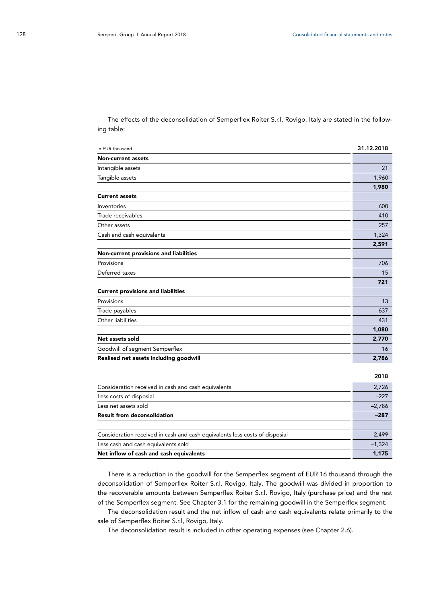The effects of the deconsolidation of Semperflex Roiter S.r.l, Rovigo, Italy are stated in the following table:

| in EUR thousand                                      | 31.12.2018 |
|------------------------------------------------------|------------|
| <b>Non-current assets</b>                            |            |
| Intangible assets                                    | 21         |
| Tangible assets                                      | 1,960      |
|                                                      | 1,980      |
| <b>Current assets</b>                                |            |
| Inventories                                          | 600        |
| Trade receivables                                    | 410        |
| Other assets                                         | 257        |
| Cash and cash equivalents                            | 1,324      |
|                                                      | 2,591      |
| Non-current provisions and liabilities               |            |
| Provisions                                           | 706        |
| Deferred taxes                                       | 15         |
|                                                      | 721        |
| <b>Current provisions and liabilities</b>            |            |
| Provisions                                           | 13         |
| Trade payables                                       | 637        |
| Other liabilities                                    | 431        |
|                                                      | 1,080      |
| Net assets sold                                      | 2,770      |
| Goodwill of segment Semperflex                       | 16         |
| Realised net assets including goodwill               | 2,786      |
|                                                      |            |
|                                                      | 2018       |
| Consideration resoluted in each and sook coulumlants | 272L       |

| Consideration received in cash and cash equivalents                         | 2,726    |
|-----------------------------------------------------------------------------|----------|
| Less costs of disposial                                                     | $-227$   |
| Less net assets sold                                                        | $-2,786$ |
| <b>Result from deconsolidation</b>                                          | $-287$   |
|                                                                             |          |
| Consideration received in cash and cash equivalents less costs of disposial | 2.499    |
| Less cash and cash equivalents sold                                         | $-1,324$ |
| Net inflow of cash and cash equivalents                                     | 1.175    |

There is a reduction in the goodwill for the Semperflex segment of EUR 16 thousand through the deconsolidation of Semperflex Roiter S.r.l. Rovigo, Italy. The goodwill was divided in proportion to the recoverable amounts between Semperflex Roiter S.r.l. Rovigo, Italy (purchase price) and the rest of the Semperflex segment. See Chapter 3.1 for the remaining goodwill in the Semperflex segment.

The deconsolidation result and the net inflow of cash and cash equivalents relate primarily to the sale of Semperflex Roiter S.r.l, Rovigo, Italy.

The deconsolidation result is included in other operating expenses (see Chapter 2.6).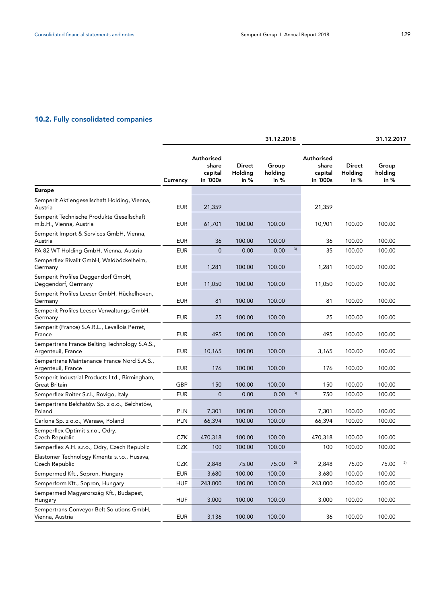# 10.2. Fully consolidated companies

|                                                                        |             |                                            |                           | 31.12.2018               |                                            |                                  | 31.12.2017               |
|------------------------------------------------------------------------|-------------|--------------------------------------------|---------------------------|--------------------------|--------------------------------------------|----------------------------------|--------------------------|
|                                                                        | Currency    | Authorised<br>share<br>capital<br>in '000s | Direct<br>Holding<br>in % | Group<br>holding<br>in % | Authorised<br>share<br>capital<br>in '000s | <b>Direct</b><br>Holding<br>in % | Group<br>holding<br>in % |
| <b>Europe</b>                                                          |             |                                            |                           |                          |                                            |                                  |                          |
| Semperit Aktiengesellschaft Holding, Vienna,<br>Austria                | <b>EUR</b>  | 21,359                                     |                           |                          | 21,359                                     |                                  |                          |
| Semperit Technische Produkte Gesellschaft<br>m.b.H., Vienna, Austria   | <b>EUR</b>  | 61,701                                     | 100.00                    | 100.00                   | 10,901                                     | 100.00                           | 100.00                   |
| Semperit Import & Services GmbH, Vienna,<br>Austria                    | <b>EUR</b>  | 36                                         | 100.00                    | 100.00                   | 36                                         | 100.00                           | 100.00                   |
| PA 82 WT Holding GmbH, Vienna, Austria                                 | <b>EUR</b>  | $\mathbf{0}$                               | 0.00                      | 3)<br>0.00               | 35                                         | 100.00                           | 100.00                   |
| Semperflex Rivalit GmbH, Waldböckelheim,<br>Germany                    | <b>EUR</b>  | 1,281                                      | 100.00                    | 100.00                   | 1,281                                      | 100.00                           | 100.00                   |
| Semperit Profiles Deggendorf GmbH,<br>Deggendorf, Germany              | <b>EUR</b>  | 11,050                                     | 100.00                    | 100.00                   | 11,050                                     | 100.00                           | 100.00                   |
| Semperit Profiles Leeser GmbH, Hückelhoven,<br>Germany                 | <b>EUR</b>  | 81                                         | 100.00                    | 100.00                   | 81                                         | 100.00                           | 100.00                   |
| Semperit Profiles Leeser Verwaltungs GmbH,<br>Germany                  | <b>EUR</b>  | 25                                         | 100.00                    | 100.00                   | 25                                         | 100.00                           | 100.00                   |
| Semperit (France) S.A.R.L., Levallois Perret,<br>France                | <b>EUR</b>  | 495                                        | 100.00                    | 100.00                   | 495                                        | 100.00                           | 100.00                   |
| Sempertrans France Belting Technology S.A.S.,<br>Argenteuil, France    | <b>EUR</b>  | 10,165                                     | 100.00                    | 100.00                   | 3,165                                      | 100.00                           | 100.00                   |
| Sempertrans Maintenance France Nord S.A.S.,<br>Argenteuil, France      | <b>EUR</b>  | 176                                        | 100.00                    | 100.00                   | 176                                        | 100.00                           | 100.00                   |
| Semperit Industrial Products Ltd., Birmingham,<br><b>Great Britain</b> | GBP         | 150                                        | 100.00                    | 100.00                   | 150                                        | 100.00                           | 100.00                   |
| Semperflex Roiter S.r.l., Rovigo, Italy                                | <b>EUR</b>  | $\mathbf{0}$                               | 0.00                      | 3)<br>0.00               | 750                                        | 100.00                           | 100.00                   |
| Sempertrans Bełchatów Sp. z o.o., Bełchatów,<br>Poland                 | <b>PLN</b>  | 7,301                                      | 100.00                    | 100.00                   | 7,301                                      | 100.00                           | 100.00                   |
| Carlona Sp. z o.o., Warsaw, Poland                                     | <b>PLN</b>  | 66,394                                     | 100.00                    | 100.00                   | 66,394                                     | 100.00                           | 100.00                   |
| Semperflex Optimit s.r.o., Odry,<br>Czech Republic                     | <b>CZK</b>  | 470,318                                    | 100.00                    | 100.00                   | 470,318                                    | 100.00                           | 100.00                   |
| Semperflex A.H. s.r.o., Odry, Czech Republic                           | <b>CZK</b>  | 100                                        | 100.00                    | 100.00                   | 100                                        | 100.00                           | 100.00                   |
| Elastomer Technology Kmenta s.r.o., Husava,<br>Czech Republic          | ${\sf CZK}$ | 2,848                                      | 75.00                     | 2)<br>75.00              | 2,848                                      | 75.00                            | 2)<br>75.00              |
| Sempermed Kft., Sopron, Hungary                                        | <b>EUR</b>  | 3,680                                      | 100.00                    | 100.00                   | 3,680                                      | 100.00                           | 100.00                   |
| Semperform Kft., Sopron, Hungary                                       | <b>HUF</b>  | 243.000                                    | 100.00                    | 100.00                   | 243.000                                    | 100.00                           | 100.00                   |
| Sempermed Magyarország Kft., Budapest,<br>Hungary                      | <b>HUF</b>  | 3.000                                      | 100.00                    | 100.00                   | 3.000                                      | 100.00                           | 100.00                   |
| Sempertrans Conveyor Belt Solutions GmbH,<br>Vienna, Austria           | <b>EUR</b>  | 3,136                                      | 100.00                    | 100.00                   | 36                                         | 100.00                           | 100.00                   |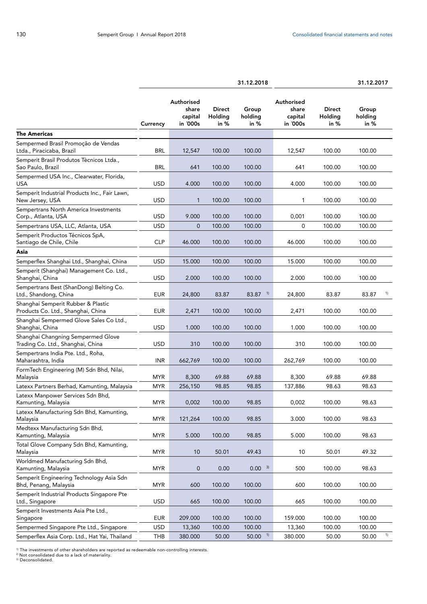|                                                                          |            |                                                   |                                  | 31.12.2018                                               |                                            |                                  | 31.12.2017               |
|--------------------------------------------------------------------------|------------|---------------------------------------------------|----------------------------------|----------------------------------------------------------|--------------------------------------------|----------------------------------|--------------------------|
|                                                                          | Currency   | <b>Authorised</b><br>share<br>capital<br>in '000s | <b>Direct</b><br>Holding<br>in % | Group<br>holding<br>in %                                 | Authorised<br>share<br>capital<br>in '000s | <b>Direct</b><br>Holding<br>in % | Group<br>holding<br>in % |
| <b>The Americas</b>                                                      |            |                                                   |                                  |                                                          |                                            |                                  |                          |
| Sempermed Brasil Promoção de Vendas<br>Ltda., Piracicaba, Brazil         | <b>BRL</b> | 12,547                                            | 100.00                           | 100.00                                                   | 12,547                                     | 100.00                           | 100.00                   |
| Semperit Brasil Produtos Tècnicos Ltda.,<br>Sao Paulo, Brazil            | <b>BRL</b> | 641                                               | 100.00                           | 100.00                                                   | 641                                        | 100.00                           | 100.00                   |
| Sempermed USA Inc., Clearwater, Florida,<br>USA                          | <b>USD</b> | 4.000                                             | 100.00                           | 100.00                                                   | 4.000                                      | 100.00                           | 100.00                   |
| Semperit Industrial Products Inc., Fair Lawn,<br>New Jersey, USA         | <b>USD</b> | $\mathbf{1}$                                      | 100.00                           | 100.00                                                   | 1                                          | 100.00                           | 100.00                   |
| Sempertrans North America Investments<br>Corp., Atlanta, USA             | <b>USD</b> | 9.000                                             | 100.00                           | 100.00                                                   | 0,001                                      | 100.00                           | 100.00                   |
| Sempertrans USA, LLC, Atlanta, USA                                       | <b>USD</b> | 0                                                 | 100.00                           | 100.00                                                   | $\boldsymbol{0}$                           | 100.00                           | 100.00                   |
| Semperit Productos Técnicos SpA,<br>Santiago de Chile, Chile             | <b>CLP</b> | 46.000                                            | 100.00                           | 100.00                                                   | 46.000                                     | 100.00                           | 100.00                   |
| Asia                                                                     |            |                                                   |                                  |                                                          |                                            |                                  |                          |
| Semperflex Shanghai Ltd., Shanghai, China                                | <b>USD</b> | 15.000                                            | 100.00                           | 100.00                                                   | 15.000                                     | 100.00                           | 100.00                   |
| Semperit (Shanghai) Management Co. Ltd.,<br>Shanghai, China              | <b>USD</b> | 2.000                                             | 100.00                           | 100.00                                                   | 2.000                                      | 100.00                           | 100.00                   |
| Sempertrans Best (ShanDong) Belting Co.<br>Ltd., Shandong, China         | <b>EUR</b> | 24,800                                            | 83.87                            | $\left( \begin{array}{c} 1 \end{array} \right)$<br>83.87 | 24,800                                     | 83.87                            | 83.87                    |
| Shanghai Semperit Rubber & Plastic<br>Products Co. Ltd., Shanghai, China | <b>EUR</b> | 2,471                                             | 100.00                           | 100.00                                                   | 2,471                                      | 100.00                           | 100.00                   |
| Shanghai Sempermed Glove Sales Co Ltd.,<br>Shanghai, China               | <b>USD</b> | 1.000                                             | 100.00                           | 100.00                                                   | 1.000                                      | 100.00                           | 100.00                   |
| Shanghai Changning Sempermed Glove<br>Trading Co. Ltd., Shanghai, China  | <b>USD</b> | 310                                               | 100.00                           | 100.00                                                   | 310                                        | 100.00                           | 100.00                   |
| Sempertrans India Pte. Ltd., Roha,<br>Maharashtra, India                 | <b>INR</b> | 662,769                                           | 100.00                           | 100.00                                                   | 262,769                                    | 100.00                           | 100.00                   |
| FormTech Engineering (M) Sdn Bhd, Nilai,<br>Malaysia                     | <b>MYR</b> | 8,300                                             | 69.88                            | 69.88                                                    | 8,300                                      | 69.88                            | 69.88                    |
| Latexx Partners Berhad, Kamunting, Malaysia                              | <b>MYR</b> | 256,150                                           | 98.85                            | 98.85                                                    | 137,886                                    | 98.63                            | 98.63                    |
| Latexx Manpower Services Sdn Bhd,<br>Kamunting, Malaysia                 | <b>MYR</b> | 0,002                                             | 100.00                           | 98.85                                                    | 0,002                                      | 100.00                           | 98.63                    |
| Latexx Manufacturing Sdn Bhd, Kamunting,<br>Malaysia                     | <b>MYR</b> | 121,264                                           | 100.00                           | 98.85                                                    | 3.000                                      | 100.00                           | 98.63                    |
| Medtexx Manufacturing Sdn Bhd,<br>Kamunting, Malaysia                    | <b>MYR</b> | 5.000                                             | 100.00                           | 98.85                                                    | 5.000                                      | 100.00                           | 98.63                    |
| Total Glove Company Sdn Bhd, Kamunting,<br>Malaysia                      | <b>MYR</b> | 10                                                | 50.01                            | 49.43                                                    | 10                                         | 50.01                            | 49.32                    |
| Worldmed Manufacturing Sdn Bhd,<br>Kamunting, Malaysia                   | <b>MYR</b> | 0                                                 | 0.00                             | 0.00 <sup>3</sup>                                        | 500                                        | 100.00                           | 98.63                    |
| Semperit Engineering Technology Asia Sdn<br>Bhd, Penang, Malaysia        | <b>MYR</b> | 600                                               | 100.00                           | 100.00                                                   | 600                                        | 100.00                           | 100.00                   |
| Semperit Industrial Products Singapore Pte<br>Ltd., Singapore            | <b>USD</b> | 665                                               | 100.00                           | 100.00                                                   | 665                                        | 100.00                           | 100.00                   |
| Semperit Investments Asia Pte Ltd.,<br>Singapore                         | <b>EUR</b> | 209.000                                           | 100.00                           | 100.00                                                   | 159.000                                    | 100.00                           | 100.00                   |
| Sempermed Singapore Pte Ltd., Singapore                                  | <b>USD</b> | 13,360                                            | 100.00                           | 100.00                                                   | 13,360                                     | 100.00                           | 100.00                   |
| Semperflex Asia Corp. Ltd., Hat Yai, Thailand                            | THB        | 380.000                                           | 50.00                            | 1)<br>50.00                                              | 380.000                                    | 50.00                            | 1)<br>50.00              |

 $^{\rm 1)}$  The investments of other shareholders are reported as redeemable non-controlling interests.<br><sup>2)</sup> Not consolidated due to a lack of materiality.<br><sup>3)</sup> Deconsolidated.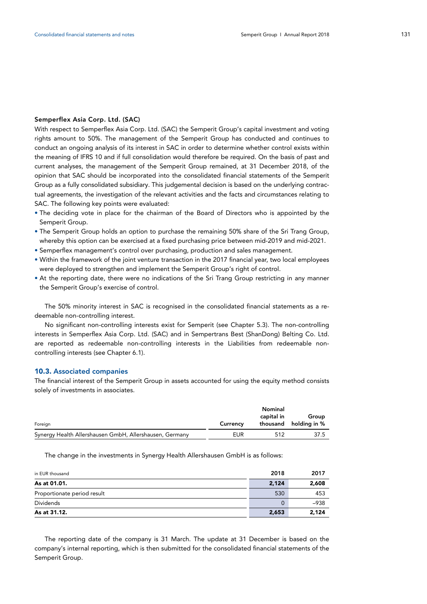#### Semperflex Asia Corp. Ltd. (SAC)

With respect to Semperflex Asia Corp. Ltd. (SAC) the Semperit Group's capital investment and voting rights amount to 50%. The management of the Semperit Group has conducted and continues to conduct an ongoing analysis of its interest in SAC in order to determine whether control exists within the meaning of IFRS 10 and if full consolidation would therefore be required. On the basis of past and current analyses, the management of the Semperit Group remained, at 31 December 2018, of the opinion that SAC should be incorporated into the consolidated financial statements of the Semperit Group as a fully consolidated subsidiary. This judgemental decision is based on the underlying contractual agreements, the investigation of the relevant activities and the facts and circumstances relating to SAC. The following key points were evaluated:

- The deciding vote in place for the chairman of the Board of Directors who is appointed by the Semperit Group.
- The Semperit Group holds an option to purchase the remaining 50% share of the Sri Trang Group, whereby this option can be exercised at a fixed purchasing price between mid-2019 and mid-2021.
- Semperflex management's control over purchasing, production and sales management.
- Within the framework of the joint venture transaction in the 2017 financial year, two local employees were deployed to strengthen and implement the Semperit Group's right of control.
- At the reporting date, there were no indications of the Sri Trang Group restricting in any manner the Semperit Group's exercise of control.

The 50% minority interest in SAC is recognised in the consolidated financial statements as a redeemable non-controlling interest.

No significant non-controlling interests exist for Semperit (see Chapter 5.3). The non-controlling interests in Semperflex Asia Corp. Ltd. (SAC) and in Sempertrans Best (ShanDong) Belting Co. Ltd. are reported as redeemable non-controlling interests in the Liabilities from redeemable noncontrolling interests (see Chapter 6.1).

#### 10.3. Associated companies

The financial interest of the Semperit Group in assets accounted for using the equity method consists solely of investments in associates.

| Foreign                                                 | Currency | Nominal<br>capital in | Group<br>thousand holding in % |
|---------------------------------------------------------|----------|-----------------------|--------------------------------|
| Synergy Health Allershausen GmbH, Allershausen, Germany | EUR      | 512                   | 37.5                           |

The change in the investments in Synergy Health Allershausen GmbH is as follows:

| in EUR thousand             | 2018  | 2017   |
|-----------------------------|-------|--------|
| As at 01.01.                | 2.124 | 2,608  |
| Proportionate period result | 530   | 453    |
| Dividends                   |       | $-938$ |
| As at 31.12.                | 2,653 | 2,124  |

The reporting date of the company is 31 March. The update at 31 December is based on the company's internal reporting, which is then submitted for the consolidated financial statements of the Semperit Group.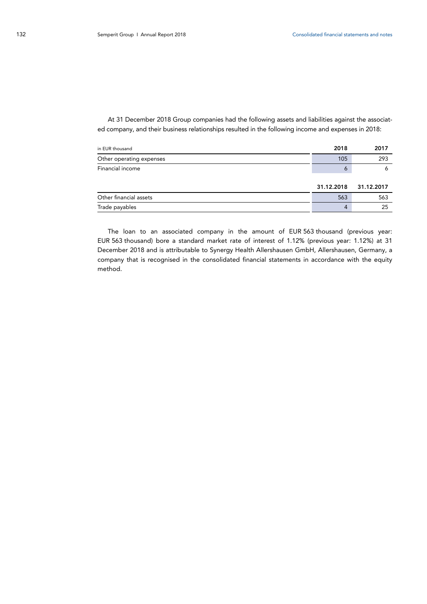At 31 December 2018 Group companies had the following assets and liabilities against the associated company, and their business relationships resulted in the following income and expenses in 2018:

| in EUR thousand          | 2018       | 2017       |
|--------------------------|------------|------------|
| Other operating expenses | 105        | 293        |
| Financial income         | b          | Ô          |
|                          |            |            |
|                          | 31.12.2018 | 31.12.2017 |
| Other financial assets   | 563        | 563        |
| Trade payables           | 4          | 25         |

The loan to an associated company in the amount of EUR 563 thousand (previous year: EUR 563 thousand) bore a standard market rate of interest of 1.12% (previous year: 1.12%) at 31 December 2018 and is attributable to Synergy Health Allershausen GmbH, Allershausen, Germany, a company that is recognised in the consolidated financial statements in accordance with the equity method.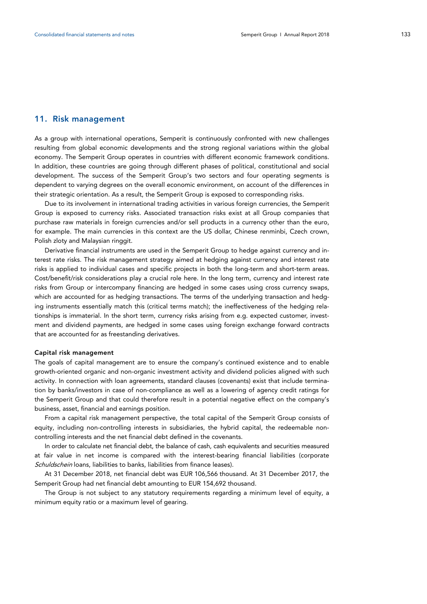## 11. Risk management

As a group with international operations, Semperit is continuously confronted with new challenges resulting from global economic developments and the strong regional variations within the global economy. The Semperit Group operates in countries with different economic framework conditions. In addition, these countries are going through different phases of political, constitutional and social development. The success of the Semperit Group's two sectors and four operating segments is dependent to varying degrees on the overall economic environment, on account of the differences in their strategic orientation. As a result, the Semperit Group is exposed to corresponding risks.

Due to its involvement in international trading activities in various foreign currencies, the Semperit Group is exposed to currency risks. Associated transaction risks exist at all Group companies that purchase raw materials in foreign currencies and/or sell products in a currency other than the euro, for example. The main currencies in this context are the US dollar, Chinese renminbi, Czech crown, Polish zloty and Malaysian ringgit.

Derivative financial instruments are used in the Semperit Group to hedge against currency and interest rate risks. The risk management strategy aimed at hedging against currency and interest rate risks is applied to individual cases and specific projects in both the long-term and short-term areas. Cost/benefit/risk considerations play a crucial role here. In the long term, currency and interest rate risks from Group or intercompany financing are hedged in some cases using cross currency swaps, which are accounted for as hedging transactions. The terms of the underlying transaction and hedging instruments essentially match this (critical terms match); the ineffectiveness of the hedging relationships is immaterial. In the short term, currency risks arising from e.g. expected customer, investment and dividend payments, are hedged in some cases using foreign exchange forward contracts that are accounted for as freestanding derivatives.

#### Capital risk management

The goals of capital management are to ensure the company's continued existence and to enable growth-oriented organic and non-organic investment activity and dividend policies aligned with such activity. In connection with loan agreements, standard clauses (covenants) exist that include termination by banks/investors in case of non-compliance as well as a lowering of agency credit ratings for the Semperit Group and that could therefore result in a potential negative effect on the company's business, asset, financial and earnings position.

From a capital risk management perspective, the total capital of the Semperit Group consists of equity, including non-controlling interests in subsidiaries, the hybrid capital, the redeemable noncontrolling interests and the net financial debt defined in the covenants.

In order to calculate net financial debt, the balance of cash, cash equivalents and securities measured at fair value in net income is compared with the interest-bearing financial liabilities (corporate Schuldschein loans, liabilities to banks, liabilities from finance leases).

At 31 December 2018, net financial debt was EUR 106,566 thousand. At 31 December 2017, the Semperit Group had net financial debt amounting to EUR 154,692 thousand.

The Group is not subject to any statutory requirements regarding a minimum level of equity, a minimum equity ratio or a maximum level of gearing.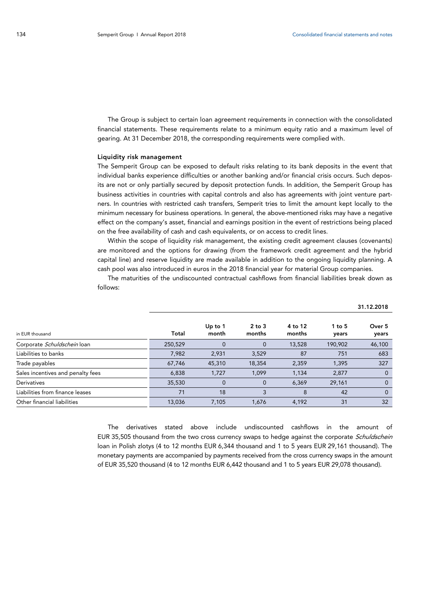The Group is subject to certain loan agreement requirements in connection with the consolidated financial statements. These requirements relate to a minimum equity ratio and a maximum level of gearing. At 31 December 2018, the corresponding requirements were complied with.

#### Liquidity risk management

The Semperit Group can be exposed to default risks relating to its bank deposits in the event that individual banks experience difficulties or another banking and/or financial crisis occurs. Such deposits are not or only partially secured by deposit protection funds. In addition, the Semperit Group has business activities in countries with capital controls and also has agreements with joint venture partners. In countries with restricted cash transfers, Semperit tries to limit the amount kept locally to the minimum necessary for business operations. In general, the above-mentioned risks may have a negative effect on the company's asset, financial and earnings position in the event of restrictions being placed on the free availability of cash and cash equivalents, or on access to credit lines.

Within the scope of liquidity risk management, the existing credit agreement clauses (covenants) are monitored and the options for drawing (from the framework credit agreement and the hybrid capital line) and reserve liquidity are made available in addition to the ongoing liquidity planning. A cash pool was also introduced in euros in the 2018 financial year for material Group companies.

The maturities of the undiscounted contractual cashflows from financial liabilities break down as follows:

| in EUR thousand                   | Total   | Up to 1<br>month | $2$ to $3$<br>months | 4 to 12<br>months | 1 to 5<br>years | Over 5<br>years |
|-----------------------------------|---------|------------------|----------------------|-------------------|-----------------|-----------------|
| Corporate Schuldschein loan       | 250,529 | 0                | $\Omega$             | 13,528            | 190,902         | 46,100          |
| Liabilities to banks              | 7,982   | 2,931            | 3,529                | 87                | 751             | 683             |
| Trade payables                    | 67,746  | 45,310           | 18,354               | 2,359             | 1,395           | 327             |
| Sales incentives and penalty fees | 6,838   | 1,727            | 1,099                | 1,134             | 2,877           | 0               |
| <b>Derivatives</b>                | 35,530  | $\Omega$         | 0                    | 6.369             | 29,161          | $\Omega$        |
| Liabilities from finance leases   | 71      | 18               |                      | 8                 | 42              | $\Omega$        |
| Other financial liabilities       | 13,036  | 7.105            | 1.676                | 4.192             | 31              | 32              |

31.12.2018

The derivatives stated above include undiscounted cashflows in the amount of EUR 35,505 thousand from the two cross currency swaps to hedge against the corporate *Schuldschein* loan in Polish zlotys (4 to 12 months EUR 6,344 thousand and 1 to 5 years EUR 29,161 thousand). The monetary payments are accompanied by payments received from the cross currency swaps in the amount of EUR 35,520 thousand (4 to 12 months EUR 6,442 thousand and 1 to 5 years EUR 29,078 thousand).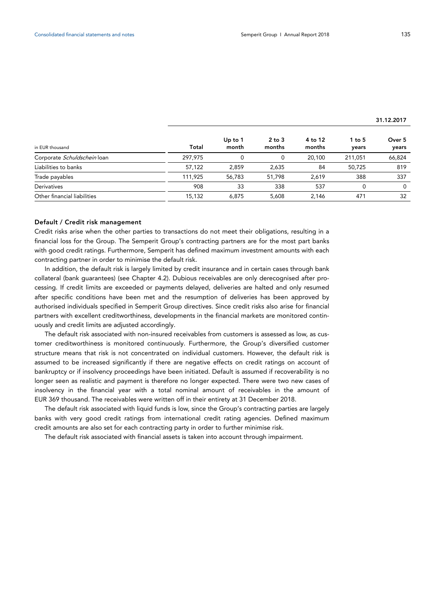#### 31.12.2017

| in EUR thousand             | Total   | Up to 1<br>month | $2$ to $3$<br>months | 4 to 12<br>months | 1 to 5<br>years | Over 5<br>years |
|-----------------------------|---------|------------------|----------------------|-------------------|-----------------|-----------------|
| Corporate Schuldschein loan | 297,975 |                  |                      | 20,100            | 211,051         | 66,824          |
| Liabilities to banks        | 57.122  | 2.859            | 2,635                | 84                | 50.725          | 819             |
| Trade payables              | 111.925 | 56.783           | 51.798               | 2.619             | 388             | 337             |
| Derivatives                 | 908     | 33               | 338                  | 537               |                 |                 |
| Other financial liabilities | 15,132  | 6.875            | 5.608                | 2,146             | 471             | 32              |

## Default / Credit risk management

Credit risks arise when the other parties to transactions do not meet their obligations, resulting in a financial loss for the Group. The Semperit Group's contracting partners are for the most part banks with good credit ratings. Furthermore, Semperit has defined maximum investment amounts with each contracting partner in order to minimise the default risk.

In addition, the default risk is largely limited by credit insurance and in certain cases through bank collateral (bank guarantees) (see Chapter 4.2). Dubious receivables are only derecognised after processing. If credit limits are exceeded or payments delayed, deliveries are halted and only resumed after specific conditions have been met and the resumption of deliveries has been approved by authorised individuals specified in Semperit Group directives. Since credit risks also arise for financial partners with excellent creditworthiness, developments in the financial markets are monitored continuously and credit limits are adjusted accordingly.

The default risk associated with non-insured receivables from customers is assessed as low, as customer creditworthiness is monitored continuously. Furthermore, the Group's diversified customer structure means that risk is not concentrated on individual customers. However, the default risk is assumed to be increased significantly if there are negative effects on credit ratings on account of bankruptcy or if insolvency proceedings have been initiated. Default is assumed if recoverability is no longer seen as realistic and payment is therefore no longer expected. There were two new cases of insolvency in the financial year with a total nominal amount of receivables in the amount of EUR 369 thousand. The receivables were written off in their entirety at 31 December 2018.

The default risk associated with liquid funds is low, since the Group's contracting parties are largely banks with very good credit ratings from international credit rating agencies. Defined maximum credit amounts are also set for each contracting party in order to further minimise risk.

The default risk associated with financial assets is taken into account through impairment.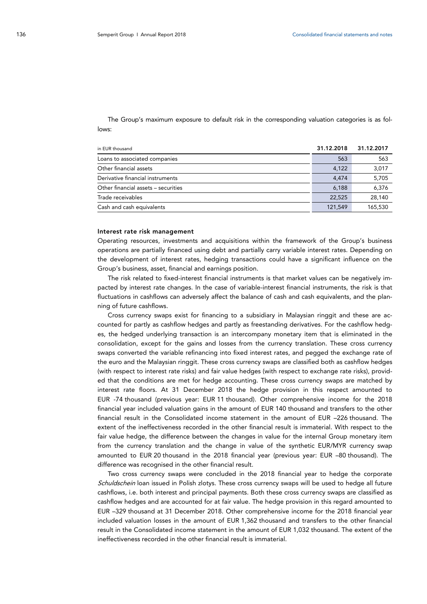The Group's maximum exposure to default risk in the corresponding valuation categories is as follows:

| in EUR thousand                     | 31.12.2018 | 31.12.2017 |
|-------------------------------------|------------|------------|
| Loans to associated companies       | 563        | 563        |
| Other financial assets              | 4.122      | 3,017      |
| Derivative financial instruments    | 4.474      | 5,705      |
| Other financial assets - securities | 6,188      | 6,376      |
| Trade receivables                   | 22.525     | 28.140     |
| Cash and cash equivalents           | 121,549    | 165,530    |

#### Interest rate risk management

Operating resources, investments and acquisitions within the framework of the Group's business operations are partially financed using debt and partially carry variable interest rates. Depending on the development of interest rates, hedging transactions could have a significant influence on the Group's business, asset, financial and earnings position.

The risk related to fixed-interest financial instruments is that market values can be negatively impacted by interest rate changes. In the case of variable-interest financial instruments, the risk is that fluctuations in cashflows can adversely affect the balance of cash and cash equivalents, and the planning of future cashflows.

Cross currency swaps exist for financing to a subsidiary in Malaysian ringgit and these are accounted for partly as cashflow hedges and partly as freestanding derivatives. For the cashflow hedges, the hedged underlying transaction is an intercompany monetary item that is eliminated in the consolidation, except for the gains and losses from the currency translation. These cross currency swaps converted the variable refinancing into fixed interest rates, and pegged the exchange rate of the euro and the Malaysian ringgit. These cross currency swaps are classified both as cashflow hedges (with respect to interest rate risks) and fair value hedges (with respect to exchange rate risks), provided that the conditions are met for hedge accounting. These cross currency swaps are matched by interest rate floors. At 31 December 2018 the hedge provision in this respect amounted to EUR -74 thousand (previous year: EUR 11 thousand). Other comprehensive income for the 2018 financial year included valuation gains in the amount of EUR 140 thousand and transfers to the other financial result in the Consolidated income statement in the amount of EUR –226 thousand. The extent of the ineffectiveness recorded in the other financial result is immaterial. With respect to the fair value hedge, the difference between the changes in value for the internal Group monetary item from the currency translation and the change in value of the synthetic EUR/MYR currency swap amounted to EUR 20 thousand in the 2018 financial year (previous year: EUR –80 thousand). The difference was recognised in the other financial result.

Two cross currency swaps were concluded in the 2018 financial year to hedge the corporate Schuldschein loan issued in Polish zlotys. These cross currency swaps will be used to hedge all future cashflows, i.e. both interest and principal payments. Both these cross currency swaps are classified as cashflow hedges and are accounted for at fair value. The hedge provision in this regard amounted to EUR –329 thousand at 31 December 2018. Other comprehensive income for the 2018 financial year included valuation losses in the amount of EUR 1,362 thousand and transfers to the other financial result in the Consolidated income statement in the amount of EUR 1,032 thousand. The extent of the ineffectiveness recorded in the other financial result is immaterial.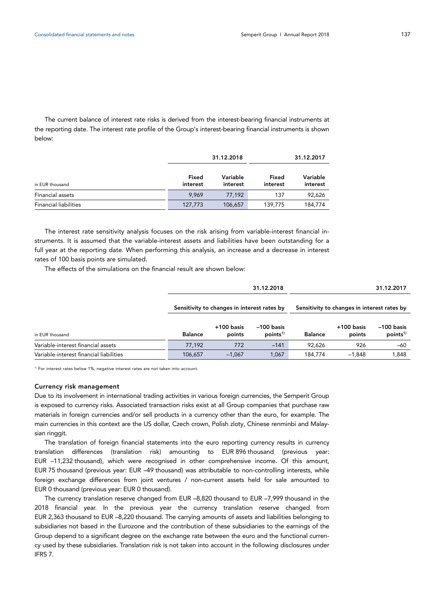The current balance of interest rate risks is derived from the interest-bearing financial instruments at the reporting date. The interest rate profile of the Group's interest-bearing financial instruments is shown below:

|                              | 31.12.2018        |                      | 31.12.2017        |                      |  |
|------------------------------|-------------------|----------------------|-------------------|----------------------|--|
| in EUR thousand              | Fixed<br>interest | Variable<br>interest | Fixed<br>interest | Variable<br>interest |  |
| Financial assets             | 9.969             | 77.192               | 137               | 92,626               |  |
| <b>Financial liabilities</b> | 127,773           | 106,657              | 139,775           | 184,774              |  |

The interest rate sensitivity analysis focuses on the risk arising from variable-interest financial instruments. It is assumed that the variable-interest assets and liabilities have been outstanding for a full year at the reporting date. When performing this analysis, an increase and a decrease in interest rates of 100 basis points are simulated.

The effects of the simulations on the financial result are shown below:

|                                         |                                             | 31.12.2018           |                                   |                                             | 31.12.2017             |                                   |  |
|-----------------------------------------|---------------------------------------------|----------------------|-----------------------------------|---------------------------------------------|------------------------|-----------------------------------|--|
|                                         | Sensitivity to changes in interest rates by |                      |                                   | Sensitivity to changes in interest rates by |                        |                                   |  |
| in EUR thousand                         | <b>Balance</b>                              | +100 basis<br>points | -100 basis<br>points <sup>1</sup> | <b>Balance</b>                              | $+100$ basis<br>points | -100 basis<br>points <sup>1</sup> |  |
| Variable-interest financial assets      | 77.192                                      | 772                  | $-141$                            | 92,626                                      | 926                    | $-60$                             |  |
| Variable-interest financial liabilities | 106,657                                     | $-1,067$             | 1,067                             | 184.774                                     | $-1,848$               | 1,848                             |  |

<sup>1)</sup> For interest rates below 1%, negative interest rates are not taken into account.

#### Currency risk management

Due to its involvement in international trading activities in various foreign currencies, the Semperit Group is exposed to currency risks. Associated transaction risks exist at all Group companies that purchase raw materials in foreign currencies and/or sell products in a currency other than the euro, for example. The main currencies in this context are the US dollar, Czech crown, Polish zloty, Chinese renminbi and Malaysian ringgit.

The translation of foreign financial statements into the euro reporting currency results in currency translation differences (translation risk) amounting to EUR 896 thousand (previous year: EUR –11,232 thousand), which were recognised in other comprehensive income. Of this amount, EUR 75 thousand (previous year: EUR –49 thousand) was attributable to non-controlling interests, while foreign exchange differences from joint ventures / non-current assets held for sale amounted to EUR 0 thousand (previous year: EUR 0 thousand).

The currency translation reserve changed from EUR –8,820 thousand to EUR –7,999 thousand in the 2018 financial year. In the previous year the currency translation reserve changed from EUR 2,363 thousand to EUR –8,220 thousand. The carrying amounts of assets and liabilities belonging to subsidiaries not based in the Eurozone and the contribution of these subsidiaries to the earnings of the Group depend to a significant degree on the exchange rate between the euro and the functional currency used by these subsidiaries. Translation risk is not taken into account in the following disclosures under IFRS 7.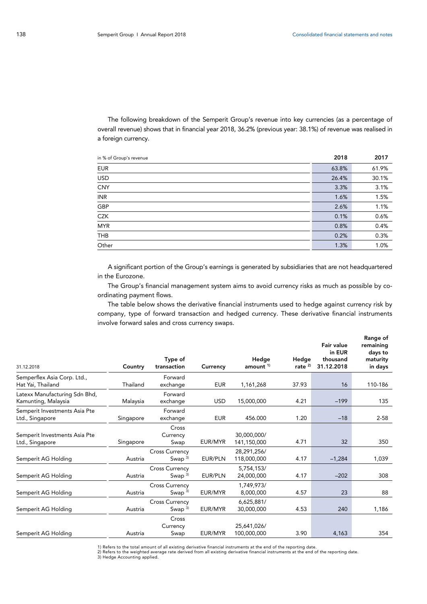The following breakdown of the Semperit Group's revenue into key currencies (as a percentage of overall revenue) shows that in financial year 2018, 36.2% (previous year: 38.1%) of revenue was realised in a foreign currency.

| in % of Group's revenue | 2018  | 2017  |
|-------------------------|-------|-------|
| <b>EUR</b>              | 63.8% | 61.9% |
| <b>USD</b>              | 26.4% | 30.1% |
| <b>CNY</b>              | 3.3%  | 3.1%  |
| <b>INR</b>              | 1.6%  | 1.5%  |
| GBP                     | 2.6%  | 1.1%  |
| <b>CZK</b>              | 0.1%  | 0.6%  |
| <b>MYR</b>              | 0.8%  | 0.4%  |
| THB                     | 0.2%  | 0.3%  |
| Other                   | 1.3%  | 1.0%  |

A significant portion of the Group's earnings is generated by subsidiaries that are not headquartered in the Eurozone.

The Group's financial management system aims to avoid currency risks as much as possible by coordinating payment flows.

The table below shows the derivative financial instruments used to hedge against currency risk by company, type of forward transaction and hedged currency. These derivative financial instruments involve forward sales and cross currency swaps.

| Country   | Type of<br>transaction             | Currency   | Hedge<br>amount <sup>1)</sup> | Hedge<br>rate $2)$ | Fair value<br>in EUR<br>thousand<br>31.12.2018 | Range of<br>remaining<br>days to<br>maturity<br>in days |
|-----------|------------------------------------|------------|-------------------------------|--------------------|------------------------------------------------|---------------------------------------------------------|
|           | Forward                            |            |                               |                    |                                                |                                                         |
| Thailand  | exchange                           | <b>EUR</b> | 1,161,268                     | 37.93              | 16                                             | 110-186                                                 |
| Malaysia  | Forward<br>exchange                | <b>USD</b> | 15,000,000                    | 4.21               | $-199$                                         | 135                                                     |
| Singapore | Forward<br>exchange                | <b>EUR</b> | 456.000                       | 1.20               | $-18$                                          | $2 - 58$                                                |
| Singapore | Cross<br>Currency<br>Swap          | EUR/MYR    | 30.000.000/<br>141,150,000    | 4.71               | 32                                             | 350                                                     |
| Austria   | <b>Cross Currency</b><br>Swap $3$  | EUR/PLN    | 28,291,256/<br>118,000,000    | 4.17               | $-1,284$                                       | 1,039                                                   |
| Austria   | <b>Cross Currency</b><br>Swap $3)$ | EUR/PLN    | 5,754,153/<br>24,000,000      | 4.17               | $-202$                                         | 308                                                     |
| Austria   | <b>Cross Currency</b><br>Swap $3$  | EUR/MYR    | 1,749,973/<br>8,000,000       | 4.57               | 23                                             | 88                                                      |
| Austria   | <b>Cross Currency</b><br>Swap $3$  | EUR/MYR    | 6,625,881/<br>30,000,000      | 4.53               | 240                                            | 1,186                                                   |
|           | Cross<br>Currency                  |            | 25,641,026/                   |                    |                                                | 354                                                     |
|           | Austria                            | Swap       | EUR/MYR                       | 100,000,000        | 3.90                                           | 4,163                                                   |

1) Refers to the total amount of all existing derivative financial instruments at the end of the reporting date.<br>2) Refers to the weighted average rate derived from all existing derivative financial instruments at the end 3) Hedge Accounting applied.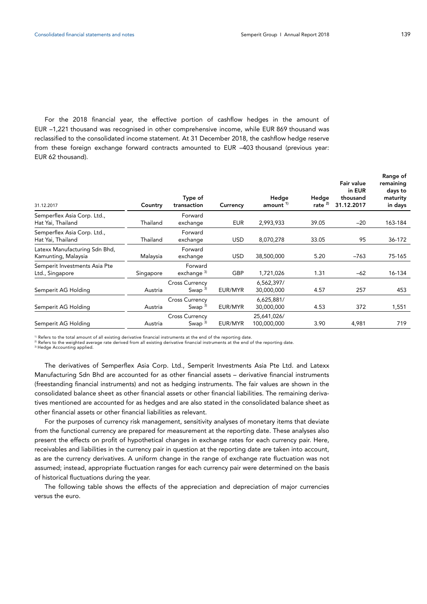For the 2018 financial year, the effective portion of cashflow hedges in the amount of EUR –1,221 thousand was recognised in other comprehensive income, while EUR 869 thousand was reclassified to the consolidated income statement. At 31 December 2018, the cashflow hedge reserve from these foreign exchange forward contracts amounted to EUR –403 thousand (previous year: EUR 62 thousand).

| 31.12.2017                                           | Country   | Type of<br>transaction             | Currency   | Hedge<br>amount $1$        | Hedge<br>rate $^{2)}$ | Fair value<br>in EUR<br>thousand<br>31.12.2017 | Range of<br>remaining<br>days to<br>maturity<br>in days |
|------------------------------------------------------|-----------|------------------------------------|------------|----------------------------|-----------------------|------------------------------------------------|---------------------------------------------------------|
| Semperflex Asia Corp. Ltd.,<br>Hat Yai, Thailand     | Thailand  | Forward<br>exchange                | EUR        | 2,993,933                  | 39.05                 | $-20$                                          | 163-184                                                 |
| Semperflex Asia Corp. Ltd.,<br>Hat Yai, Thailand     | Thailand  | Forward<br>exchange                | <b>USD</b> | 8,070,278                  | 33.05                 | 95                                             | 36-172                                                  |
| Latexx Manufacturing Sdn Bhd,<br>Kamunting, Malaysia | Malaysia  | Forward<br>exchange                | <b>USD</b> | 38,500,000                 | 5.20                  | $-763$                                         | 75-165                                                  |
| Semperit Investments Asia Pte<br>Ltd., Singapore     | Singapore | Forward<br>exchange $3)$           | GBP        | 1,721,026                  | 1.31                  | $-62$                                          | 16-134                                                  |
| Semperit AG Holding                                  | Austria   | <b>Cross Currency</b><br>Swap $3$  | EUR/MYR    | 6,562,397/<br>30,000,000   | 4.57                  | 257                                            | 453                                                     |
| Semperit AG Holding                                  | Austria   | <b>Cross Currency</b><br>Swap $3)$ | EUR/MYR    | 6,625,881/<br>30,000,000   | 4.53                  | 372                                            | 1,551                                                   |
| Semperit AG Holding                                  | Austria   | <b>Cross Currency</b><br>Swap $3$  | EUR/MYR    | 25,641,026/<br>100,000,000 | 3.90                  | 4,981                                          | 719                                                     |

<sup>1)</sup> Refers to the total amount of all existing derivative financial instruments at the end of the reporting date.

2) Refers to the weighted average rate derived from all existing derivative financial instruments at the end of the reporting date.<br>3) Hedge Accounting applied.

The derivatives of Semperflex Asia Corp. Ltd., Semperit Investments Asia Pte Ltd. and Latexx Manufacturing Sdn Bhd are accounted for as other financial assets – derivative financial instruments (freestanding financial instruments) and not as hedging instruments. The fair values are shown in the consolidated balance sheet as other financial assets or other financial liabilities. The remaining derivatives mentioned are accounted for as hedges and are also stated in the consolidated balance sheet as other financial assets or other financial liabilities as relevant.

For the purposes of currency risk management, sensitivity analyses of monetary items that deviate from the functional currency are prepared for measurement at the reporting date. These analyses also present the effects on profit of hypothetical changes in exchange rates for each currency pair. Here, receivables and liabilities in the currency pair in question at the reporting date are taken into account, as are the currency derivatives. A uniform change in the range of exchange rate fluctuation was not assumed; instead, appropriate fluctuation ranges for each currency pair were determined on the basis of historical fluctuations during the year.

The following table shows the effects of the appreciation and depreciation of major currencies versus the euro.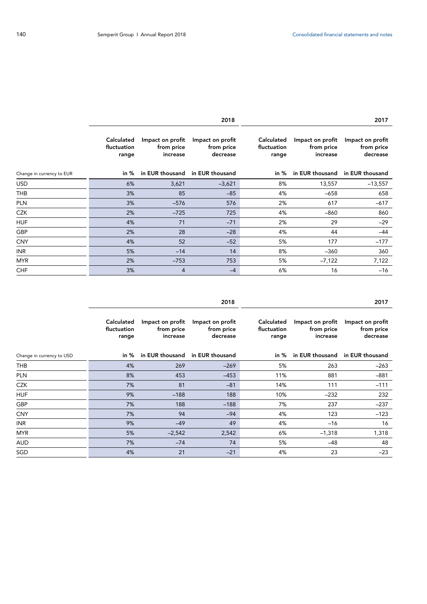|                           | Calculated<br>fluctuation<br>range | from price<br>increase          | Impact on profit Impact on profit<br>from price<br>decrease | Calculated<br>fluctuation<br>range | Impact on profit<br>from price<br>increase | Impact on profit<br>from price<br>decrease |
|---------------------------|------------------------------------|---------------------------------|-------------------------------------------------------------|------------------------------------|--------------------------------------------|--------------------------------------------|
| Change in currency to EUR | in %                               | in EUR thousand in EUR thousand |                                                             |                                    | in % in EUR thousand in EUR thousand       |                                            |
| <b>USD</b>                | 6%                                 | 3,621                           | $-3,621$                                                    | 8%                                 | 13,557                                     | $-13,557$                                  |
| THB                       | 3%                                 | 85                              | $-85$                                                       | 4%                                 | $-658$                                     | 658                                        |
| <b>PLN</b>                | 3%                                 | $-576$                          | 576                                                         | 2%                                 | 617                                        | $-617$                                     |
| CZK                       | 2%                                 | $-725$                          | 725                                                         | 4%                                 | $-860$                                     | 860                                        |
| <b>HUF</b>                | 4%                                 | 71                              | $-71$                                                       | 2%                                 | 29                                         | $-29$                                      |
| GBP                       | 2%                                 | 28                              | $-28$                                                       | 4%                                 | 44                                         | $-44$                                      |
| <b>CNY</b>                | 4%                                 | 52                              | $-52$                                                       | 5%                                 | 177                                        | $-177$                                     |
| <b>INR</b>                | 5%                                 | $-14$                           | 14                                                          | 8%                                 | $-360$                                     | 360                                        |
| <b>MYR</b>                | 2%                                 | $-753$                          | 753                                                         | 5%                                 | $-7,122$                                   | 7,122                                      |
| <b>CHF</b>                | 3%                                 | $\overline{4}$                  | $-4$                                                        | 6%                                 | 16                                         | $-16$                                      |

2018 2017

2018 2017

|                           | Calculated<br>fluctuation<br>range | Impact on profit<br>from price<br>increase | Impact on profit<br>from price<br>decrease | Calculated<br>fluctuation<br>range | Impact on profit<br>from price<br>increase | Impact on profit<br>from price<br>decrease |
|---------------------------|------------------------------------|--------------------------------------------|--------------------------------------------|------------------------------------|--------------------------------------------|--------------------------------------------|
| Change in currency to USD |                                    | in % in EUR thousand in EUR thousand       |                                            |                                    | in % in EUR thousand                       | in EUR thousand                            |
| THB                       | 4%                                 | 269                                        | $-269$                                     | 5%                                 | 263                                        | $-263$                                     |
| <b>PLN</b>                | 8%                                 | 453                                        | $-453$                                     | 11%                                | 881                                        | $-881$                                     |
| <b>CZK</b>                | 7%                                 | 81                                         | $-81$                                      | 14%                                | 111                                        | $-111$                                     |
| <b>HUF</b>                | 9%                                 | $-188$                                     | 188                                        | 10%                                | $-232$                                     | 232                                        |
| GBP                       | 7%                                 | 188                                        | $-188$                                     | 7%                                 | 237                                        | $-237$                                     |
| <b>CNY</b>                | 7%                                 | 94                                         | $-94$                                      | 4%                                 | 123                                        | $-123$                                     |
| <b>INR</b>                | 9%                                 | $-49$                                      | 49                                         | 4%                                 | $-16$                                      | 16                                         |
| <b>MYR</b>                | 5%                                 | $-2,542$                                   | 2,542                                      | 6%                                 | $-1,318$                                   | 1,318                                      |
| <b>AUD</b>                | 7%                                 | $-74$                                      | 74                                         | 5%                                 | $-48$                                      | 48                                         |
| SGD                       | 4%                                 | 21                                         | $-21$                                      | 4%                                 | 23                                         | $-23$                                      |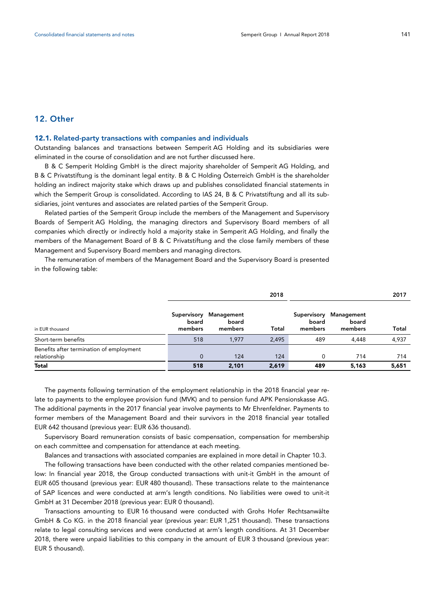## 12. Other

## 12.1. Related-party transactions with companies and individuals

Outstanding balances and transactions between Semperit AG Holding and its subsidiaries were eliminated in the course of consolidation and are not further discussed here.

B & C Semperit Holding GmbH is the direct majority shareholder of Semperit AG Holding, and B & C Privatstiftung is the dominant legal entity. B & C Holding Österreich GmbH is the shareholder holding an indirect majority stake which draws up and publishes consolidated financial statements in which the Semperit Group is consolidated. According to IAS 24, B & C Privatstiftung and all its subsidiaries, joint ventures and associates are related parties of the Semperit Group.

Related parties of the Semperit Group include the members of the Management and Supervisory Boards of Semperit AG Holding, the managing directors and Supervisory Board members of all companies which directly or indirectly hold a majority stake in Semperit AG Holding, and finally the members of the Management Board of B & C Privatstiftung and the close family members of these Management and Supervisory Board members and managing directors.

The remuneration of members of the Management Board and the Supervisory Board is presented in the following table:

|                                                          |                                 |                                | 2018  |                                 |                                | 2017  |
|----------------------------------------------------------|---------------------------------|--------------------------------|-------|---------------------------------|--------------------------------|-------|
| in EUR thousand                                          | Supervisory<br>board<br>members | Management<br>board<br>members | Total | Supervisory<br>board<br>members | Management<br>board<br>members | Total |
| Short-term benefits                                      | 518                             | 1,977                          | 2,495 | 489                             | 4,448                          | 4,937 |
| Benefits after termination of employment<br>relationship | $\Omega$                        | 124                            | 124   | $\Omega$                        | 714                            | 714   |
| <b>Total</b>                                             | 518                             | 2,101                          | 2,619 | 489                             | 5,163                          | 5,651 |

The payments following termination of the employment relationship in the 2018 financial year relate to payments to the employee provision fund (MVK) and to pension fund APK Pensionskasse AG. The additional payments in the 2017 financial year involve payments to Mr Ehrenfeldner. Payments to former members of the Management Board and their survivors in the 2018 financial year totalled EUR 642 thousand (previous year: EUR 636 thousand).

Supervisory Board remuneration consists of basic compensation, compensation for membership on each committee and compensation for attendance at each meeting.

Balances and transactions with associated companies are explained in more detail in Chapter 10.3.

The following transactions have been conducted with the other related companies mentioned below: In financial year 2018, the Group conducted transactions with unit-it GmbH in the amount of EUR 605 thousand (previous year: EUR 480 thousand). These transactions relate to the maintenance of SAP licences and were conducted at arm's length conditions. No liabilities were owed to unit-it GmbH at 31 December 2018 (previous year: EUR 0 thousand).

Transactions amounting to EUR 16 thousand were conducted with Grohs Hofer Rechtsanwälte GmbH & Co KG. in the 2018 financial year (previous year: EUR 1,251 thousand). These transactions relate to legal consulting services and were conducted at arm's length conditions. At 31 December 2018, there were unpaid liabilities to this company in the amount of EUR 3 thousand (previous year: EUR 5 thousand).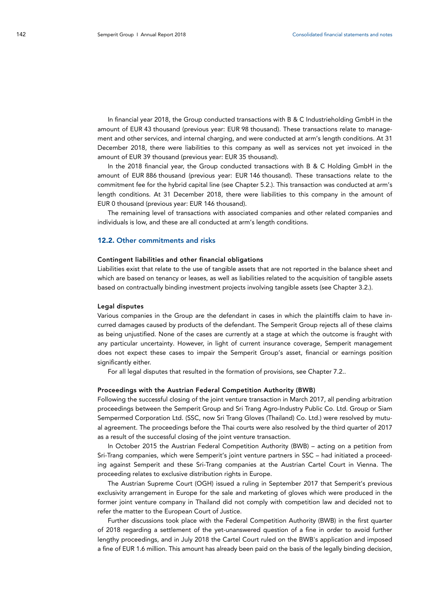In financial year 2018, the Group conducted transactions with B & C Industrieholding GmbH in the amount of EUR 43 thousand (previous year: EUR 98 thousand). These transactions relate to management and other services, and internal charging, and were conducted at arm's length conditions. At 31 December 2018, there were liabilities to this company as well as services not yet invoiced in the amount of EUR 39 thousand (previous year: EUR 35 thousand).

In the 2018 financial year, the Group conducted transactions with B & C Holding GmbH in the amount of EUR 886 thousand (previous year: EUR 146 thousand). These transactions relate to the commitment fee for the hybrid capital line (see Chapter 5.2.). This transaction was conducted at arm's length conditions. At 31 December 2018, there were liabilities to this company in the amount of EUR 0 thousand (previous year: EUR 146 thousand).

The remaining level of transactions with associated companies and other related companies and individuals is low, and these are all conducted at arm's length conditions.

## 12.2. Other commitments and risks

#### Contingent liabilities and other financial obligations

Liabilities exist that relate to the use of tangible assets that are not reported in the balance sheet and which are based on tenancy or leases, as well as liabilities related to the acquisition of tangible assets based on contractually binding investment projects involving tangible assets (see Chapter 3.2.).

#### Legal disputes

Various companies in the Group are the defendant in cases in which the plaintiffs claim to have incurred damages caused by products of the defendant. The Semperit Group rejects all of these claims as being unjustified. None of the cases are currently at a stage at which the outcome is fraught with any particular uncertainty. However, in light of current insurance coverage, Semperit management does not expect these cases to impair the Semperit Group's asset, financial or earnings position significantly either.

For all legal disputes that resulted in the formation of provisions, see Chapter 7.2..

## Proceedings with the Austrian Federal Competition Authority (BWB)

Following the successful closing of the joint venture transaction in March 2017, all pending arbitration proceedings between the Semperit Group and Sri Trang Agro-Industry Public Co. Ltd. Group or Siam Sempermed Corporation Ltd. (SSC, now Sri Trang Gloves (Thailand) Co. Ltd.) were resolved by mutual agreement. The proceedings before the Thai courts were also resolved by the third quarter of 2017 as a result of the successful closing of the joint venture transaction.

In October 2015 the Austrian Federal Competition Authority (BWB) – acting on a petition from Sri-Trang companies, which were Semperit's joint venture partners in SSC – had initiated a proceeding against Semperit and these Sri-Trang companies at the Austrian Cartel Court in Vienna. The proceeding relates to exclusive distribution rights in Europe.

The Austrian Supreme Court (OGH) issued a ruling in September 2017 that Semperit's previous exclusivity arrangement in Europe for the sale and marketing of gloves which were produced in the former joint venture company in Thailand did not comply with competition law and decided not to refer the matter to the European Court of Justice.

Further discussions took place with the Federal Competition Authority (BWB) in the first quarter of 2018 regarding a settlement of the yet-unanswered question of a fine in order to avoid further lengthy proceedings, and in July 2018 the Cartel Court ruled on the BWB's application and imposed a fine of EUR 1.6 million. This amount has already been paid on the basis of the legally binding decision,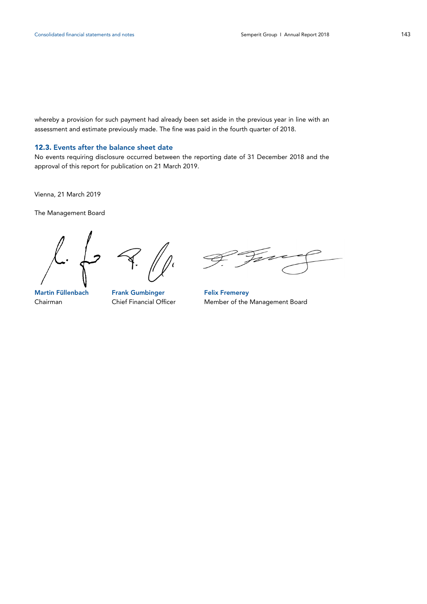whereby a provision for such payment had already been set aside in the previous year in line with an assessment and estimate previously made. The fine was paid in the fourth quarter of 2018.

## 12.3. Events after the balance sheet date

No events requiring disclosure occurred between the reporting date of 31 December 2018 and the approval of this report for publication on 21 March 2019.

Vienna, 21 March 2019

The Management Board

Martin Füllenbach Chairman

Frank Gumbinger Chief Financial Officer

Felix Fremerey Member of the Management Board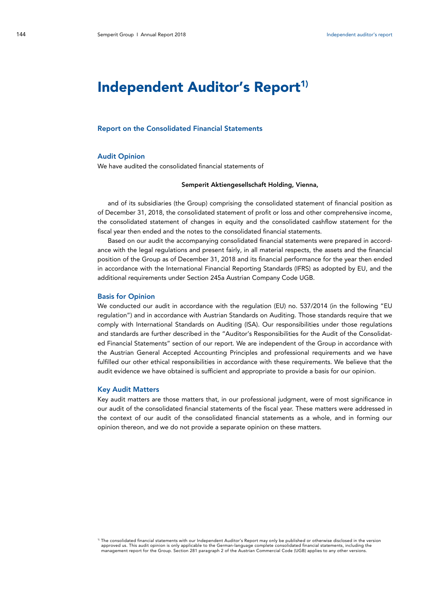# Independent Auditor's Report<sup>1)</sup>

## Report on the Consolidated Financial Statements

#### Audit Opinion

We have audited the consolidated financial statements of

## Semperit Aktiengesellschaft Holding, Vienna,

and of its subsidiaries (the Group) comprising the consolidated statement of financial position as of December 31, 2018, the consolidated statement of profit or loss and other comprehensive income, the consolidated statement of changes in equity and the consolidated cashflow statement for the fiscal year then ended and the notes to the consolidated financial statements.

Based on our audit the accompanying consolidated financial statements were prepared in accordance with the legal regulations and present fairly, in all material respects, the assets and the financial position of the Group as of December 31, 2018 and its financial performance for the year then ended in accordance with the International Financial Reporting Standards (IFRS) as adopted by EU, and the additional requirements under Section 245a Austrian Company Code UGB.

## Basis for Opinion

We conducted our audit in accordance with the regulation (EU) no. 537/2014 (in the following "EU regulation") and in accordance with Austrian Standards on Auditing. Those standards require that we comply with International Standards on Auditing (ISA). Our responsibilities under those regulations and standards are further described in the "Auditor's Responsibilities for the Audit of the Consolidated Financial Statements" section of our report. We are independent of the Group in accordance with the Austrian General Accepted Accounting Principles and professional requirements and we have fulfilled our other ethical responsibilities in accordance with these requirements. We believe that the audit evidence we have obtained is sufficient and appropriate to provide a basis for our opinion.

## Key Audit Matters

Key audit matters are those matters that, in our professional judgment, were of most significance in our audit of the consolidated financial statements of the fiscal year. These matters were addressed in the context of our audit of the consolidated financial statements as a whole, and in forming our opinion thereon, and we do not provide a separate opinion on these matters.

<sup>&</sup>lt;sup>1)</sup> The consolidated financial statements with our Independent Auditor's Report may only be published or otherwise disclosed in the version<br>approved us. This audit opinion is only applicable to the German-language complet management report for the Group. Section 281 paragraph 2 of the Austrian Commercial Code (UGB) applies to any other versions.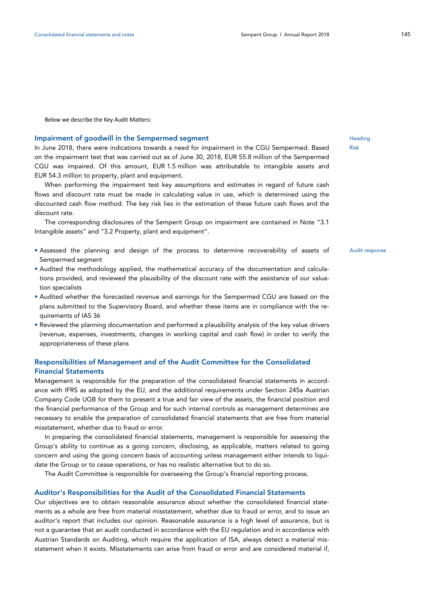Below we describe the Key Audit Matters:

## Impairment of goodwill in the Sempermed segment

In June 2018, there were indications towards a need for impairment in the CGU Sempermed. Based on the impairment test that was carried out as of June 30, 2018, EUR 55.8 million of the Sempermed CGU was impaired. Of this amount, EUR 1.5 million was attributable to intangible assets and EUR 54.3 million to property, plant and equipment.

When performing the impairment test key assumptions and estimates in regard of future cash flows and discount rate must be made in calculating value in use, which is determined using the discounted cash flow method. The key risk lies in the estimation of these future cash flows and the discount rate.

The corresponding disclosures of the Semperit Group on impairment are contained in Note "3.1 Intangible assets" and "3.2 Property, plant and equipment".

- Assessed the planning and design of the process to determine recoverability of assets of Sempermed segment
- Audited the methodology applied, the mathematical accuracy of the documentation and calculations provided, and reviewed the plausibility of the discount rate with the assistance of our valuation specialists
- Audited whether the forecasted revenue and earnings for the Sempermed CGU are based on the plans submitted to the Supervisory Board, and whether these items are in compliance with the requirements of IAS 36
- Reviewed the planning documentation and performed a plausibility analysis of the key value drivers (revenue, expenses, investments, changes in working capital and cash flow) in order to verify the appropriateness of these plans

## Responsibilities of Management and of the Audit Committee for the Consolidated Financial Statements

Management is responsible for the preparation of the consolidated financial statements in accordance with IFRS as adopted by the EU, and the additional requirements under Section 245a Austrian Company Code UGB for them to present a true and fair view of the assets, the financial position and the financial performance of the Group and for such internal controls as management determines are necessary to enable the preparation of consolidated financial statements that are free from material misstatement, whether due to fraud or error.

In preparing the consolidated financial statements, management is responsible for assessing the Group's ability to continue as a going concern, disclosing, as applicable, matters related to going concern and using the going concern basis of accounting unless management either intends to liquidate the Group or to cease operations, or has no realistic alternative but to do so.

The Audit Committee is responsible for overseeing the Group's financial reporting process.

#### Auditor's Responsibilities for the Audit of the Consolidated Financial Statements

Our objectives are to obtain reasonable assurance about whether the consolidated financial statements as a whole are free from material misstatement, whether due to fraud or error, and to issue an auditor's report that includes our opinion. Reasonable assurance is a high level of assurance, but is not a guarantee that an audit conducted in accordance with the EU regulation and in accordance with Austrian Standards on Auditing, which require the application of ISA, always detect a material misstatement when it exists. Misstatements can arise from fraud or error and are considered material if, **Heading** Risk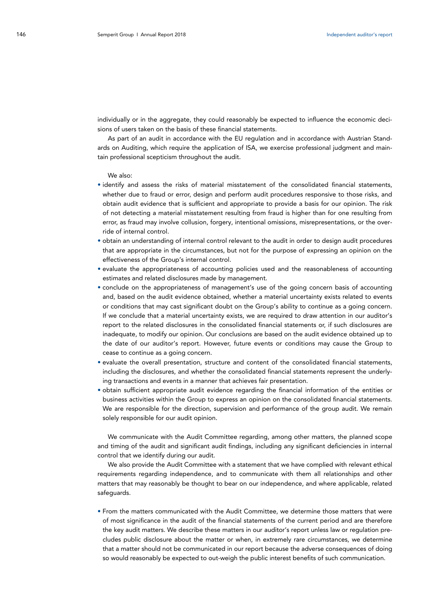individually or in the aggregate, they could reasonably be expected to influence the economic decisions of users taken on the basis of these financial statements.

As part of an audit in accordance with the EU regulation and in accordance with Austrian Standards on Auditing, which require the application of ISA, we exercise professional judgment and maintain professional scepticism throughout the audit.

We also:

- identify and assess the risks of material misstatement of the consolidated financial statements, whether due to fraud or error, design and perform audit procedures responsive to those risks, and obtain audit evidence that is sufficient and appropriate to provide a basis for our opinion. The risk of not detecting a material misstatement resulting from fraud is higher than for one resulting from error, as fraud may involve collusion, forgery, intentional omissions, misrepresentations, or the override of internal control.
- obtain an understanding of internal control relevant to the audit in order to design audit procedures that are appropriate in the circumstances, but not for the purpose of expressing an opinion on the effectiveness of the Group's internal control.
- evaluate the appropriateness of accounting policies used and the reasonableness of accounting estimates and related disclosures made by management.
- conclude on the appropriateness of management's use of the going concern basis of accounting and, based on the audit evidence obtained, whether a material uncertainty exists related to events or conditions that may cast significant doubt on the Group's ability to continue as a going concern. If we conclude that a material uncertainty exists, we are required to draw attention in our auditor's report to the related disclosures in the consolidated financial statements or, if such disclosures are inadequate, to modify our opinion. Our conclusions are based on the audit evidence obtained up to the date of our auditor's report. However, future events or conditions may cause the Group to cease to continue as a going concern.
- evaluate the overall presentation, structure and content of the consolidated financial statements, including the disclosures, and whether the consolidated financial statements represent the underlying transactions and events in a manner that achieves fair presentation.
- obtain sufficient appropriate audit evidence regarding the financial information of the entities or business activities within the Group to express an opinion on the consolidated financial statements. We are responsible for the direction, supervision and performance of the group audit. We remain solely responsible for our audit opinion.

We communicate with the Audit Committee regarding, among other matters, the planned scope and timing of the audit and significant audit findings, including any significant deficiencies in internal control that we identify during our audit.

We also provide the Audit Committee with a statement that we have complied with relevant ethical requirements regarding independence, and to communicate with them all relationships and other matters that may reasonably be thought to bear on our independence, and where applicable, related safeguards.

• From the matters communicated with the Audit Committee, we determine those matters that were of most significance in the audit of the financial statements of the current period and are therefore the key audit matters. We describe these matters in our auditor's report unless law or regulation precludes public disclosure about the matter or when, in extremely rare circumstances, we determine that a matter should not be communicated in our report because the adverse consequences of doing so would reasonably be expected to out-weigh the public interest benefits of such communication.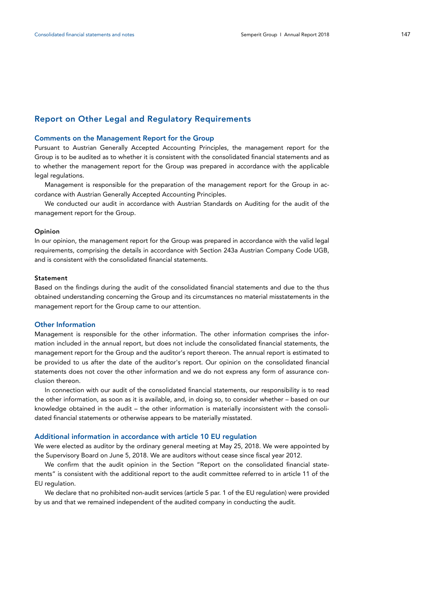## Report on Other Legal and Regulatory Requirements

## Comments on the Management Report for the Group

Pursuant to Austrian Generally Accepted Accounting Principles, the management report for the Group is to be audited as to whether it is consistent with the consolidated financial statements and as to whether the management report for the Group was prepared in accordance with the applicable legal regulations.

Management is responsible for the preparation of the management report for the Group in accordance with Austrian Generally Accepted Accounting Principles.

We conducted our audit in accordance with Austrian Standards on Auditing for the audit of the management report for the Group.

#### Opinion

In our opinion, the management report for the Group was prepared in accordance with the valid legal requirements, comprising the details in accordance with Section 243a Austrian Company Code UGB, and is consistent with the consolidated financial statements.

## Statement

Based on the findings during the audit of the consolidated financial statements and due to the thus obtained understanding concerning the Group and its circumstances no material misstatements in the management report for the Group came to our attention.

## Other Information

Management is responsible for the other information. The other information comprises the information included in the annual report, but does not include the consolidated financial statements, the management report for the Group and the auditor's report thereon. The annual report is estimated to be provided to us after the date of the auditor's report. Our opinion on the consolidated financial statements does not cover the other information and we do not express any form of assurance conclusion thereon.

In connection with our audit of the consolidated financial statements, our responsibility is to read the other information, as soon as it is available, and, in doing so, to consider whether – based on our knowledge obtained in the audit – the other information is materially inconsistent with the consolidated financial statements or otherwise appears to be materially misstated.

## Additional information in accordance with article 10 EU regulation

We were elected as auditor by the ordinary general meeting at May 25, 2018. We were appointed by the Supervisory Board on June 5, 2018. We are auditors without cease since fiscal year 2012.

We confirm that the audit opinion in the Section "Report on the consolidated financial statements" is consistent with the additional report to the audit committee referred to in article 11 of the EU regulation.

We declare that no prohibited non-audit services (article 5 par. 1 of the EU regulation) were provided by us and that we remained independent of the audited company in conducting the audit.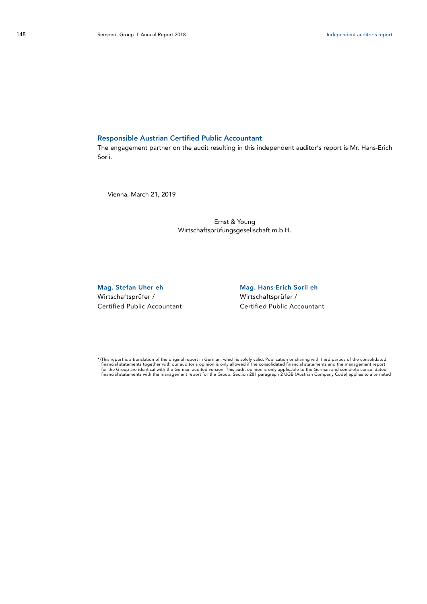## Responsible Austrian Certified Public Accountant

The engagement partner on the audit resulting in this independent auditor's report is Mr. Hans-Erich Sorli.

Vienna, March 21, 2019

Ernst & Young Wirtschaftsprüfungsgesellschaft m.b.H.

Mag. Stefan Uher eh Wirtschaftsprüfer / Certified Public Accountant Mag. Hans-Erich Sorli eh Wirtschaftsprüfer / Certified Public Accountant

\*)This report is a translation of the original report in German, which is solely valid. Publication or sharing with third parties of the consolidated financial statements together with our auditor's opinion is only allowed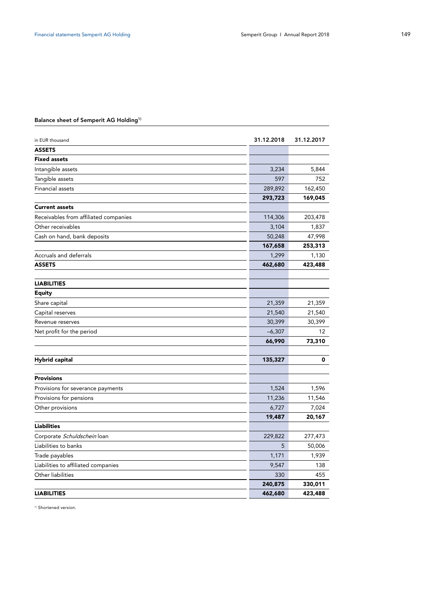## Balance sheet of Semperit AG Holding<sup>1)</sup>

| in EUR thousand                       | 31.12.2018 | 31.12.2017 |
|---------------------------------------|------------|------------|
| <b>ASSETS</b>                         |            |            |
| <b>Fixed assets</b>                   |            |            |
| Intangible assets                     | 3,234      | 5,844      |
| Tangible assets                       | 597        | 752        |
| Financial assets                      | 289,892    | 162,450    |
|                                       | 293,723    | 169,045    |
| <b>Current assets</b>                 |            |            |
| Receivables from affiliated companies | 114,306    | 203,478    |
| Other receivables                     | 3,104      | 1,837      |
| Cash on hand, bank deposits           | 50,248     | 47,998     |
|                                       | 167,658    | 253,313    |
| Accruals and deferrals                | 1,299      | 1,130      |
| <b>ASSETS</b>                         | 462,680    | 423,488    |
|                                       |            |            |
| <b>LIABILITIES</b>                    |            |            |
| Equity                                |            |            |
| Share capital                         | 21,359     | 21,359     |
| Capital reserves                      | 21,540     | 21,540     |
| Revenue reserves                      | 30,399     | 30,399     |
| Net profit for the period             | $-6,307$   | 12         |
|                                       | 66,990     | 73,310     |
|                                       |            |            |
| Hybrid capital                        | 135,327    | 0          |
| <b>Provisions</b>                     |            |            |
|                                       |            |            |
| Provisions for severance payments     | 1,524      | 1,596      |
| Provisions for pensions               | 11,236     | 11,546     |
| Other provisions                      | 6,727      | 7,024      |
| <b>Liabilities</b>                    | 19,487     | 20,167     |
| Corporate <i>Schuldschein</i> loan    | 229,822    | 277,473    |
| Liabilities to banks                  | 5          | 50,006     |
| Trade payables                        | 1,171      | 1,939      |
| Liabilities to affiliated companies   | 9,547      | 138        |
| Other liabilities                     | 330        | 455        |
|                                       | 240,875    | 330,011    |
| <b>LIABILITIES</b>                    | 462,680    | 423,488    |
|                                       |            |            |

<sup>1)</sup> Shortened version.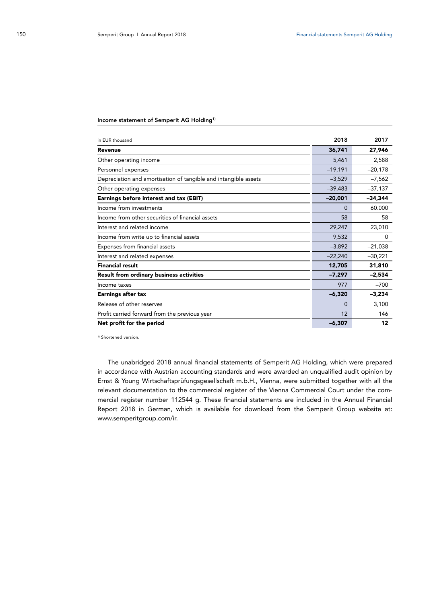## Income statement of Semperit AG Holding<sup>1)</sup>

| in EUR thousand                                                 | 2018      | 2017      |
|-----------------------------------------------------------------|-----------|-----------|
| Revenue                                                         | 36,741    | 27,946    |
| Other operating income                                          | 5,461     | 2,588     |
| Personnel expenses                                              | $-19,191$ | $-20,178$ |
| Depreciation and amortisation of tangible and intangible assets | $-3,529$  | $-7,562$  |
| Other operating expenses                                        | $-39,483$ | $-37,137$ |
| Earnings before interest and tax (EBIT)                         | $-20,001$ | $-34.344$ |
| Income from investments                                         | 0         | 60.000    |
| Income from other securities of financial assets                | 58        | 58        |
| Interest and related income                                     | 29,247    | 23,010    |
| Income from write up to financial assets                        | 9,532     | $\Omega$  |
| Expenses from financial assets                                  | $-3,892$  | $-21,038$ |
| Interest and related expenses                                   | $-22,240$ | $-30,221$ |
| <b>Financial result</b>                                         | 12,705    | 31,810    |
| <b>Result from ordinary business activities</b>                 | $-7,297$  | $-2,534$  |
| Income taxes                                                    | 977       | $-700$    |
| <b>Earnings after tax</b>                                       | $-6,320$  | $-3,234$  |
| Release of other reserves                                       | $\Omega$  | 3,100     |
| Profit carried forward from the previous year                   | 12        | 146       |
| Net profit for the period                                       | $-6,307$  | 12        |

<sup>1)</sup> Shortened version.

The unabridged 2018 annual financial statements of Semperit AG Holding, which were prepared in accordance with Austrian accounting standards and were awarded an unqualified audit opinion by Ernst & Young Wirtschaftsprüfungsgesellschaft m.b.H., Vienna, were submitted together with all the relevant documentation to the commercial register of the Vienna Commercial Court under the commercial register number 112544 g. These financial statements are included in the Annual Financial Report 2018 in German, which is available for download from the Semperit Group website at: www.semperitgroup.com/ir.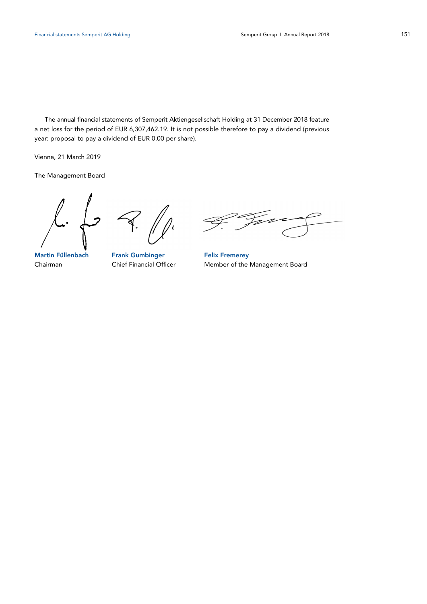The annual financial statements of Semperit Aktiengesellschaft Holding at 31 December 2018 feature a net loss for the period of EUR 6,307,462.19. It is not possible therefore to pay a dividend (previous year: proposal to pay a dividend of EUR 0.00 per share).

Vienna, 21 March 2019

The Management Board

 $\mathscr{D}$ 

Martin Füllenbach Chairman

Frank Gumbinger Chief Financial Officer

Felix Fremerey Member of the Management Board